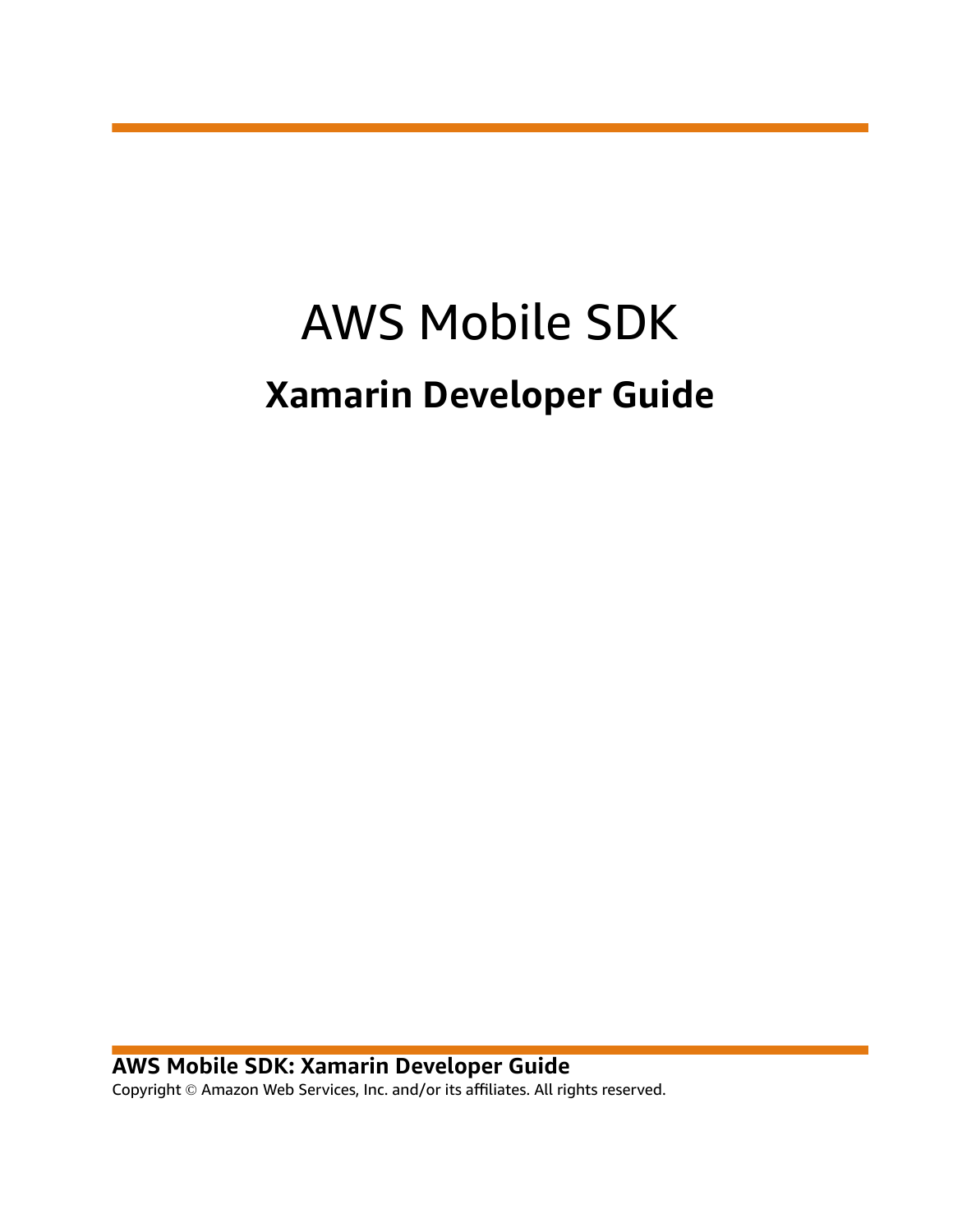# AWS Mobile SDK **Xamarin Developer Guide**

**AWS Mobile SDK: Xamarin Developer Guide** Copyright © Amazon Web Services, Inc. and/or its affiliates. All rights reserved.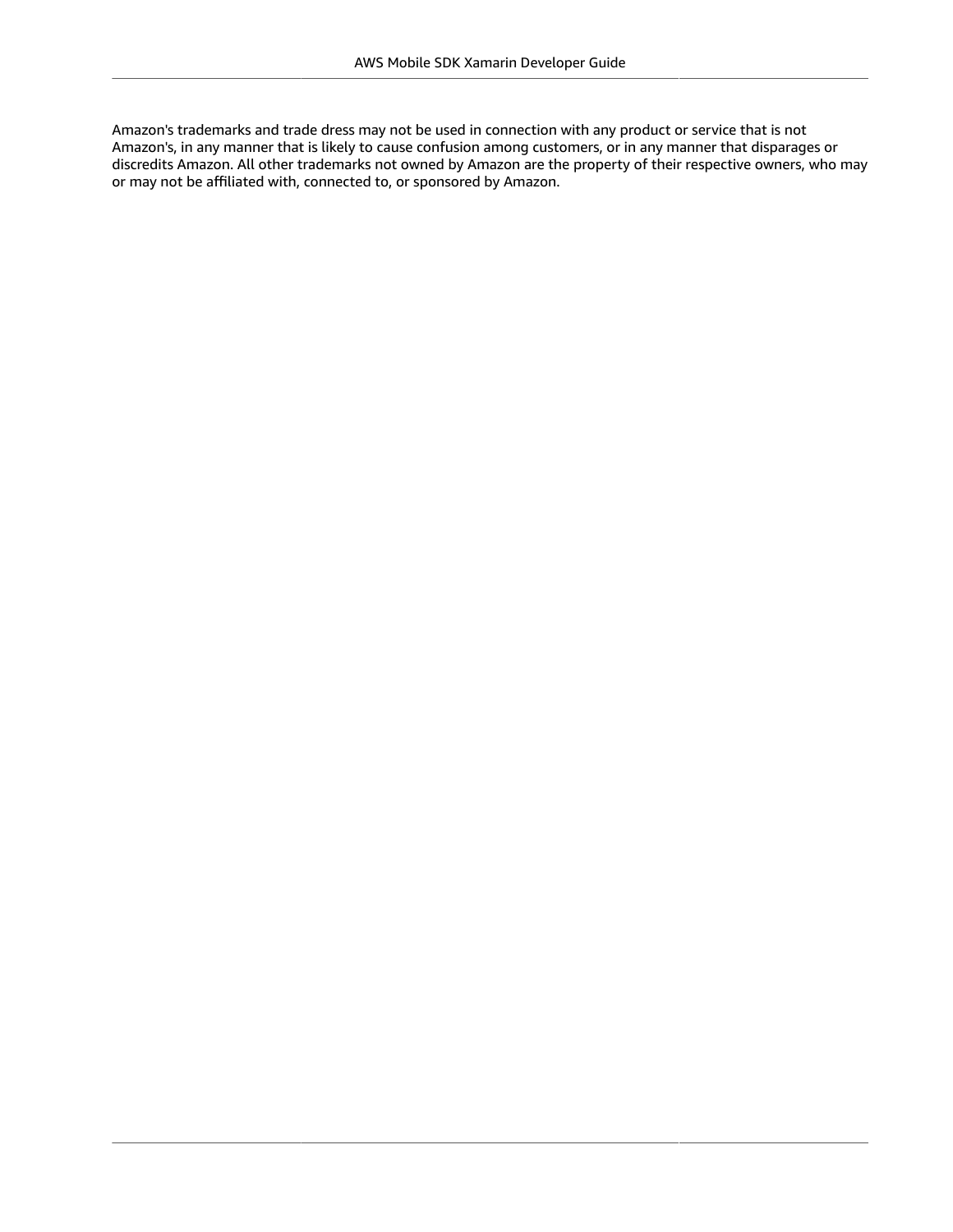Amazon's trademarks and trade dress may not be used in connection with any product or service that is not Amazon's, in any manner that is likely to cause confusion among customers, or in any manner that disparages or discredits Amazon. All other trademarks not owned by Amazon are the property of their respective owners, who may or may not be affiliated with, connected to, or sponsored by Amazon.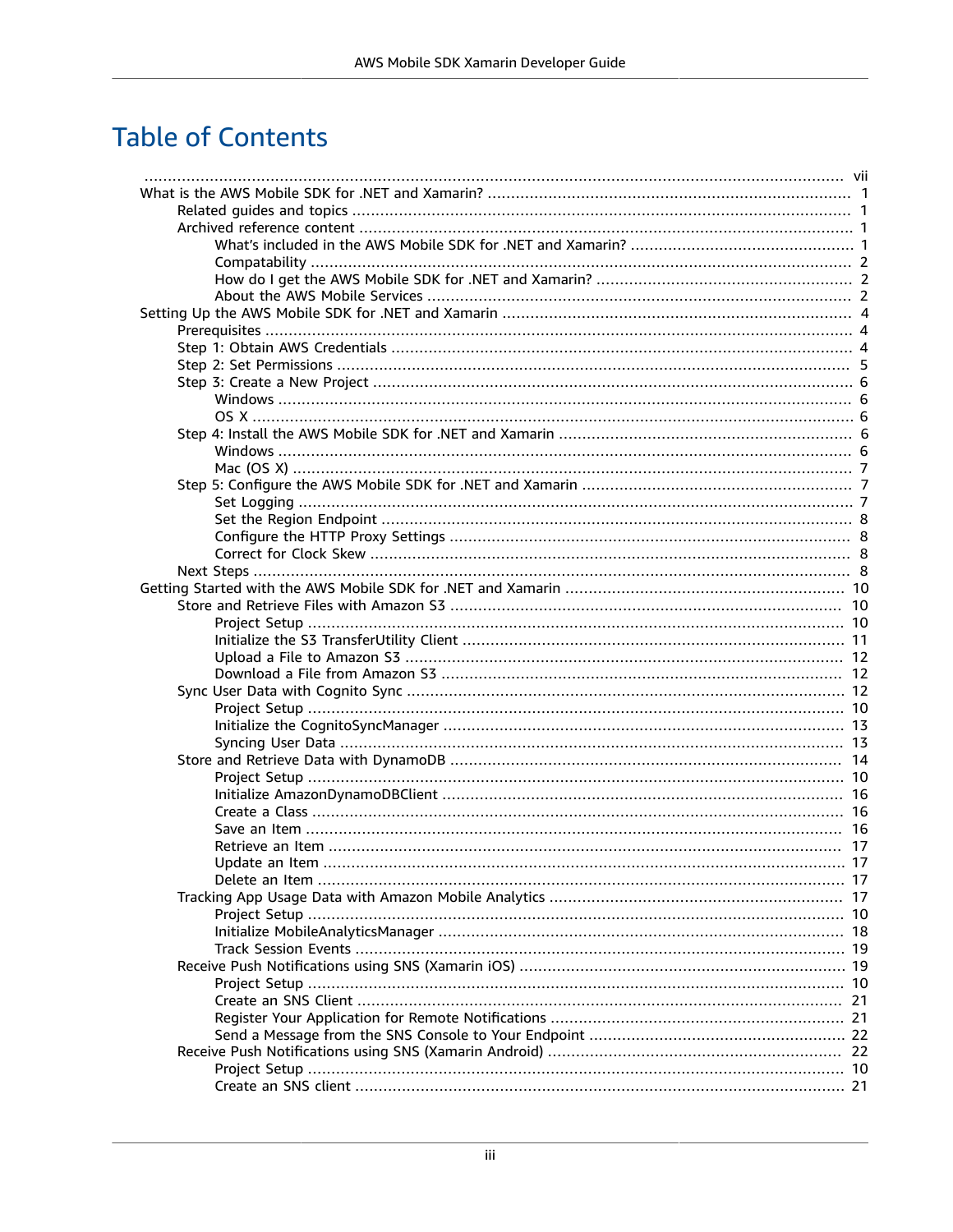# **Table of Contents**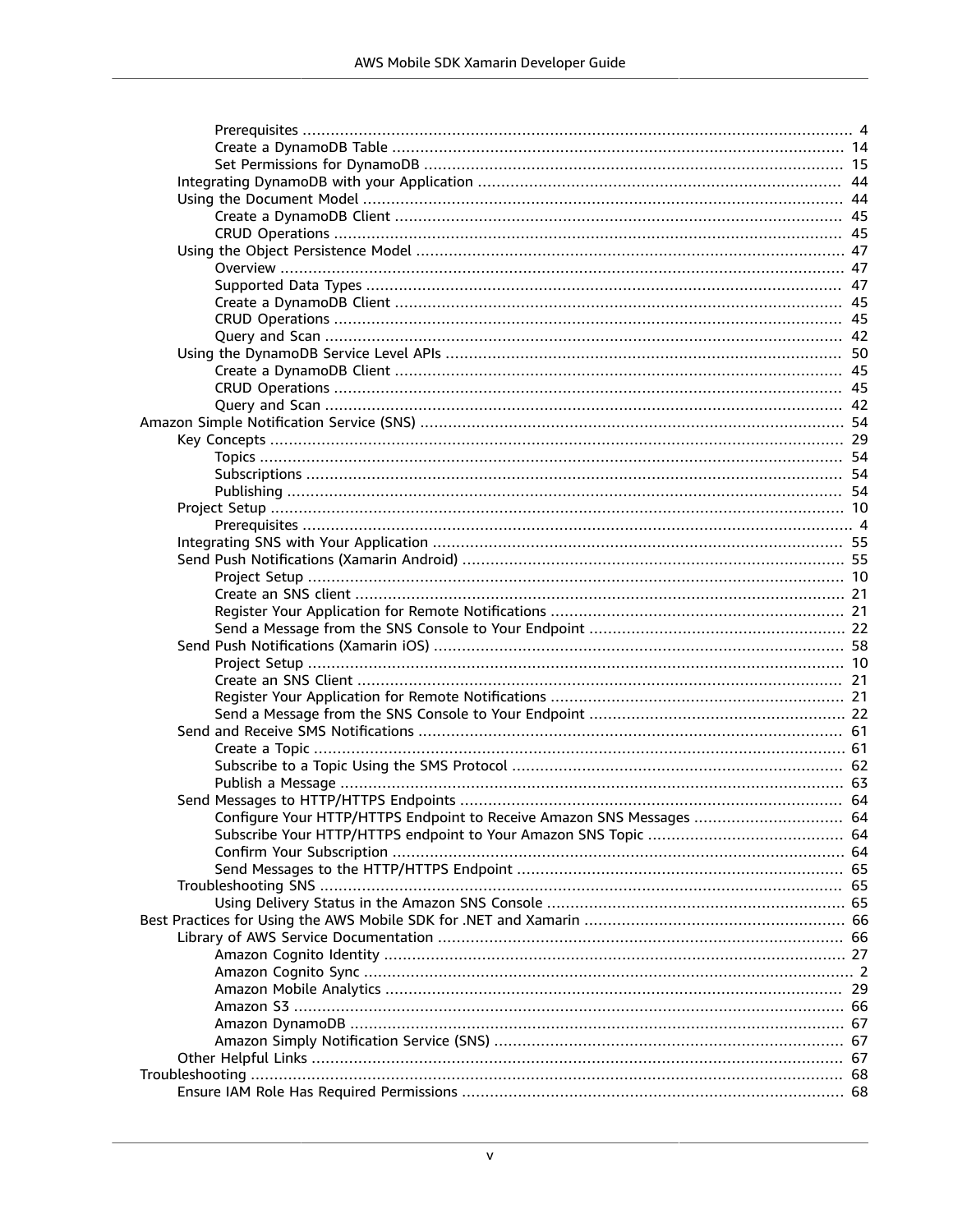| Configure Your HTTP/HTTPS Endpoint to Receive Amazon SNS Messages  64 |  |
|-----------------------------------------------------------------------|--|
|                                                                       |  |
|                                                                       |  |
|                                                                       |  |
|                                                                       |  |
|                                                                       |  |
|                                                                       |  |
|                                                                       |  |
|                                                                       |  |
|                                                                       |  |
|                                                                       |  |
|                                                                       |  |
|                                                                       |  |
|                                                                       |  |
|                                                                       |  |
|                                                                       |  |
|                                                                       |  |
|                                                                       |  |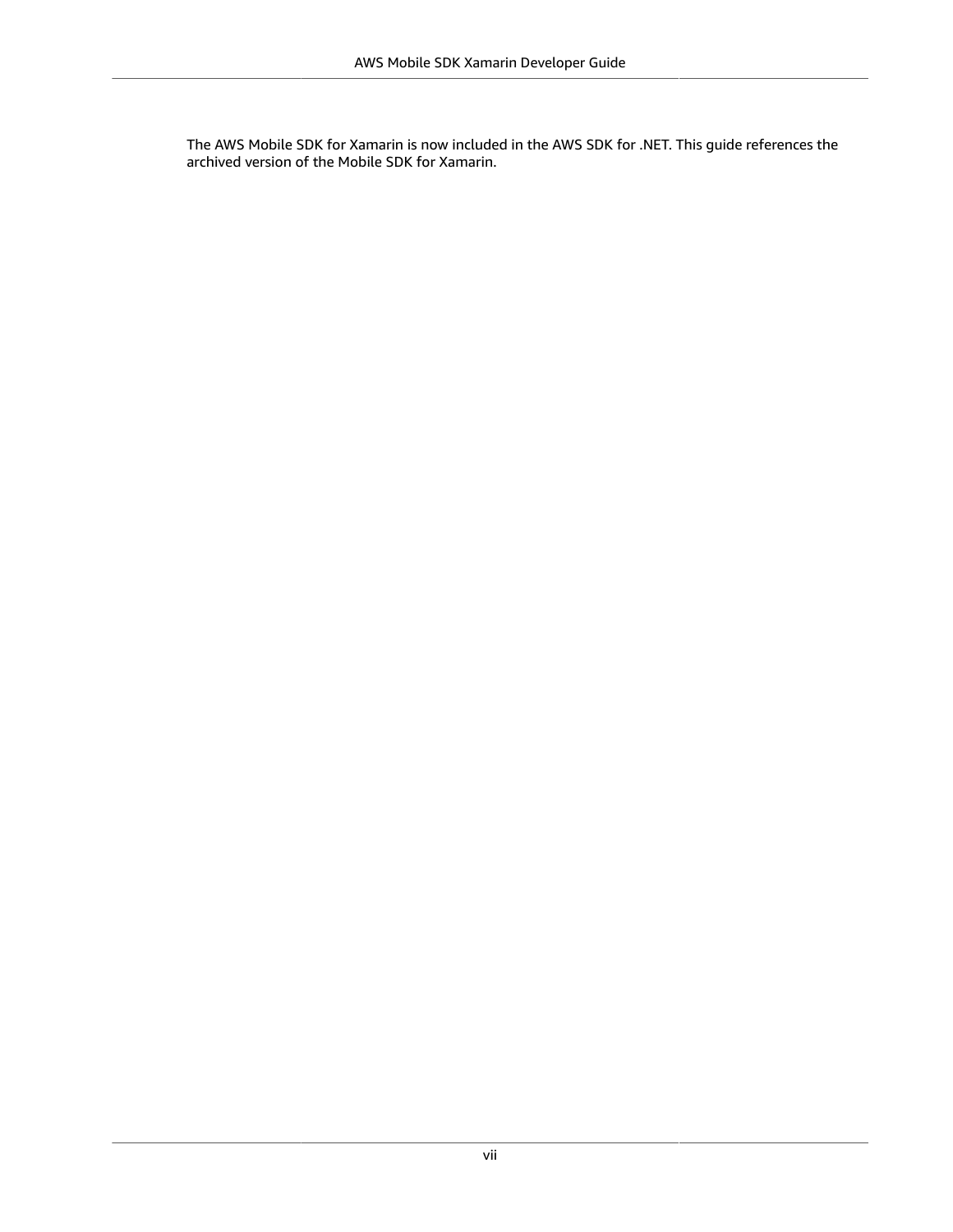<span id="page-6-0"></span>The AWS Mobile SDK for Xamarin is now included in the AWS SDK for .NET. This guide references the archived version of the Mobile SDK for Xamarin.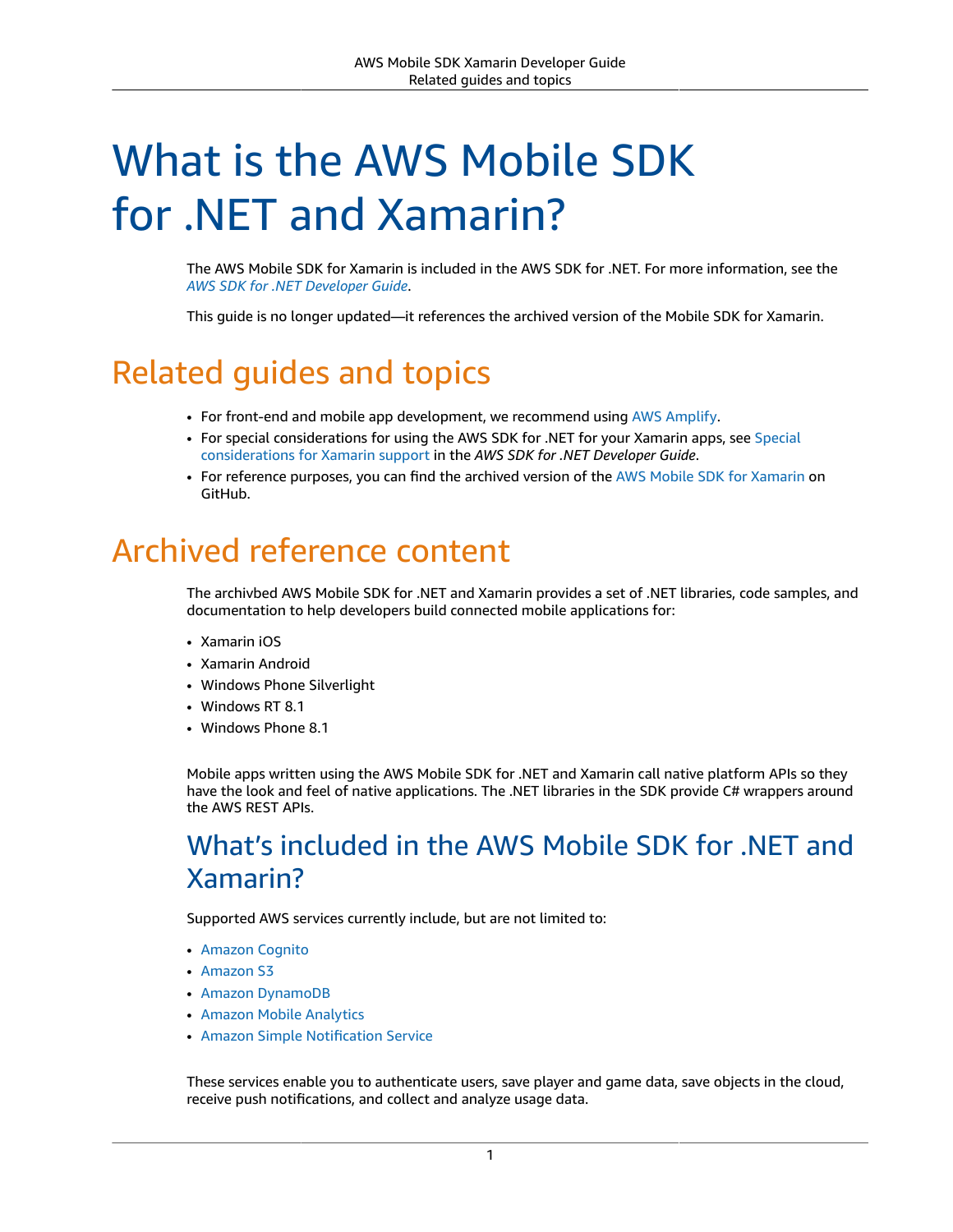# <span id="page-7-0"></span>What is the AWS Mobile SDK for .NET and Xamarin?

The AWS Mobile SDK for Xamarin is included in the AWS SDK for .NET. For more information, see the *AWS SDK for .NET [Developer](https://docs.aws.amazon.com/sdk-for-net/latest/developer-guide/welcome.html) Guide*.

This guide is no longer updated—it references the archived version of the Mobile SDK for Xamarin.

# <span id="page-7-1"></span>Related guides and topics

- For front-end and mobile app development, we recommend using AWS [Amplify.](http://aws.amazon.com/amplify)
- For special considerations for using the AWS SDK for .NET for your Xamarin apps, see [Special](https://docs.aws.amazon.com/sdk-for-net/latest/developer-guide/xamarin-special.html) [considerations](https://docs.aws.amazon.com/sdk-for-net/latest/developer-guide/xamarin-special.html) for Xamarin support in the *AWS SDK for .NET Developer Guide*.
- For reference purposes, you can find the archived version of the AWS Mobile SDK for [Xamarin](https://github.com/amazon-archives/aws-sdk-xamarin) on GitHub.

# <span id="page-7-2"></span>Archived reference content

The archivbed AWS Mobile SDK for .NET and Xamarin provides a set of .NET libraries, code samples, and documentation to help developers build connected mobile applications for:

- Xamarin iOS
- Xamarin Android
- Windows Phone Silverlight
- Windows RT 8.1
- Windows Phone 8.1

Mobile apps written using the AWS Mobile SDK for .NET and Xamarin call native platform APIs so they have the look and feel of native applications. The .NET libraries in the SDK provide C# wrappers around the AWS REST APIs.

# <span id="page-7-3"></span>What's included in the AWS Mobile SDK for .NET and Xamarin?

Supported AWS services currently include, but are not limited to:

- [Amazon](https://aws.amazon.com/cognito) Cognito
- [Amazon](https://aws.amazon.com/s3/) S3
- Amazon [DynamoDB](https://aws.amazon.com/dynamodb/)
- Amazon Mobile [Analytics](https://aws.amazon.com/mobileanalytics/)
- Amazon Simple [Notification](https://aws.amazon.com/sns/) Service

These services enable you to authenticate users, save player and game data, save objects in the cloud, receive push notifications, and collect and analyze usage data.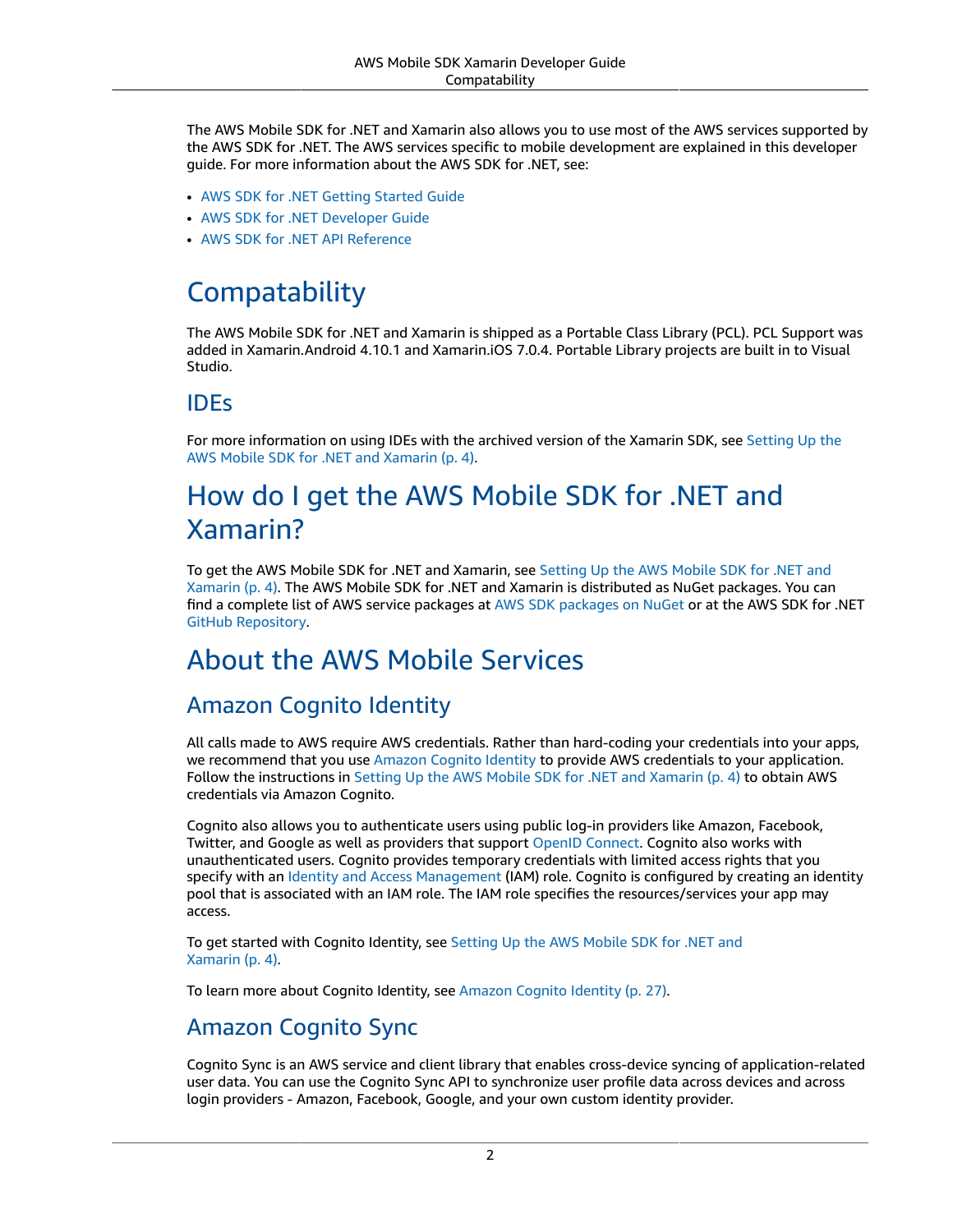The AWS Mobile SDK for .NET and Xamarin also allows you to use most of the AWS services supported by the AWS SDK for .NET. The AWS services specific to mobile development are explained in this developer guide. For more information about the AWS SDK for .NET, see:

- AWS SDK for .NET [Getting](https://docs.aws.amazon.com/AWSSdkDocsNET/latest/DeveloperGuide/net-dg-setup.html) Started Guide
- AWS SDK for .NET [Developer](https://docs.aws.amazon.com/AWSSdkDocsNET/latest/V3/DeveloperGuide/welcome.html) Guide
- AWS SDK for .NET API [Reference](https://docs.aws.amazon.com/sdkfornet/latest/apidocs/Index.html)

### <span id="page-8-0"></span>**Compatability**

The AWS Mobile SDK for .NET and Xamarin is shipped as a Portable Class Library (PCL). PCL Support was added in Xamarin.Android 4.10.1 and Xamarin.iOS 7.0.4. Portable Library projects are built in to Visual Studio.

### IDEs

For more information on using IDEs with the archived version of the Xamarin SDK, see [Setting](#page-10-0) Up the AWS Mobile SDK for .NET and [Xamarin \(p. 4\).](#page-10-0)

# <span id="page-8-1"></span>How do I get the AWS Mobile SDK for .NET and Xamarin?

To get the AWS Mobile SDK for .NET and Xamarin, see [Setting](#page-10-0) Up the AWS Mobile SDK for .NET and [Xamarin \(p. 4\)](#page-10-0). The AWS Mobile SDK for .NET and Xamarin is distributed as NuGet packages. You can find a complete list of AWS service packages at AWS SDK [packages](https://www.nuget.org/packages?q=awssdk&page=1) on NuGet or at the AWS SDK for .NET GitHub [Repository.](https://github.com/aws/aws-sdk-net#nuget-packages)

# <span id="page-8-2"></span>About the AWS Mobile Services

### Amazon Cognito Identity

All calls made to AWS require AWS credentials. Rather than hard-coding your credentials into your apps, we recommend that you use [Amazon](https://docs.aws.amazon.com/cognito/latest/developerguide/cognito-identity.html) Cognito Identity to provide AWS credentials to your application. Follow the instructions in Setting Up the AWS Mobile SDK for .NET and [Xamarin \(p. 4\)](#page-10-0) to obtain AWS credentials via Amazon Cognito.

Cognito also allows you to authenticate users using public log-in providers like Amazon, Facebook, Twitter, and Google as well as providers that support OpenID [Connect.](http://aws.amazon.com/blogs/aws/openid-connect-support/) Cognito also works with unauthenticated users. Cognito provides temporary credentials with limited access rights that you specify with an Identity and Access [Management](https://aws.amazon.com/iam) (IAM) role. Cognito is configured by creating an identity pool that is associated with an IAM role. The IAM role specifies the resources/services your app may access.

To get started with Cognito Identity, see [Setting](#page-10-0) Up the AWS Mobile SDK for .NET and [Xamarin \(p. 4\)](#page-10-0).

To learn more about Cognito Identity, see [Amazon](#page-33-0) Cognito Identit[y \(p. 27\)](#page-33-0).

### <span id="page-8-3"></span>Amazon Cognito Sync

Cognito Sync is an AWS service and client library that enables cross-device syncing of application-related user data. You can use the Cognito Sync API to synchronize user profile data across devices and across login providers - Amazon, Facebook, Google, and your own custom identity provider.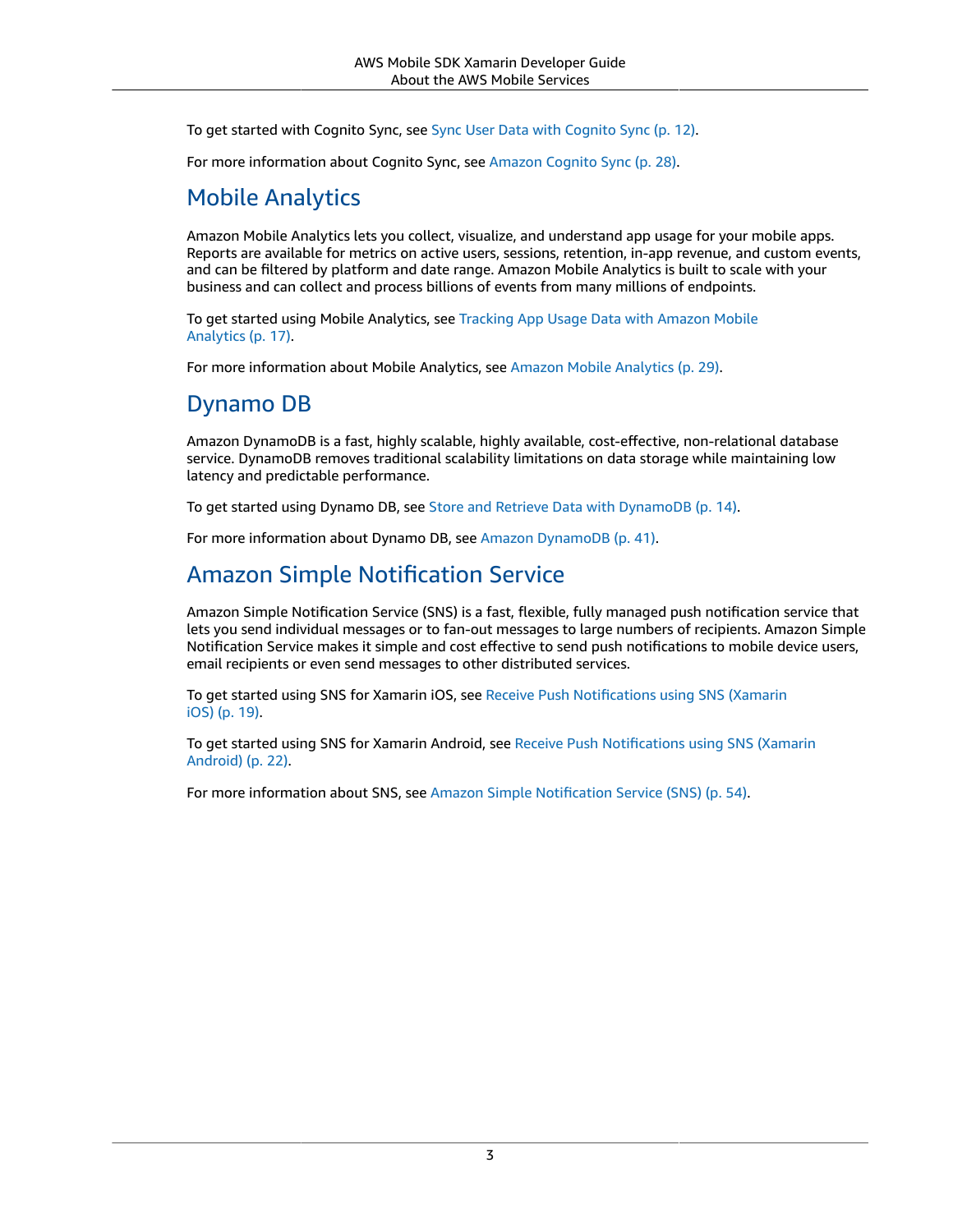To get started with Cognito Sync, see Sync User Data with [Cognito](#page-18-2) Sync [\(p. 12\).](#page-18-2)

For more information about Cognito Sync, see [Amazon](#page-34-0) Cognito Sync [\(p. 28\).](#page-34-0)

### Mobile Analytics

Amazon Mobile Analytics lets you collect, visualize, and understand app usage for your mobile apps. Reports are available for metrics on active users, sessions, retention, in-app revenue, and custom events, and can be filtered by platform and date range. Amazon Mobile Analytics is built to scale with your business and can collect and process billions of events from many millions of endpoints.

To get started using Mobile Analytics, see [Tracking](#page-23-3) App Usage Data with Amazon Mobile [Analytics \(p. 17\).](#page-23-3)

For more information about Mobile Analytics, see Amazon Mobile [Analytics \(p. 29\)](#page-35-0).

### Dynamo DB

Amazon DynamoDB is a fast, highly scalable, highly available, cost-effective, non-relational database service. DynamoDB removes traditional scalability limitations on data storage while maintaining low latency and predictable performance.

To get started using Dynamo DB, see Store and Retrieve Data with [DynamoDB \(p. 14\).](#page-20-0)

For more information about Dynamo DB, see Amazon [DynamoDB \(p. 41\)](#page-47-0).

### Amazon Simple Notification Service

Amazon Simple Notification Service (SNS) is a fast, flexible, fully managed push notification service that lets you send individual messages or to fan-out messages to large numbers of recipients. Amazon Simple Notification Service makes it simple and cost effective to send push notifications to mobile device users, email recipients or even send messages to other distributed services.

To get started using SNS for Xamarin iOS, see Receive Push [Notifications](#page-25-1) using SNS (Xamarin [iOS\) \(p. 19\).](#page-25-1)

To get started using SNS for Xamarin Android, see Receive Push [Notifications](#page-28-1) using SNS (Xamarin [Android\) \(p. 22\)](#page-28-1).

For more information about SNS, see Amazon Simple [Notification](#page-60-0) Service (SNS[\) \(p. 54\)](#page-60-0).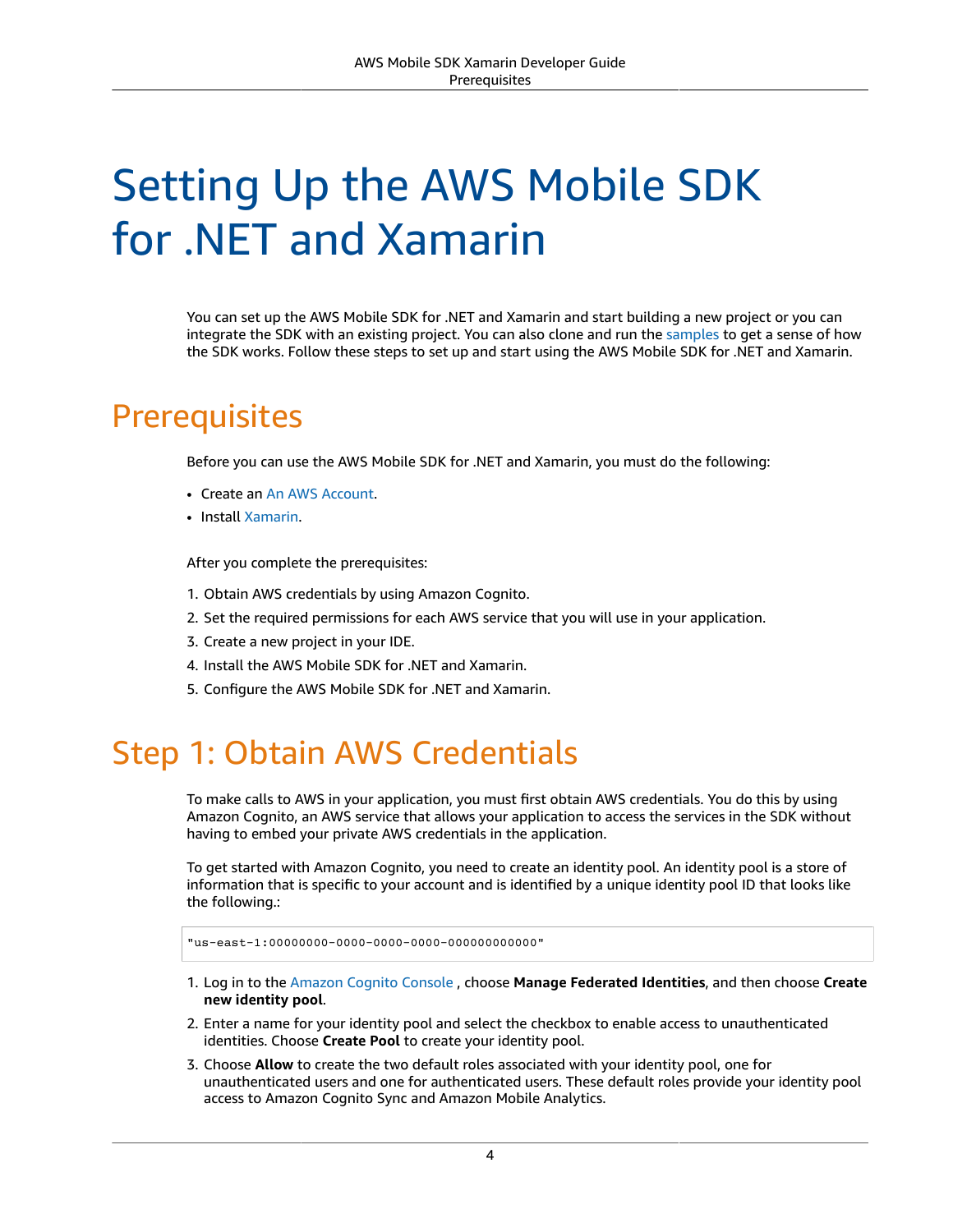# <span id="page-10-0"></span>Setting Up the AWS Mobile SDK for .NET and Xamarin

You can set up the AWS Mobile SDK for .NET and Xamarin and start building a new project or you can integrate the SDK with an existing project. You can also clone and run the [samples](https://github.com/awslabs/aws-sdk-net-samples/tree/master/XamarinSamples) to get a sense of how the SDK works. Follow these steps to set up and start using the AWS Mobile SDK for .NET and Xamarin.

# <span id="page-10-1"></span>**Prerequisites**

Before you can use the AWS Mobile SDK for .NET and Xamarin, you must do the following:

- Create an An AWS [Account](https://aws.amazon.com/).
- Install [Xamarin.](https://docs.microsoft.com/en-us/xamarin/get-started/installation/?pivots=windows)

After you complete the prerequisites:

- 1. Obtain AWS credentials by using Amazon Cognito.
- 2. Set the required permissions for each AWS service that you will use in your application.
- 3. Create a new project in your IDE.
- 4. Install the AWS Mobile SDK for .NET and Xamarin.
- 5. Configure the AWS Mobile SDK for .NET and Xamarin.

# <span id="page-10-2"></span>Step 1: Obtain AWS Credentials

To make calls to AWS in your application, you must first obtain AWS credentials. You do this by using Amazon Cognito, an AWS service that allows your application to access the services in the SDK without having to embed your private AWS credentials in the application.

To get started with Amazon Cognito, you need to create an identity pool. An identity pool is a store of information that is specific to your account and is identified by a unique identity pool ID that looks like the following.:

"us-east-1:00000000-0000-0000-0000-000000000000"

- 1. Log in to the [Amazon](https://console.aws.amazon.com/cognito/home) Cognito Console , choose **Manage Federated Identities**, and then choose **Create new identity pool**.
- 2. Enter a name for your identity pool and select the checkbox to enable access to unauthenticated identities. Choose **Create Pool** to create your identity pool.
- 3. Choose **Allow** to create the two default roles associated with your identity pool, one for unauthenticated users and one for authenticated users. These default roles provide your identity pool access to Amazon Cognito Sync and Amazon Mobile Analytics.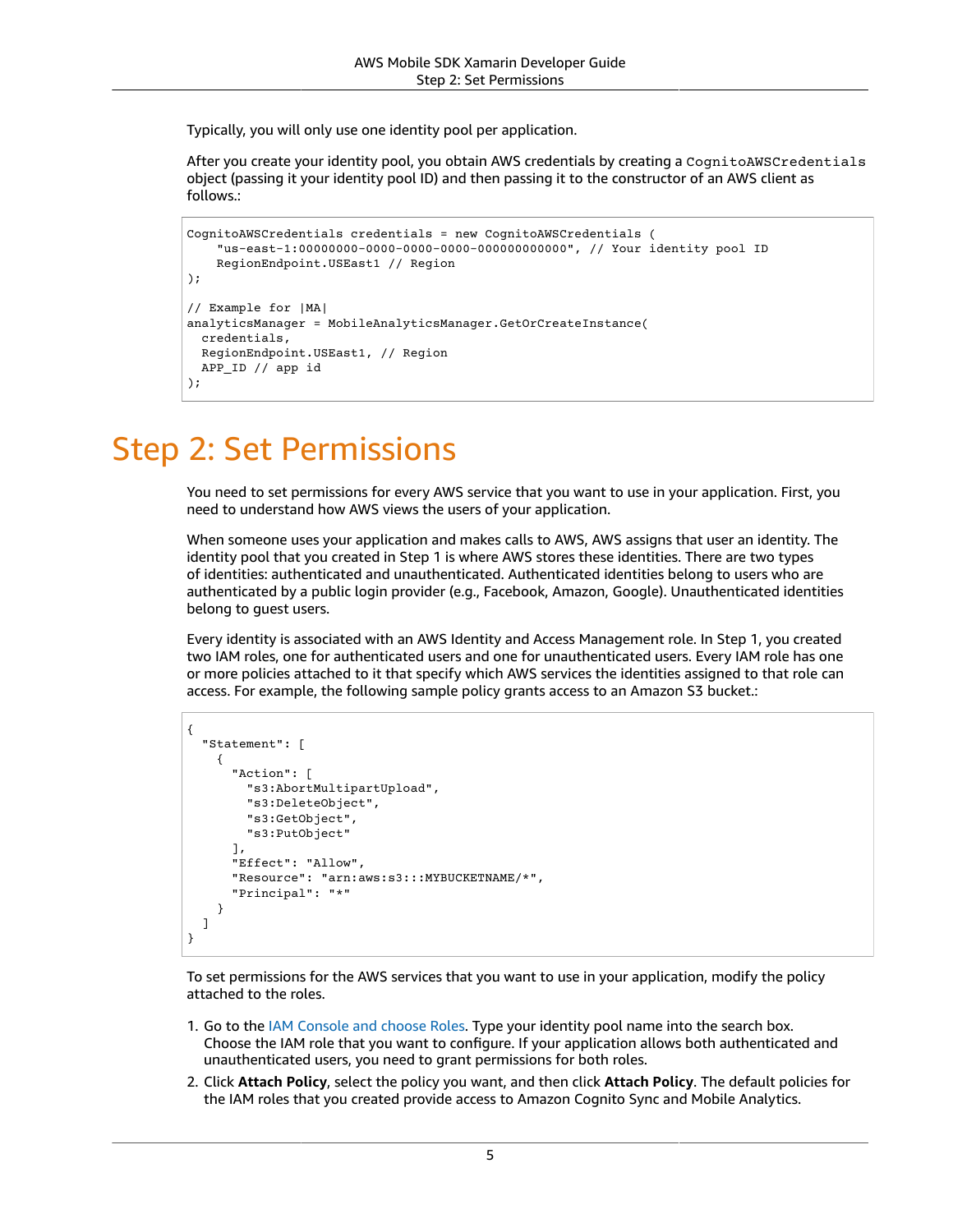Typically, you will only use one identity pool per application.

After you create your identity pool, you obtain AWS credentials by creating a CognitoAWSCredentials object (passing it your identity pool ID) and then passing it to the constructor of an AWS client as follows.:

```
CognitoAWSCredentials credentials = new CognitoAWSCredentials (
     "us-east-1:00000000-0000-0000-0000-000000000000", // Your identity pool ID
     RegionEndpoint.USEast1 // Region
);
// Example for |MA|
analyticsManager = MobileAnalyticsManager.GetOrCreateInstance(
  credentials,
  RegionEndpoint.USEast1, // Region
  APP_ID // app id
);
```
# <span id="page-11-0"></span>Step 2: Set Permissions

You need to set permissions for every AWS service that you want to use in your application. First, you need to understand how AWS views the users of your application.

When someone uses your application and makes calls to AWS, AWS assigns that user an identity. The identity pool that you created in Step 1 is where AWS stores these identities. There are two types of identities: authenticated and unauthenticated. Authenticated identities belong to users who are authenticated by a public login provider (e.g., Facebook, Amazon, Google). Unauthenticated identities belong to guest users.

Every identity is associated with an AWS Identity and Access Management role. In Step 1, you created two IAM roles, one for authenticated users and one for unauthenticated users. Every IAM role has one or more policies attached to it that specify which AWS services the identities assigned to that role can access. For example, the following sample policy grants access to an Amazon S3 bucket.:

```
{
   "Statement": [
     {
       "Action": [
          "s3:AbortMultipartUpload",
          "s3:DeleteObject",
          "s3:GetObject",
         "s3:PutObject"
       ],
       "Effect": "Allow",
       "Resource": "arn:aws:s3:::MYBUCKETNAME/*",
       "Principal": "*"
     }
   ]
}
```
To set permissions for the AWS services that you want to use in your application, modify the policy attached to the roles.

- 1. Go to the IAM [Console](https://console.aws.amazon.com/iam/home) and choose Roles. Type your identity pool name into the search box. Choose the IAM role that you want to configure. If your application allows both authenticated and unauthenticated users, you need to grant permissions for both roles.
- 2. Click **Attach Policy**, select the policy you want, and then click **Attach Policy**. The default policies for the IAM roles that you created provide access to Amazon Cognito Sync and Mobile Analytics.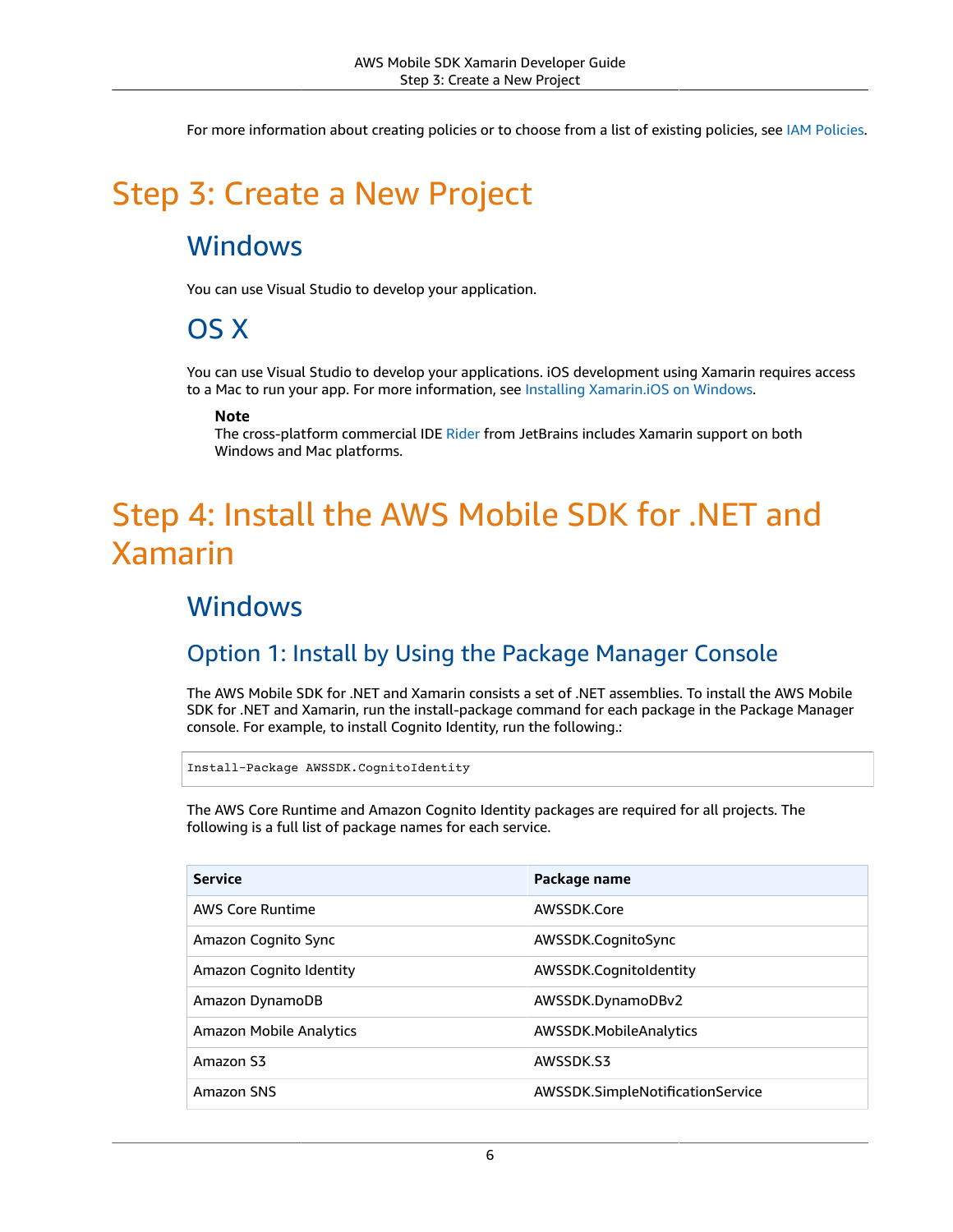For more information about creating policies or to choose from a list of existing policies, see IAM [Policies](https://docs.aws.amazon.com/IAM/latest/UserGuide/PoliciesOverview.html).

# <span id="page-12-1"></span><span id="page-12-0"></span>Step 3: Create a New Project

### **Windows**

<span id="page-12-2"></span>You can use Visual Studio to develop your application.

# OS X

You can use Visual Studio to develop your applications. iOS development using Xamarin requires access to a Mac to run your app. For more information, see Installing [Xamarin.iOS](https://docs.microsoft.com/en-us/xamarin/ios/get-started/installation/windows/?pivots=windows) on Windows.

#### **Note**

The cross-platform commercial IDE [Rider](https://www.jetbrains.com/help/rider/Xamarin.html) from JetBrains includes Xamarin support on both Windows and Mac platforms.

# <span id="page-12-3"></span>Step 4: Install the AWS Mobile SDK for .NET and Xamarin

### <span id="page-12-4"></span>**Windows**

### Option 1: Install by Using the Package Manager Console

The AWS Mobile SDK for .NET and Xamarin consists a set of .NET assemblies. To install the AWS Mobile SDK for .NET and Xamarin, run the install-package command for each package in the Package Manager console. For example, to install Cognito Identity, run the following.:

```
Install-Package AWSSDK.CognitoIdentity
```
The AWS Core Runtime and Amazon Cognito Identity packages are required for all projects. The following is a full list of package names for each service.

| <b>Service</b>                 | Package name                     |
|--------------------------------|----------------------------------|
| <b>AWS Core Runtime</b>        | AWSSDK.Core                      |
| Amazon Cognito Sync            | AWSSDK.CognitoSync               |
| Amazon Cognito Identity        | AWSSDK.CognitoIdentity           |
| Amazon DynamoDB                | AWSSDK.DynamoDBv2                |
| <b>Amazon Mobile Analytics</b> | AWSSDK.MobileAnalytics           |
| Amazon S3                      | AWSSDK.S3                        |
| Amazon SNS                     | AWSSDK.SimpleNotificationService |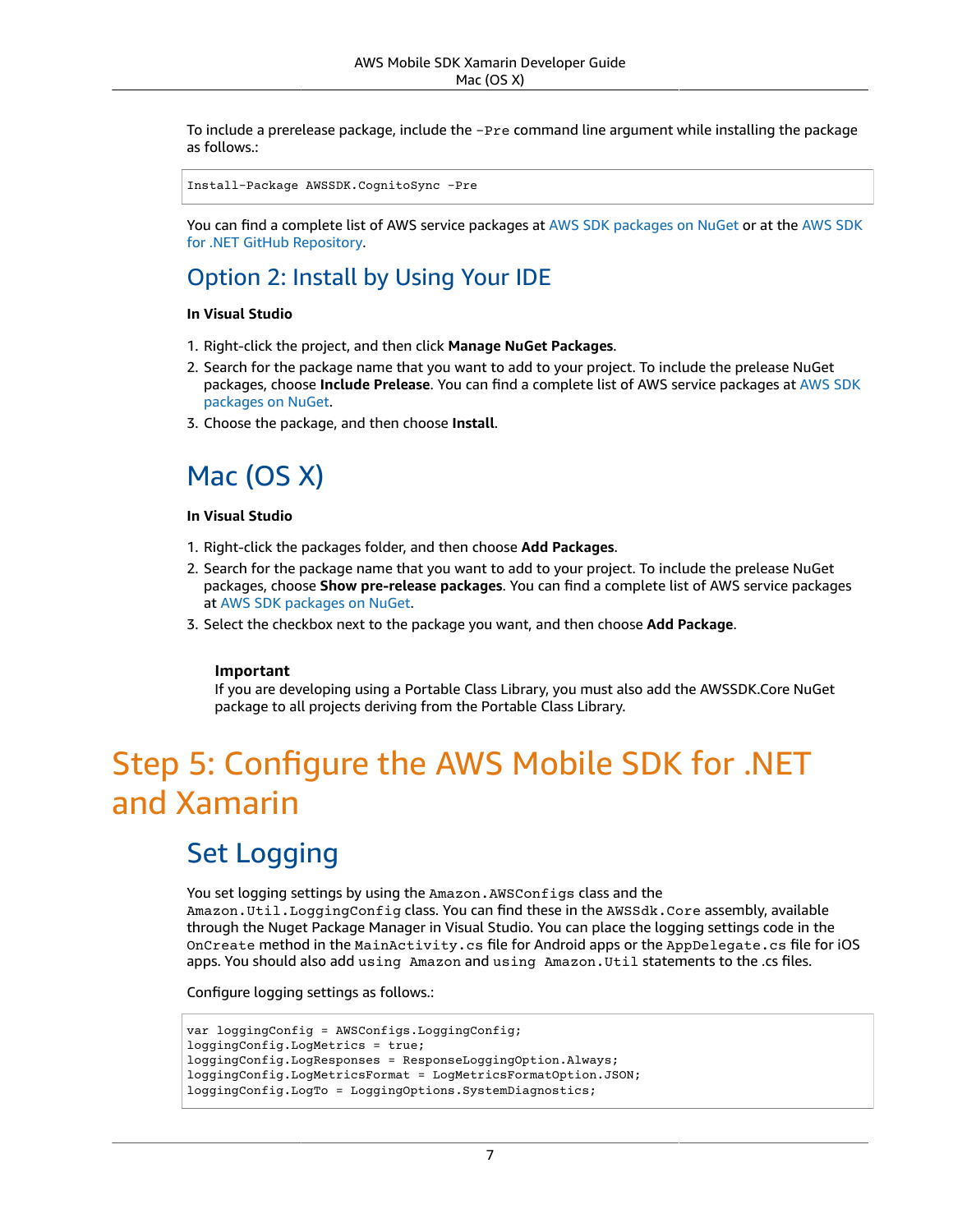To include a prerelease package, include the -Pre command line argument while installing the package as follows.:

Install-Package AWSSDK.CognitoSync -Pre

You can find a complete list of AWS service packages at AWS SDK [packages](https://www.nuget.org/packages?q=+aws-sdk-v3) on NuGet or at the [AWS](https://github.com/aws/aws-sdk-net#nuget-packages) SDK for .NET GitHub [Repository](https://github.com/aws/aws-sdk-net#nuget-packages).

### Option 2: Install by Using Your IDE

#### **In Visual Studio**

- 1. Right-click the project, and then click **Manage NuGet Packages**.
- 2. Search for the package name that you want to add to your project. To include the prelease NuGet packages, choose **Include Prelease**. You can find a complete list of AWS service packages at [AWS](https://www.nuget.org/packages?q=+aws-sdk-v3) SDK [packages on NuGet.](https://www.nuget.org/packages?q=+aws-sdk-v3)
- 3. Choose the package, and then choose **Install**.

# <span id="page-13-0"></span>Mac (OS X)

#### **In Visual Studio**

- 1. Right-click the packages folder, and then choose **Add Packages**.
- 2. Search for the package name that you want to add to your project. To include the prelease NuGet packages, choose **Show pre-release packages**. You can find a complete list of AWS service packages at AWS SDK [packages](https://www.nuget.org/packages?q=+aws-sdk-v3) on NuGet.
- 3. Select the checkbox next to the package you want, and then choose **Add Package**.

#### **Important**

If you are developing using a Portable Class Library, you must also add the AWSSDK.Core NuGet package to all projects deriving from the Portable Class Library.

# <span id="page-13-1"></span>Step 5: Configure the AWS Mobile SDK for .NET and Xamarin

### <span id="page-13-2"></span>Set Logging

You set logging settings by using the Amazon.AWSConfigs class and the Amazon.Util.LoggingConfig class. You can find these in the AWSSdk.Core assembly, available through the Nuget Package Manager in Visual Studio. You can place the logging settings code in the OnCreate method in the MainActivity.cs file for Android apps or the AppDelegate.cs file for iOS apps. You should also add using Amazon and using Amazon.Util statements to the .cs files.

Configure logging settings as follows.:

```
var loggingConfig = AWSConfigs.LoggingConfig;
loggingConfig.LogMetrics = true;
loggingConfig.LogResponses = ResponseLoggingOption.Always;
loggingConfig.LogMetricsFormat = LogMetricsFormatOption.JSON;
loggingConfig.LogTo = LoggingOptions.SystemDiagnostics;
```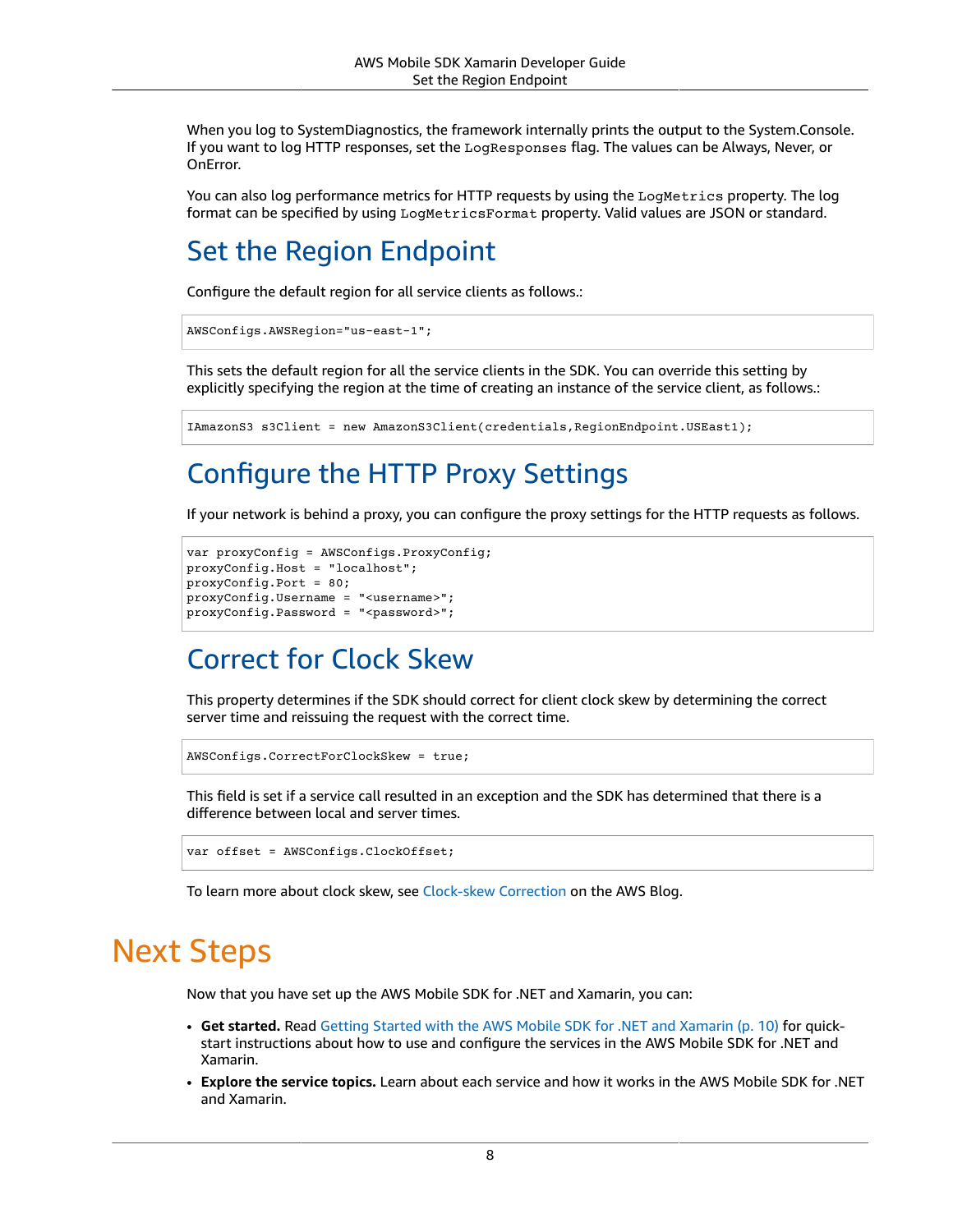When you log to SystemDiagnostics, the framework internally prints the output to the System.Console. If you want to log HTTP responses, set the LogResponses flag. The values can be Always, Never, or OnError.

You can also log performance metrics for HTTP requests by using the LogMetrics property. The log format can be specified by using LogMetricsFormat property. Valid values are JSON or standard.

## <span id="page-14-0"></span>Set the Region Endpoint

Configure the default region for all service clients as follows.:

```
AWSConfigs.AWSRegion="us-east-1";
```
This sets the default region for all the service clients in the SDK. You can override this setting by explicitly specifying the region at the time of creating an instance of the service client, as follows.:

```
IAmazonS3 s3Client = new AmazonS3Client(credentials,RegionEndpoint.USEast1);
```
# <span id="page-14-1"></span>Configure the HTTP Proxy Settings

If your network is behind a proxy, you can configure the proxy settings for the HTTP requests as follows.

```
var proxyConfig = AWSConfigs.ProxyConfig;
proxyConfig.Host = "localhost";
proxyConfig.Port = 80;
proxyConfig.Username = "<username>";
proxyConfig.Password = "<password>";
```
# <span id="page-14-2"></span>Correct for Clock Skew

This property determines if the SDK should correct for client clock skew by determining the correct server time and reissuing the request with the correct time.

AWSConfigs.CorrectForClockSkew = true;

This field is set if a service call resulted in an exception and the SDK has determined that there is a difference between local and server times.

```
var offset = AWSConfigs.ClockOffset;
```
To learn more about clock skew, see [Clock-skew](https://blogs.aws.amazon.com/net/post/Tx2HM54KL5LMTGI/Clock-skew-correction) Correction on the AWS Blog.

# <span id="page-14-3"></span>Next Steps

Now that you have set up the AWS Mobile SDK for .NET and Xamarin, you can:

- **Get started.** Read Getting Started with the AWS Mobile SDK for .NET and [Xamarin \(p. 10\)](#page-16-0) for quickstart instructions about how to use and configure the services in the AWS Mobile SDK for .NET and Xamarin.
- **Explore the service topics.** Learn about each service and how it works in the AWS Mobile SDK for .NET and Xamarin.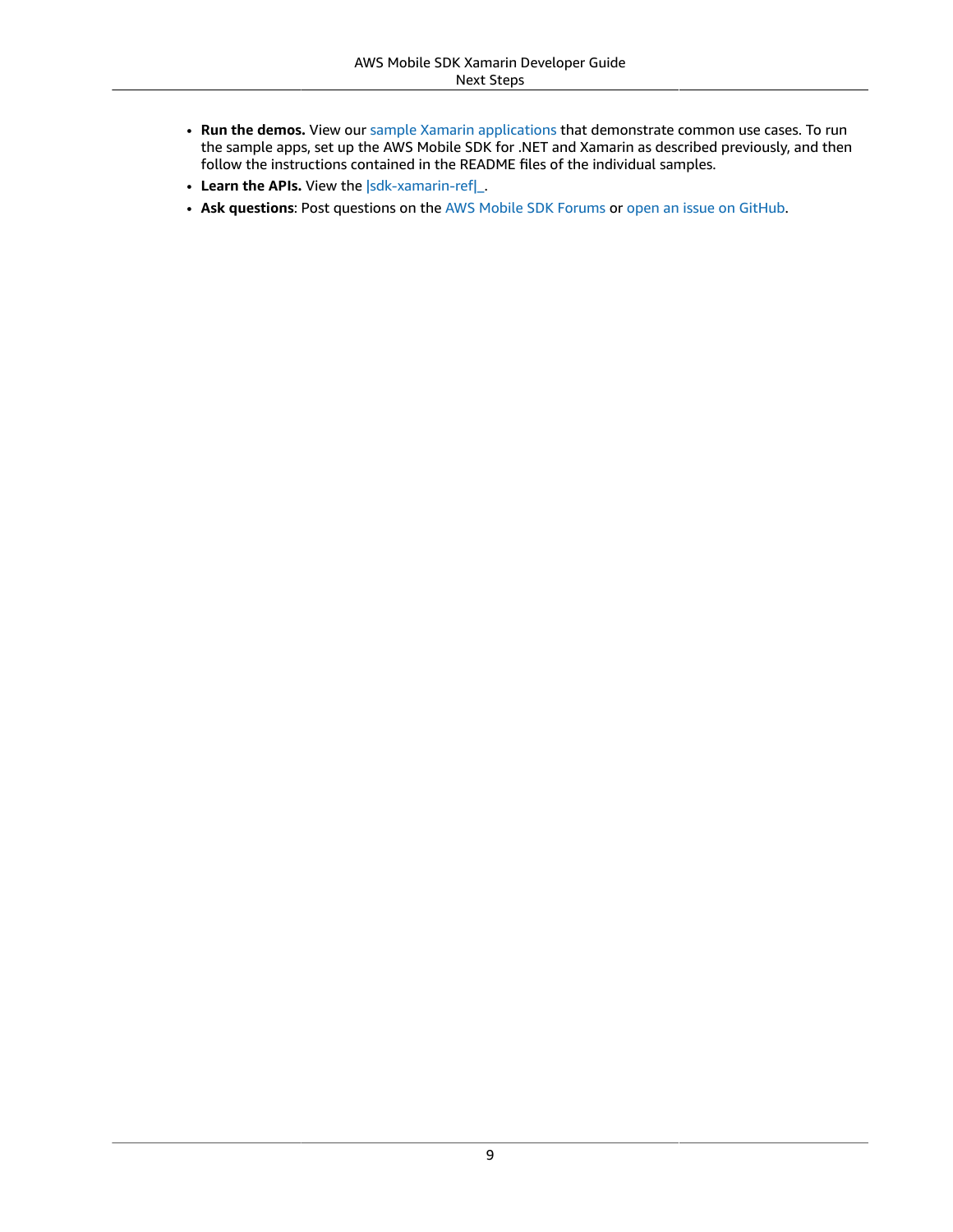- **Run the demos.** View our [sample Xamarin applications](https://github.com/awslabs/aws-sdk-net-samples/tree/master/XamarinSamples) that demonstrate common use cases. To run the sample apps, set up the AWS Mobile SDK for .NET and Xamarin as described previously, and then follow the instructions contained in the README files of the individual samples.
- Learn the APIs. View the [|sdk-xamarin-ref|\\_](https://docs.aws.amazon.com/sdkfornet/v3/apidocs/).
- **Ask questions**: Post questions on the AWS Mobile SDK [Forums](https://forums.aws.amazon.com/forum.jspa?forumID=88) or [open an issue on GitHub.](https://github.com/awslabs/aws-sdk-xamarin/issues)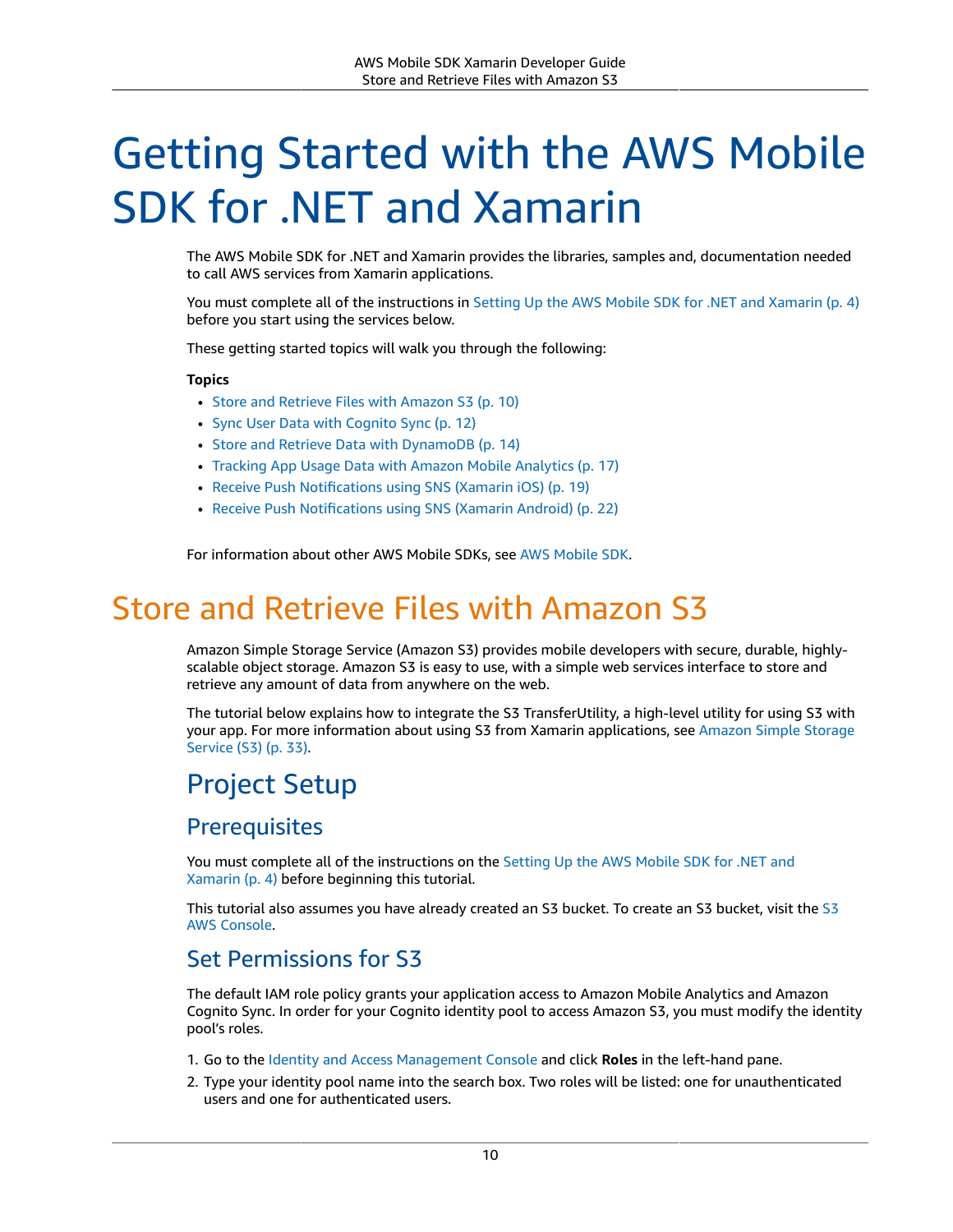# <span id="page-16-0"></span>Getting Started with the AWS Mobile SDK for .NET and Xamarin

The AWS Mobile SDK for .NET and Xamarin provides the libraries, samples and, documentation needed to call AWS services from Xamarin applications.

You must complete all of the instructions in Setting Up the AWS Mobile SDK for .NET and [Xamarin \(p. 4\)](#page-10-0) before you start using the services below.

These getting started topics will walk you through the following:

#### **Topics**

- Store and Retrieve Files with Amazon [S3 \(p. 10\)](#page-16-1)
- Sync User Data with Cognito [Sync \(p. 12\)](#page-18-2)
- Store and Retrieve Data with [DynamoDB \(p. 14\)](#page-20-0)
- Tracking App Usage Data with Amazon Mobile [Analytics \(p. 17\)](#page-23-3)
- Receive Push [Notifications](#page-25-1) using SNS (Xamarin iOS) (p. 19)
- Receive Push Notifications using SNS (Xamarin [Android\) \(p. 22\)](#page-28-1)

For information about other AWS Mobile SDKs, see AWS [Mobile](https://aws.amazon.com/mobile/sdk/) SDK.

# <span id="page-16-1"></span>Store and Retrieve Files with Amazon S3

Amazon Simple Storage Service (Amazon S3) provides mobile developers with secure, durable, highlyscalable object storage. Amazon S3 is easy to use, with a simple web services interface to store and retrieve any amount of data from anywhere on the web.

The tutorial below explains how to integrate the S3 TransferUtility, a high-level utility for using S3 with your app. For more information about using S3 from Xamarin applications, see [Amazon](#page-39-0) Simple Storage [Service](#page-39-0) (S3) [\(p. 33\).](#page-39-0)

# <span id="page-16-2"></span>Project Setup

### **Prerequisites**

You must complete all of the instructions on the [Setting](#page-10-0) Up the AWS Mobile SDK for .NET and [Xamarin \(p. 4\)](#page-10-0) before beginning this tutorial.

This tutorial also assumes you have already created an [S3](https://console.aws.amazon.com/s3/home) bucket. To create an S3 bucket, visit the S3 AWS [Console.](https://console.aws.amazon.com/s3/home)

### <span id="page-16-3"></span>Set Permissions for S3

The default IAM role policy grants your application access to Amazon Mobile Analytics and Amazon Cognito Sync. In order for your Cognito identity pool to access Amazon S3, you must modify the identity pool's roles.

- 1. Go to the Identity and Access [Management](https://console.aws.amazon.com/iam/home) Console and click **Roles** in the left-hand pane.
- 2. Type your identity pool name into the search box. Two roles will be listed: one for unauthenticated users and one for authenticated users.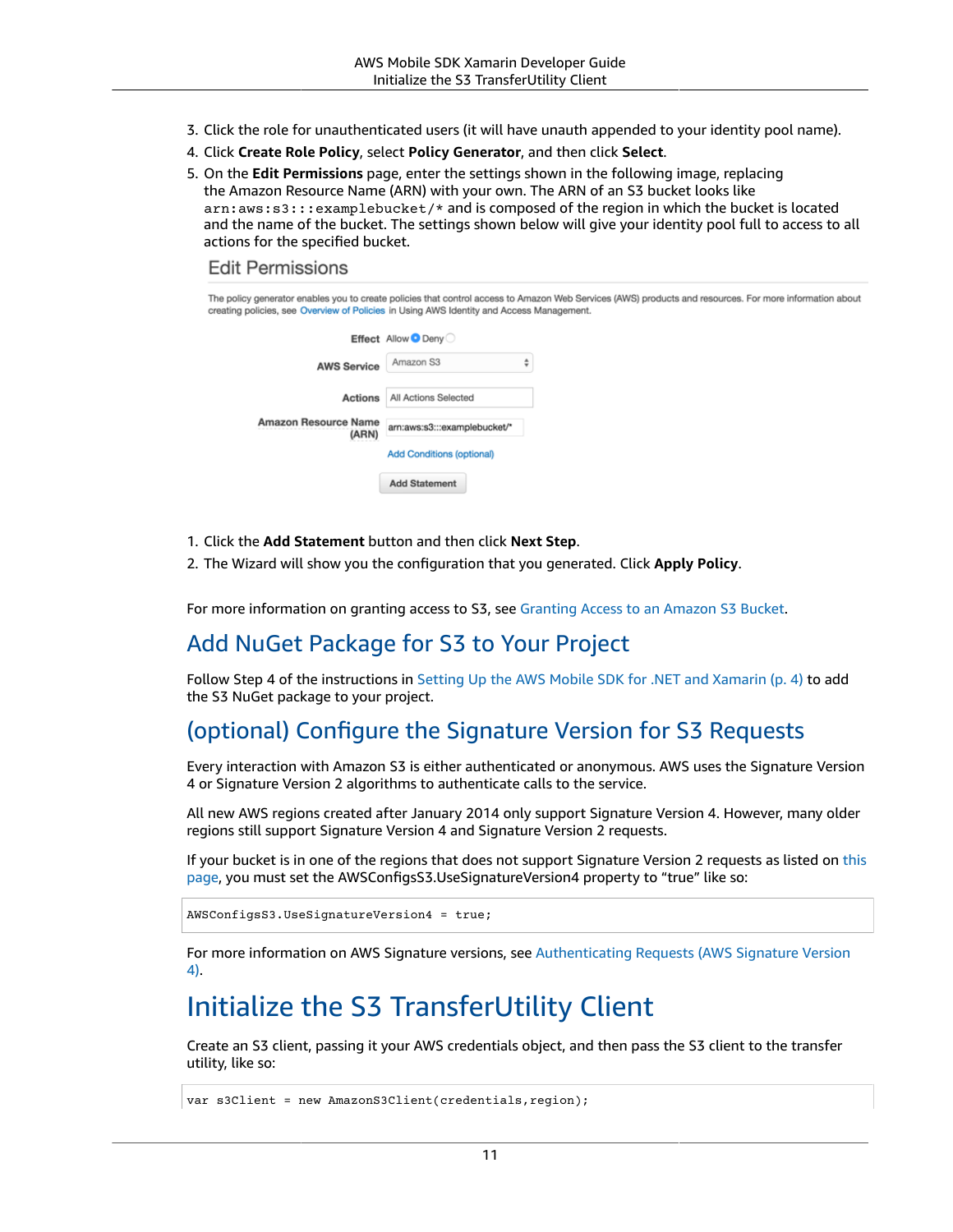- 3. Click the role for unauthenticated users (it will have unauth appended to your identity pool name).
- 4. Click **Create Role Policy**, select **Policy Generator**, and then click **Select**.
- 5. On the **Edit Permissions** page, enter the settings shown in the following image, replacing the Amazon Resource Name (ARN) with your own. The ARN of an S3 bucket looks like arn:aws:s3:::examplebucket/\* and is composed of the region in which the bucket is located and the name of the bucket. The settings shown below will give your identity pool full to access to all actions for the specified bucket.

#### **Edit Permissions**

The policy generator enables you to create policies that control access to Amazon Web Services (AWS) products and resources. For more information about creating policies, see Overview of Policies in Using AWS Identity and Access Management.

|                               | Effect Allow Deny              |   |
|-------------------------------|--------------------------------|---|
| <b>AWS Service</b>            | Amazon S3                      | ÷ |
|                               | Actions   All Actions Selected |   |
| Amazon Resource Name<br>(ARN) | arn:aws:s3:::examplebucket/*   |   |
|                               | Add Conditions (optional)      |   |
|                               | <b>Add Statement</b>           |   |

- 1. Click the **Add Statement** button and then click **Next Step**.
- 2. The Wizard will show you the configuration that you generated. Click **Apply Policy**.

For more information on granting access to S3, see [Granting](http://blogs.aws.amazon.com/security/post/Tx3VRSWZ6B3SHAV/Writing-IAM-Policies-How-to-grant-access-to-an-Amazon-S3-bucket) Access to an Amazon S3 Bucket.

### Add NuGet Package for S3 to Your Project

Follow Step 4 of the instructions in Setting Up the AWS Mobile SDK for .NET and [Xamarin \(p. 4\)](#page-10-0) to add the S3 NuGet package to your project.

### <span id="page-17-1"></span>(optional) Configure the Signature Version for S3 Requests

Every interaction with Amazon S3 is either authenticated or anonymous. AWS uses the Signature Version 4 or Signature Version 2 algorithms to authenticate calls to the service.

All new AWS regions created after January 2014 only support Signature Version 4. However, many older regions still support Signature Version 4 and Signature Version 2 requests.

If your bucket is in one of the regions that does not support Signature Version 2 requests as listed on [this](https://docs.aws.amazon.com/general/latest/gr/signature-version-2.html) [page](https://docs.aws.amazon.com/general/latest/gr/signature-version-2.html), you must set the AWSConfigsS3.UseSignatureVersion4 property to "true" like so:

```
AWSConfigsS3.UseSignatureVersion4 = true;
```
For more information on AWS Signature versions, see [Authenticating](https://docs.aws.amazon.com/AmazonS3/latest/API/sig-v4-authenticating-requests.html) Requests (AWS Signature Version [4\)](https://docs.aws.amazon.com/AmazonS3/latest/API/sig-v4-authenticating-requests.html).

### <span id="page-17-0"></span>Initialize the S3 TransferUtility Client

Create an S3 client, passing it your AWS credentials object, and then pass the S3 client to the transfer utility, like so:

```
var s3Client = new AmazonS3Client(credentials, region);
```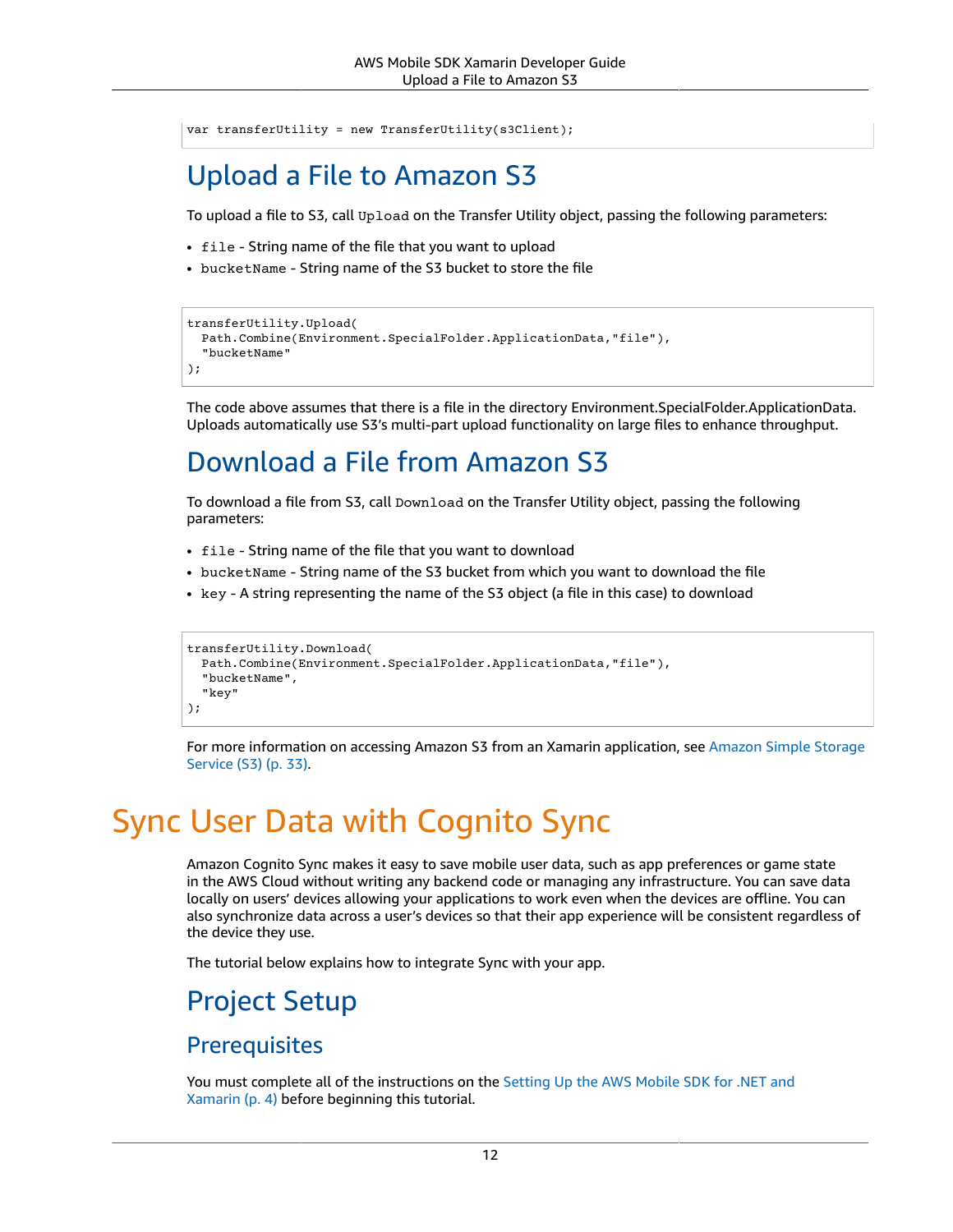var transferUtility = new TransferUtility(s3Client);

## <span id="page-18-0"></span>Upload a File to Amazon S3

To upload a file to S3, call Upload on the Transfer Utility object, passing the following parameters:

- file String name of the file that you want to upload
- bucketName String name of the S3 bucket to store the file

```
transferUtility.Upload(
  Path.Combine(Environment.SpecialFolder.ApplicationData,"file"),
   "bucketName"
);
```
The code above assumes that there is a file in the directory Environment.SpecialFolder.ApplicationData. Uploads automatically use S3's multi-part upload functionality on large files to enhance throughput.

# <span id="page-18-1"></span>Download a File from Amazon S3

To download a file from S3, call Download on the Transfer Utility object, passing the following parameters:

- file String name of the file that you want to download
- bucketName String name of the S3 bucket from which you want to download the file
- key A string representing the name of the S3 object (a file in this case) to download

```
transferUtility.Download(
  Path.Combine(Environment.SpecialFolder.ApplicationData,"file"),
   "bucketName",
   "key"
);
```
For more information on accessing Amazon S3 from an Xamarin application, see [Amazon](#page-39-0) Simple Storage [Service](#page-39-0) (S3) [\(p. 33\).](#page-39-0)

# <span id="page-18-2"></span>Sync User Data with Cognito Sync

Amazon Cognito Sync makes it easy to save mobile user data, such as app preferences or game state in the AWS Cloud without writing any backend code or managing any infrastructure. You can save data locally on users' devices allowing your applications to work even when the devices are offline. You can also synchronize data across a user's devices so that their app experience will be consistent regardless of the device they use.

The tutorial below explains how to integrate Sync with your app.

### Project Setup

### **Prerequisites**

You must complete all of the instructions on the [Setting](#page-10-0) Up the AWS Mobile SDK for .NET and [Xamarin \(p. 4\)](#page-10-0) before beginning this tutorial.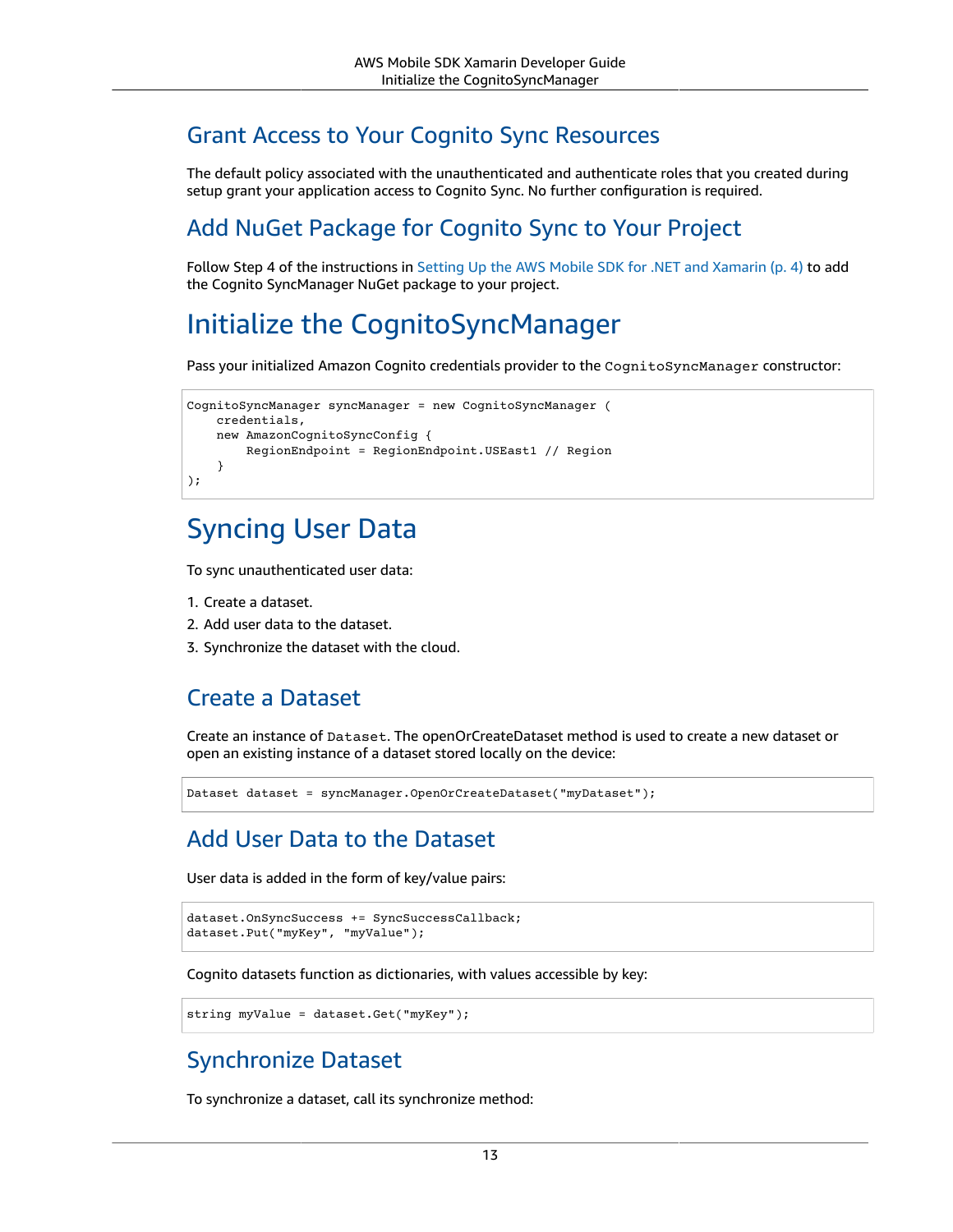### Grant Access to Your Cognito Sync Resources

The default policy associated with the unauthenticated and authenticate roles that you created during setup grant your application access to Cognito Sync. No further configuration is required.

### Add NuGet Package for Cognito Sync to Your Project

Follow Step 4 of the instructions in Setting Up the AWS Mobile SDK for .NET and [Xamarin \(p. 4\)](#page-10-0) to add the Cognito SyncManager NuGet package to your project.

### <span id="page-19-0"></span>Initialize the CognitoSyncManager

Pass your initialized Amazon Cognito credentials provider to the CognitoSyncManager constructor:

```
CognitoSyncManager syncManager = new CognitoSyncManager (
    credentials,
    new AmazonCognitoSyncConfig {
         RegionEndpoint = RegionEndpoint.USEast1 // Region
     }
);
```
### <span id="page-19-1"></span>Syncing User Data

To sync unauthenticated user data:

- 1. Create a dataset.
- 2. Add user data to the dataset.
- 3. Synchronize the dataset with the cloud.

### Create a Dataset

Create an instance of Dataset. The openOrCreateDataset method is used to create a new dataset or open an existing instance of a dataset stored locally on the device:

```
Dataset dataset = syncManager.OpenOrCreateDataset("myDataset");
```
### Add User Data to the Dataset

User data is added in the form of key/value pairs:

```
dataset.OnSyncSuccess += SyncSuccessCallback;
dataset.Put("myKey", "myValue");
```
Cognito datasets function as dictionaries, with values accessible by key:

```
string myValue = dataset.Get("myKey");
```
### Synchronize Dataset

To synchronize a dataset, call its synchronize method: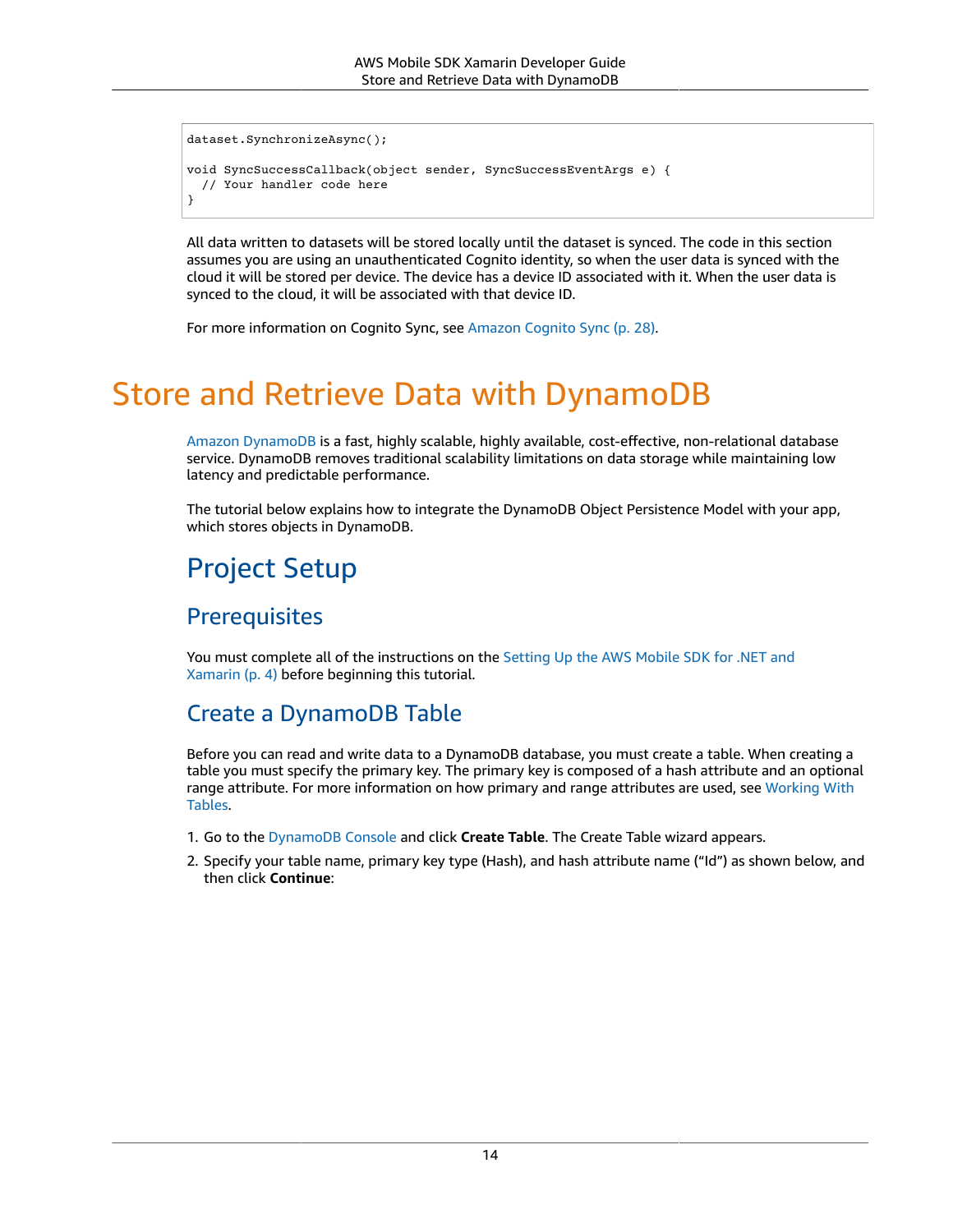```
dataset.SynchronizeAsync();
void SyncSuccessCallback(object sender, SyncSuccessEventArgs e) {
  // Your handler code here
}
```
All data written to datasets will be stored locally until the dataset is synced. The code in this section assumes you are using an unauthenticated Cognito identity, so when the user data is synced with the cloud it will be stored per device. The device has a device ID associated with it. When the user data is synced to the cloud, it will be associated with that device ID.

For more information on Cognito Sync, see [Amazon](#page-34-0) Cognito Sync [\(p. 28\)](#page-34-0).

# <span id="page-20-0"></span>Store and Retrieve Data with DynamoDB

Amazon [DynamoDB](https://aws.amazon.com/dynamodb/) is a fast, highly scalable, highly available, cost-effective, non-relational database service. DynamoDB removes traditional scalability limitations on data storage while maintaining low latency and predictable performance.

The tutorial below explains how to integrate the DynamoDB Object Persistence Model with your app, which stores objects in DynamoDB.

# Project Setup

### **Prerequisites**

You must complete all of the instructions on the [Setting](#page-10-0) Up the AWS Mobile SDK for .NET and [Xamarin \(p. 4\)](#page-10-0) before beginning this tutorial.

### <span id="page-20-1"></span>Create a DynamoDB Table

Before you can read and write data to a DynamoDB database, you must create a table. When creating a table you must specify the primary key. The primary key is composed of a hash attribute and an optional range attribute. For more information on how primary and range attributes are used, see [Working](https://docs.aws.amazon.com/amazondynamodb/latest/developerguide/WorkingWithTables.html) With [Tables.](https://docs.aws.amazon.com/amazondynamodb/latest/developerguide/WorkingWithTables.html)

- 1. Go to the [DynamoDB Console](https://console.aws.amazon.com/dynamodb/home) and click **Create Table**. The Create Table wizard appears.
- 2. Specify your table name, primary key type (Hash), and hash attribute name ("Id") as shown below, and then click **Continue**: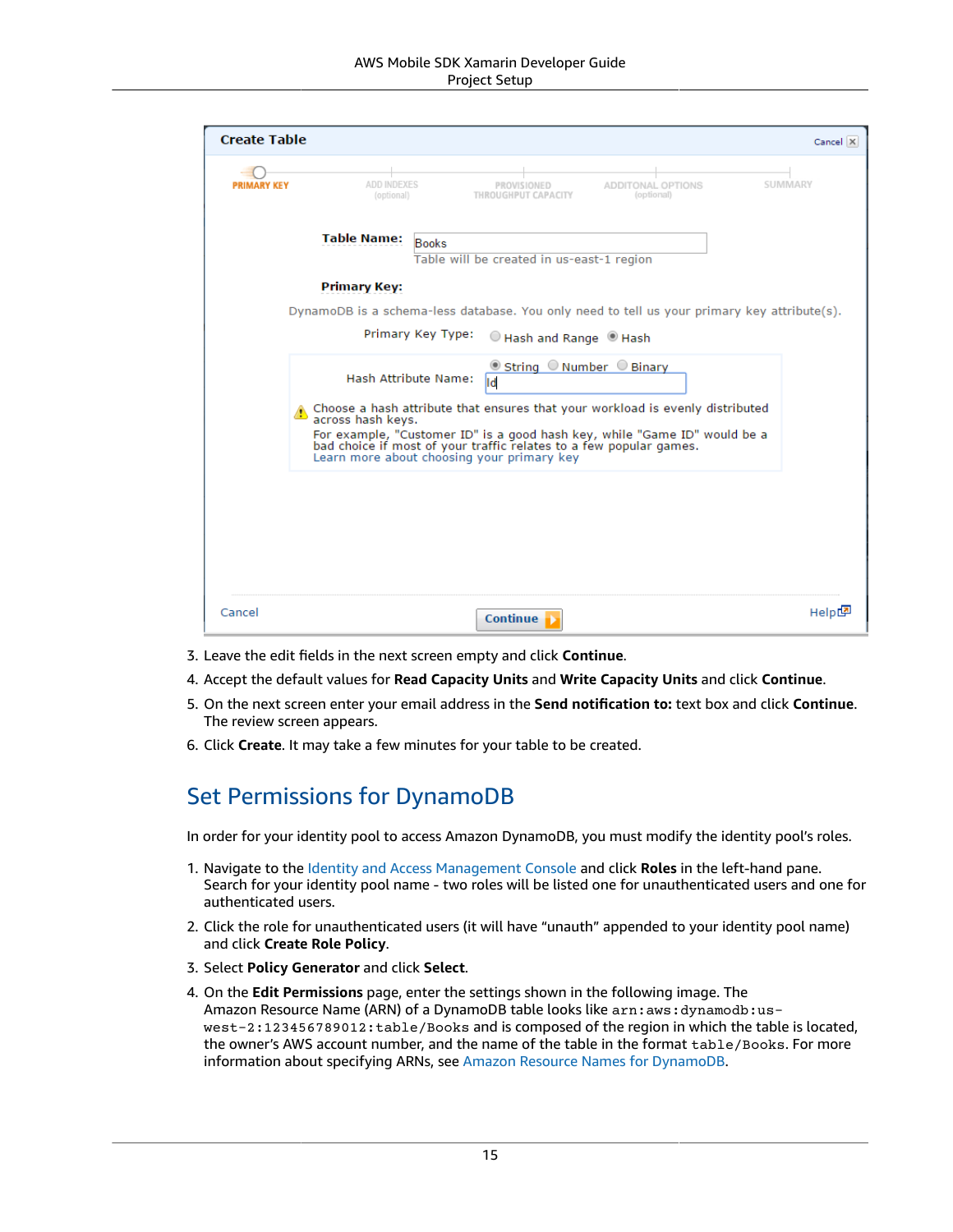| <b>Create Table</b> |                           |                                                                                                                                                            | Cancel X |
|---------------------|---------------------------|------------------------------------------------------------------------------------------------------------------------------------------------------------|----------|
| <b>PRIMARY KEY</b>  | ADD INDEXES<br>(optional) | ADDITONAL OPTIONS<br>THROUGHPUT CAPACITY<br>(optional)                                                                                                     | SUMMARY  |
|                     | <b>Table Name:</b>        | <b>Books</b><br>Table will be created in us-east-1 region                                                                                                  |          |
|                     | <b>Primary Key:</b>       |                                                                                                                                                            |          |
|                     |                           | DynamoDB is a schema-less database. You only need to tell us your primary key attribute(s).                                                                |          |
|                     |                           | Primary Key Type:<br>Hash and Range Hash                                                                                                                   |          |
|                     |                           | <b>■ String ONumber OBinary</b><br>Hash Attribute Name:<br>ld                                                                                              |          |
|                     | across hash keys.         | Choose a hash attribute that ensures that your workload is evenly distributed<br>For example, "Customer ID" is a good hash key, while "Game ID" would be a |          |
|                     |                           | bad choice if most of your traffic relates to a few popular games.<br>Learn more about choosing your primary key                                           |          |
|                     |                           |                                                                                                                                                            |          |
|                     |                           |                                                                                                                                                            |          |
|                     |                           |                                                                                                                                                            |          |
|                     |                           |                                                                                                                                                            |          |
|                     |                           |                                                                                                                                                            |          |
| Cancel              |                           | <b>Continue</b>                                                                                                                                            | Helpt    |

- 3. Leave the edit fields in the next screen empty and click **Continue**.
- 4. Accept the default values for **Read Capacity Units** and **Write Capacity Units** and click **Continue**.
- 5. On the next screen enter your email address in the **Send notification to:** text box and click **Continue**. The review screen appears.
- 6. Click **Create**. It may take a few minutes for your table to be created.

### <span id="page-21-0"></span>Set Permissions for DynamoDB

In order for your identity pool to access Amazon DynamoDB, you must modify the identity pool's roles.

- 1. Navigate to the Identity and Access [Management](https://console.aws.amazon.com/iam/home) Console and click **Roles** in the left-hand pane. Search for your identity pool name - two roles will be listed one for unauthenticated users and one for authenticated users.
- 2. Click the role for unauthenticated users (it will have "unauth" appended to your identity pool name) and click **Create Role Policy**.
- 3. Select **Policy Generator** and click **Select**.
- 4. On the **Edit Permissions** page, enter the settings shown in the following image. The Amazon Resource Name (ARN) of a DynamoDB table looks like arn: aws: dynamodb:uswest-2:123456789012:table/Books and is composed of the region in which the table is located, the owner's AWS account number, and the name of the table in the format table/Books. For more information about specifying ARNs, see Amazon Resource Names for [DynamoDB](https://docs.aws.amazon.com/amazondynamodb/latest/developerguide/UsingIAMWithDDB.html#ARN_Format).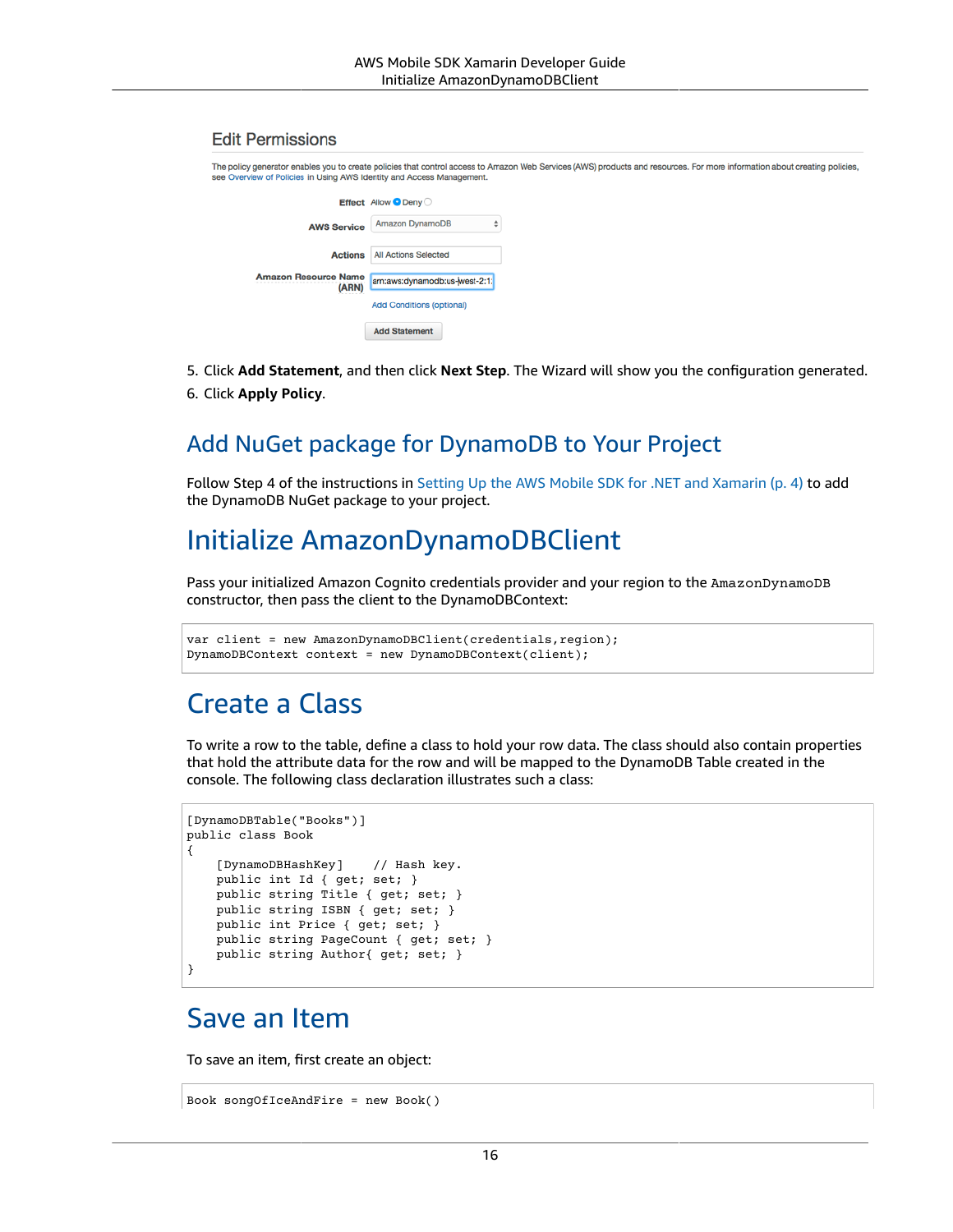#### **Edit Permissions**

| The policy generator enables you to create policies that control access to Amazon Web Services (AWS) products and resources. For more information about creating policies,<br>see Overview of Policies in Using AWS Identity and Access Management. |                                  |  |
|-----------------------------------------------------------------------------------------------------------------------------------------------------------------------------------------------------------------------------------------------------|----------------------------------|--|
|                                                                                                                                                                                                                                                     | Effect Allow O Deny              |  |
| <b>AWS Service</b>                                                                                                                                                                                                                                  | <b>Amazon DynamoDB</b>           |  |
| <b>Actions</b>                                                                                                                                                                                                                                      | <b>All Actions Selected</b>      |  |
| <b>Amazon Resource Name</b><br>--------------------<br>(ARN)                                                                                                                                                                                        | arn:aws:dynamodb:us-west-2:1:    |  |
|                                                                                                                                                                                                                                                     | <b>Add Conditions (optional)</b> |  |
|                                                                                                                                                                                                                                                     | <b>Add Statement</b>             |  |

- 5. Click **Add Statement**, and then click **Next Step**. The Wizard will show you the configuration generated.
- 6. Click **Apply Policy**.

### Add NuGet package for DynamoDB to Your Project

Follow Step 4 of the instructions in Setting Up the AWS Mobile SDK for .NET and [Xamarin \(p. 4\)](#page-10-0) to add the DynamoDB NuGet package to your project.

### <span id="page-22-0"></span>Initialize AmazonDynamoDBClient

Pass your initialized Amazon Cognito credentials provider and your region to the AmazonDynamoDB constructor, then pass the client to the DynamoDBContext:

```
var client = new AmazonDynamoDBClient(credentials, region);
DynamoDBContext context = new DynamoDBContext(client);
```
### <span id="page-22-1"></span>Create a Class

To write a row to the table, define a class to hold your row data. The class should also contain properties that hold the attribute data for the row and will be mapped to the DynamoDB Table created in the console. The following class declaration illustrates such a class:

```
[DynamoDBTable("Books")]
public class Book
{
     [DynamoDBHashKey] // Hash key.
     public int Id { get; set; }
     public string Title { get; set; }
    public string ISBN { get; set; }
    public int Price { get; set; }
    public string PageCount { get; set; }
     public string Author{ get; set; }
}
```
### <span id="page-22-2"></span>Save an Item

To save an item, first create an object:

```
Book songOfIceAndFire = new Book()
```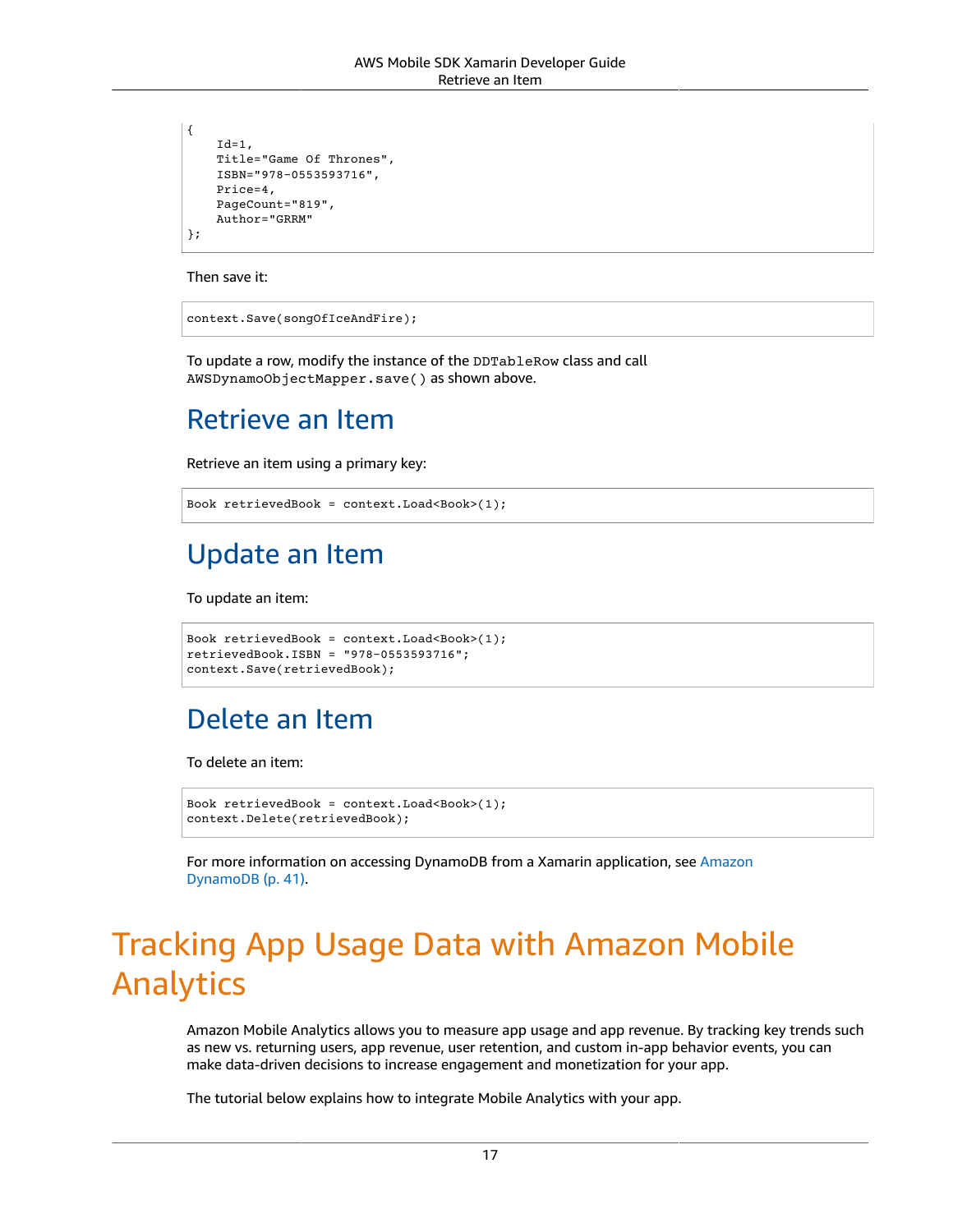```
{
    Id=1, Title="Game Of Thrones",
    ISBN="978-0553593716",
     Price=4,
     PageCount="819",
     Author="GRRM"
};
```
Then save it:

context.Save(songOfIceAndFire);

To update a row, modify the instance of the DDTableRow class and call AWSDynamoObjectMapper.save() as shown above.

# <span id="page-23-0"></span>Retrieve an Item

Retrieve an item using a primary key:

```
Book retrievedBook = context.Load<Book>(1);
```
# <span id="page-23-1"></span>Update an Item

To update an item:

```
Book retrievedBook = context.Load<Book>(1);
retrievedBook.ISBN = "978-0553593716";
context.Save(retrievedBook);
```
# <span id="page-23-2"></span>Delete an Item

To delete an item:

```
Book retrievedBook = context.Load<Book>(1);
context.Delete(retrievedBook);
```
For more information on accessing DynamoDB from a Xamarin application, see [Amazon](#page-47-0) [DynamoDB \(p. 41\).](#page-47-0)

# <span id="page-23-3"></span>Tracking App Usage Data with Amazon Mobile Analytics

Amazon Mobile Analytics allows you to measure app usage and app revenue. By tracking key trends such as new vs. returning users, app revenue, user retention, and custom in-app behavior events, you can make data-driven decisions to increase engagement and monetization for your app.

The tutorial below explains how to integrate Mobile Analytics with your app.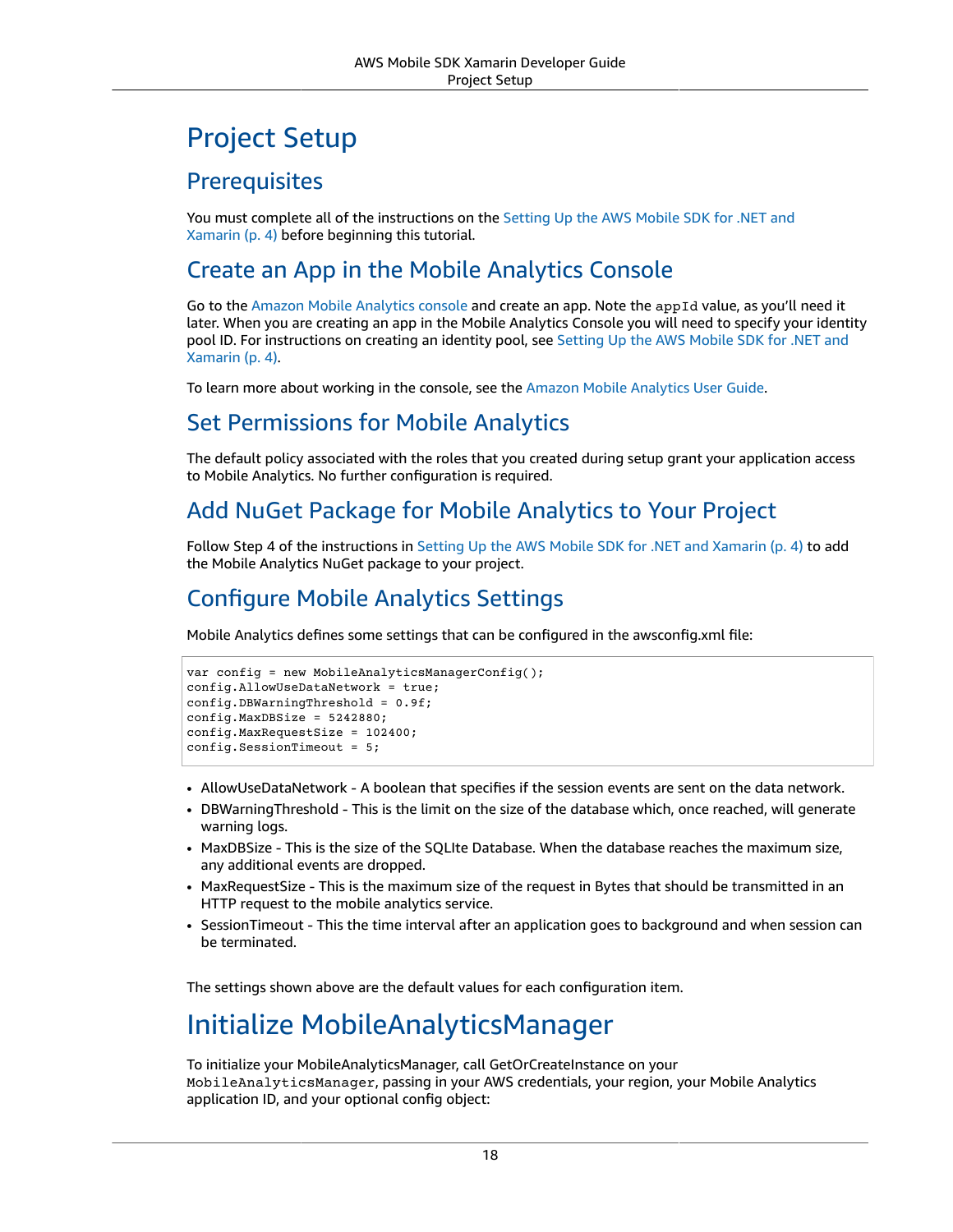# Project Setup

### **Prerequisites**

You must complete all of the instructions on the [Setting](#page-10-0) Up the AWS Mobile SDK for .NET and [Xamarin \(p. 4\)](#page-10-0) before beginning this tutorial.

### <span id="page-24-2"></span>Create an App in the Mobile Analytics Console

Go to the Amazon Mobile [Analytics](https://aws.amazon.com/mobileanalytics/) console and create an app. Note the appId value, as you'll need it later. When you are creating an app in the Mobile Analytics Console you will need to specify your identity pool ID. For instructions on creating an identity pool, see [Setting](#page-10-0) Up the AWS Mobile SDK for .NET and [Xamarin \(p. 4\)](#page-10-0).

To learn more about working in the console, see the Amazon Mobile [Analytics](https://docs.aws.amazon.com/mobileanalytics/latest/ug/) User Guide.

### Set Permissions for Mobile Analytics

The default policy associated with the roles that you created during setup grant your application access to Mobile Analytics. No further configuration is required.

### Add NuGet Package for Mobile Analytics to Your Project

Follow Step 4 of the instructions in Setting Up the AWS Mobile SDK for .NET and [Xamarin \(p. 4\)](#page-10-0) to add the Mobile Analytics NuGet package to your project.

### <span id="page-24-1"></span>Configure Mobile Analytics Settings

Mobile Analytics defines some settings that can be configured in the awsconfig.xml file:

```
var config = new MobileAnalyticsManagerConfig();
config.AllowUseDataNetwork = true;
config.DBWarningThreshold = 0.9f;
config.MaxDBSize = 5242880;
config.MaxRequestSize = 102400;
config.SessionTimeout = 5;
```
- AllowUseDataNetwork A boolean that specifies if the session events are sent on the data network.
- DBWarningThreshold This is the limit on the size of the database which, once reached, will generate warning logs.
- MaxDBSize This is the size of the SQLIte Database. When the database reaches the maximum size, any additional events are dropped.
- MaxRequestSize This is the maximum size of the request in Bytes that should be transmitted in an HTTP request to the mobile analytics service.
- SessionTimeout This the time interval after an application goes to background and when session can be terminated.

<span id="page-24-0"></span>The settings shown above are the default values for each configuration item.

### Initialize MobileAnalyticsManager

To initialize your MobileAnalyticsManager, call GetOrCreateInstance on your MobileAnalyticsManager, passing in your AWS credentials, your region, your Mobile Analytics application ID, and your optional config object: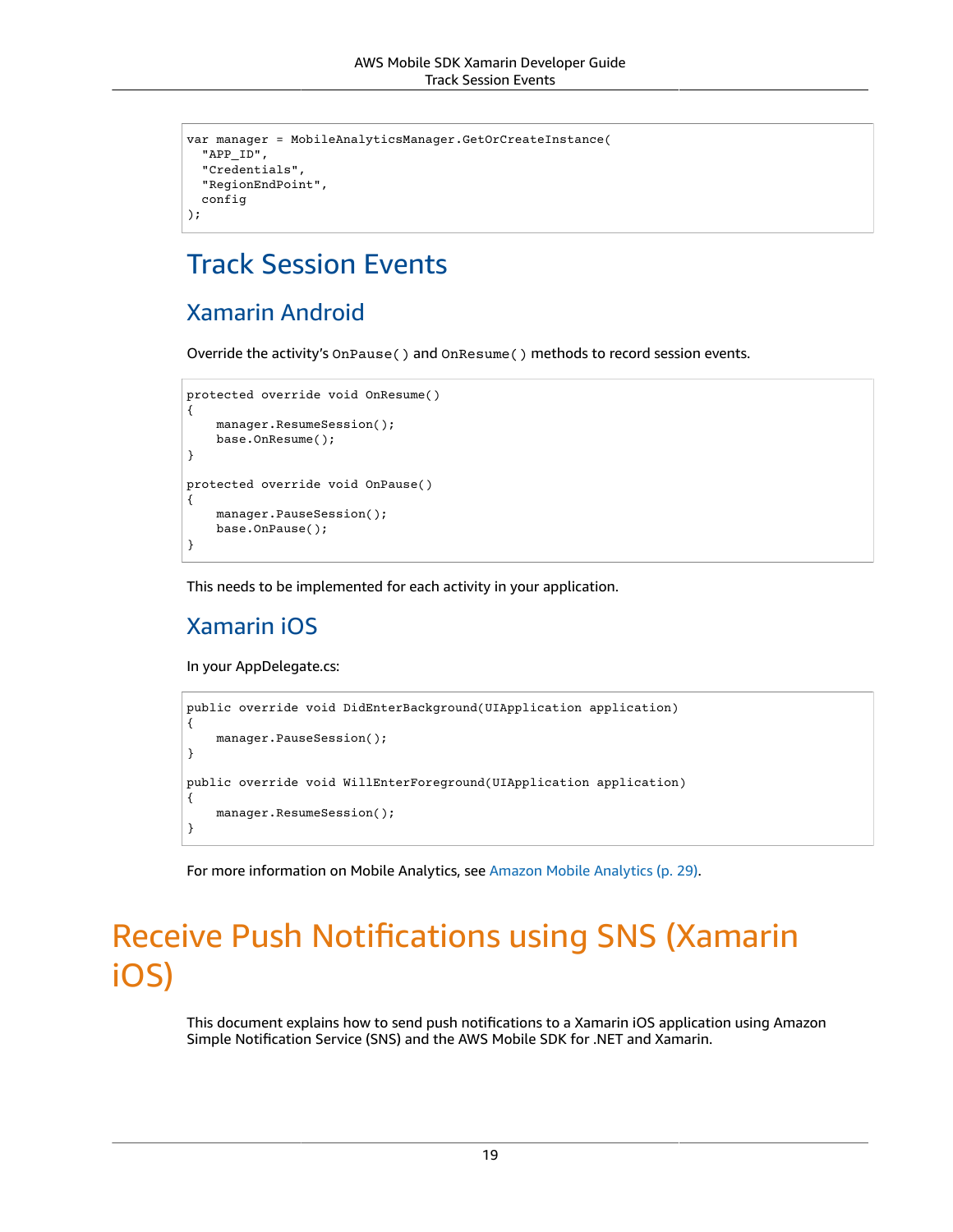```
var manager = MobileAnalyticsManager.GetOrCreateInstance(
   "APP_ID",
   "Credentials",
   "RegionEndPoint",
  config
);
```
## <span id="page-25-0"></span>Track Session Events

### Xamarin Android

Override the activity's OnPause() and OnResume() methods to record session events.

```
protected override void OnResume()
{
     manager.ResumeSession();
     base.OnResume();
}
protected override void OnPause()
{
     manager.PauseSession();
     base.OnPause();
}
```
This needs to be implemented for each activity in your application.

### Xamarin iOS

In your AppDelegate.cs:

```
public override void DidEnterBackground(UIApplication application)
{
     manager.PauseSession();
}
public override void WillEnterForeground(UIApplication application)
{
     manager.ResumeSession();
}
```
For more information on Mobile Analytics, see Amazon Mobile [Analytics \(p. 29\).](#page-35-0)

# <span id="page-25-1"></span>Receive Push Notifications using SNS (Xamarin iOS)

This document explains how to send push notifications to a Xamarin iOS application using Amazon Simple Notification Service (SNS) and the AWS Mobile SDK for .NET and Xamarin.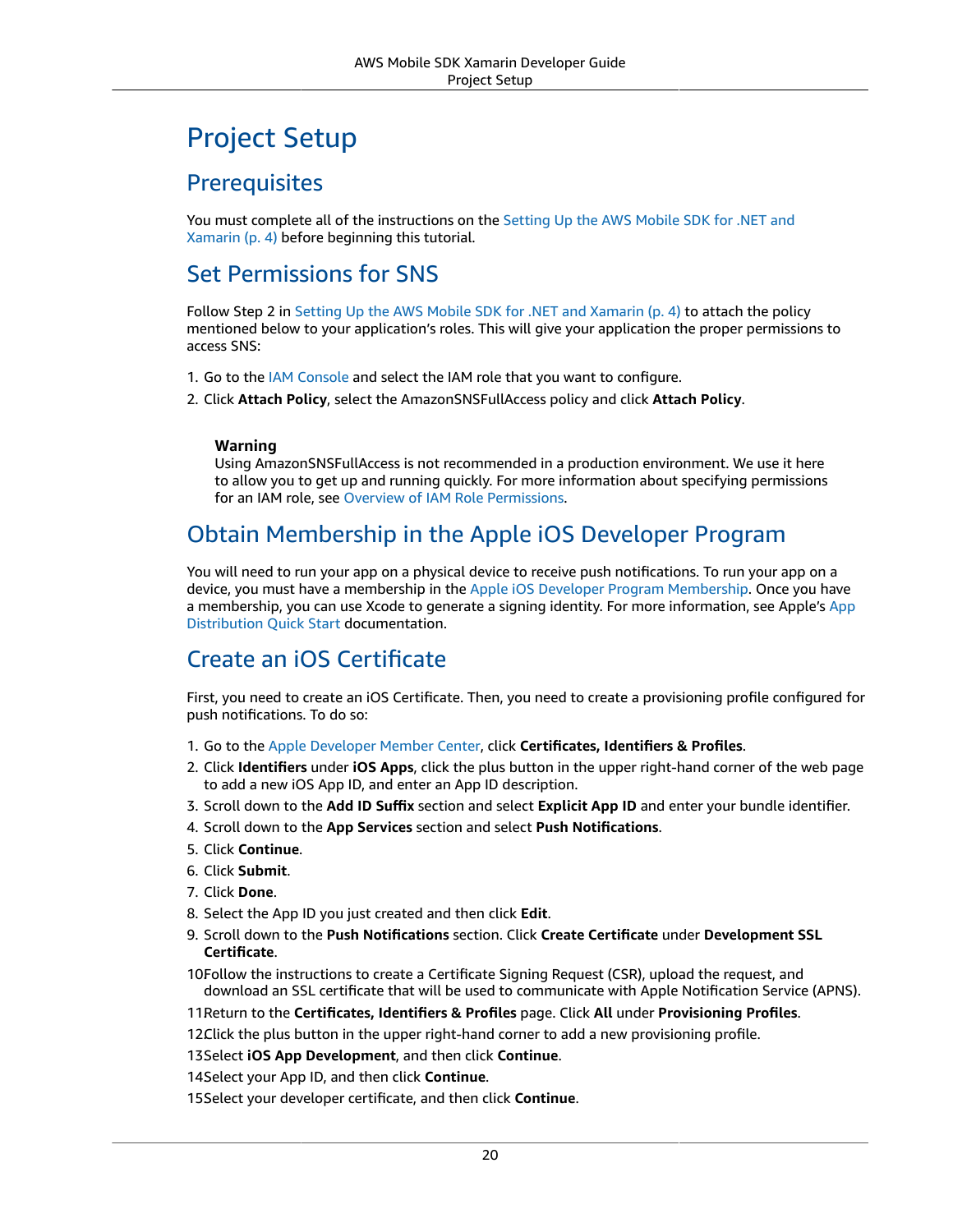# Project Setup

### **Prerequisites**

You must complete all of the instructions on the [Setting](#page-10-0) Up the AWS Mobile SDK for .NET and [Xamarin \(p. 4\)](#page-10-0) before beginning this tutorial.

### Set Permissions for SNS

Follow Step 2 in Setting Up the AWS Mobile SDK for .NET and [Xamarin \(p. 4\)](#page-10-0) to attach the policy mentioned below to your application's roles. This will give your application the proper permissions to access SNS:

- 1. Go to the [IAM Console](https://console.aws.amazon.com/iam/home) and select the IAM role that you want to configure.
- 2. Click **Attach Policy**, select the AmazonSNSFullAccess policy and click **Attach Policy**.

#### **Warning**

Using AmazonSNSFullAccess is not recommended in a production environment. We use it here to allow you to get up and running quickly. For more information about specifying permissions for an IAM role, see Overview of IAM Role [Permissions](https://docs.aws.amazon.com/IAM/latest/UserGuide/policies_permissions.html).

### Obtain Membership in the Apple iOS Developer Program

You will need to run your app on a physical device to receive push notifications. To run your app on a device, you must have a membership in the Apple iOS Developer Program [Membership.](https://developer.apple.com/programs/ios/) Once you have a membership, you can use Xcode to generate a signing identity. For more information, see Apple's [App](https://developer.apple.com/library/mac/documentation/IDEs/Conceptual/AppStoreDistributionTutorial/Introduction/Introduction.html#//apple_ref/doc/uid/TP40013839) [Distribution](https://developer.apple.com/library/mac/documentation/IDEs/Conceptual/AppStoreDistributionTutorial/Introduction/Introduction.html#//apple_ref/doc/uid/TP40013839) Quick Start documentation.

### Create an iOS Certificate

First, you need to create an iOS Certificate. Then, you need to create a provisioning profile configured for push notifications. To do so:

- 1. Go to the Apple [Developer](https://developer.apple.com/membercenter/index.action) Member Center, click **Certificates, Identifiers & Profiles**.
- 2. Click **Identifiers** under **iOS Apps**, click the plus button in the upper right-hand corner of the web page to add a new iOS App ID, and enter an App ID description.
- 3. Scroll down to the **Add ID Suffix** section and select **Explicit App ID** and enter your bundle identifier.
- 4. Scroll down to the **App Services** section and select **Push Notifications**.
- 5. Click **Continue**.
- 6. Click **Submit**.
- 7. Click **Done**.
- 8. Select the App ID you just created and then click **Edit**.
- 9. Scroll down to the **Push Notifications** section. Click **Create Certificate** under **Development SSL Certificate**.
- 10Follow the instructions to create a Certificate Signing Request (CSR), upload the request, and download an SSL certificate that will be used to communicate with Apple Notification Service (APNS).
- 11.Return to the **Certificates, Identifiers & Profiles** page. Click **All** under **Provisioning Profiles**.

12.Click the plus button in the upper right-hand corner to add a new provisioning profile.

13.Select **iOS App Development**, and then click **Continue**.

14Select your App ID, and then click **Continue**.

15.Select your developer certificate, and then click **Continue**.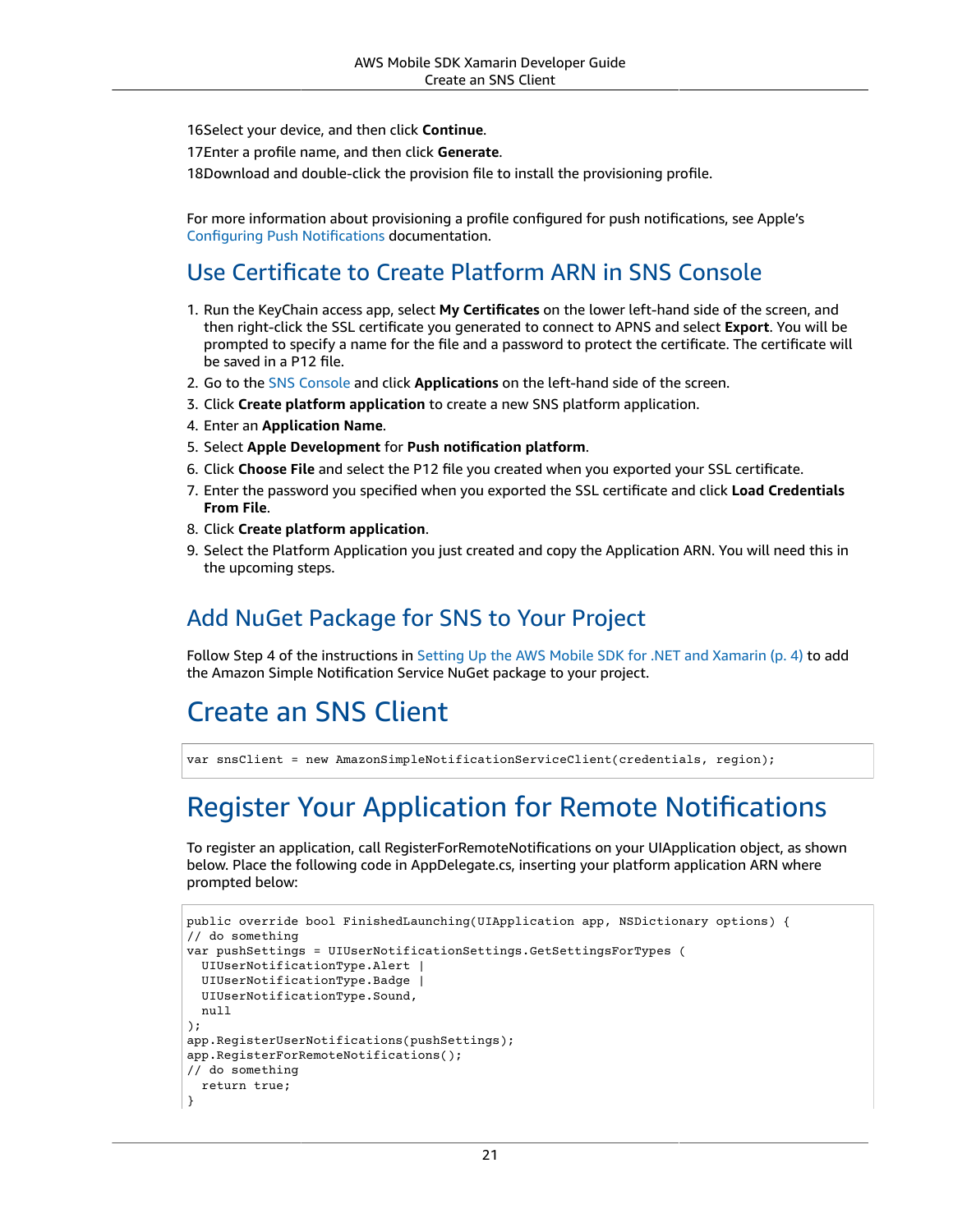16.Select your device, and then click **Continue**.

17Enter a profile name, and then click Generate.

18Download and double-click the provision file to install the provisioning profile.

For more information about provisioning a profile configured for push notifications, see Apple's [Configuring Push Notifications](https://developer.apple.com/library/mac/documentation/IDEs/Conceptual/AppDistributionGuide/ConfiguringPushNotifications/ConfiguringPushNotifications.html#//apple_ref/doc/uid/TP40012582-CH32-SW1) documentation.

### Use Certificate to Create Platform ARN in SNS Console

- 1. Run the KeyChain access app, select **My Certificates** on the lower left-hand side of the screen, and then right-click the SSL certificate you generated to connect to APNS and select **Export**. You will be prompted to specify a name for the file and a password to protect the certificate. The certificate will be saved in a P12 file.
- 2. Go to the [SNS Console](https://console.aws.amazon.com/sns/v2/home) and click **Applications** on the left-hand side of the screen.
- 3. Click **Create platform application** to create a new SNS platform application.
- 4. Enter an **Application Name**.
- 5. Select **Apple Development** for **Push notification platform**.
- 6. Click **Choose File** and select the P12 file you created when you exported your SSL certificate.
- 7. Enter the password you specified when you exported the SSL certificate and click **Load Credentials From File**.
- 8. Click **Create platform application**.
- 9. Select the Platform Application you just created and copy the Application ARN. You will need this in the upcoming steps.

### Add NuGet Package for SNS to Your Project

Follow Step 4 of the instructions in Setting Up the AWS Mobile SDK for .NET and [Xamarin \(p. 4\)](#page-10-0) to add the Amazon Simple Notification Service NuGet package to your project.

# <span id="page-27-0"></span>Create an SNS Client

var snsClient = new AmazonSimpleNotificationServiceClient(credentials, region);

# <span id="page-27-1"></span>Register Your Application for Remote Notifications

To register an application, call RegisterForRemoteNotifications on your UIApplication object, as shown below. Place the following code in AppDelegate.cs, inserting your platform application ARN where prompted below:

```
public override bool FinishedLaunching(UIApplication app, NSDictionary options) {
// do something
var pushSettings = UIUserNotificationSettings.GetSettingsForTypes (
  UIUserNotificationType.Alert |
  UIUserNotificationType.Badge |
  UIUserNotificationType.Sound,
  null
);
app.RegisterUserNotifications(pushSettings);
app.RegisterForRemoteNotifications();
// do something
  return true;
}
```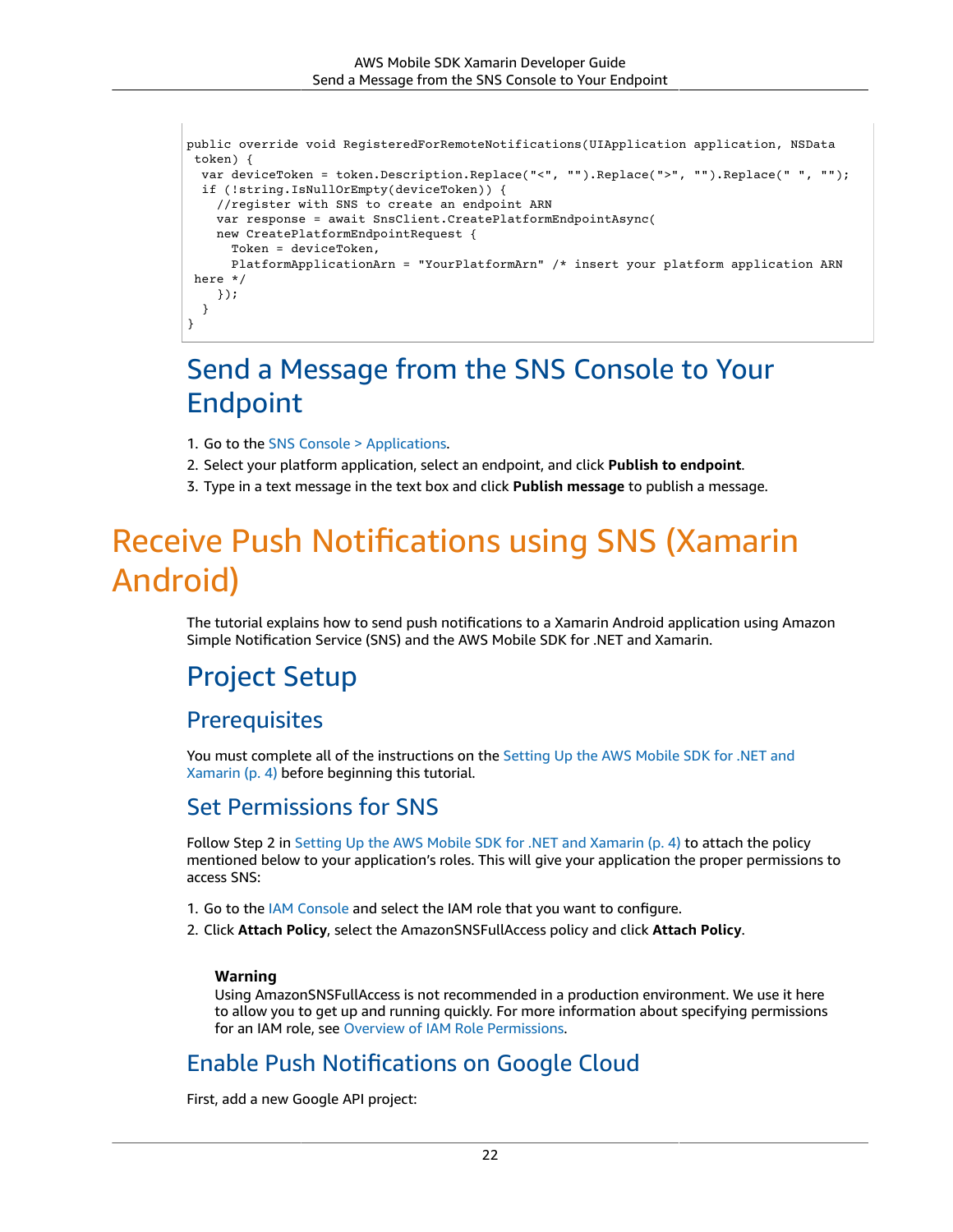```
public override void RegisteredForRemoteNotifications(UIApplication application, NSData
  token) {
   var deviceToken = token.Description.Replace("<", "").Replace(">", "").Replace(" ", "");
   if (!string.IsNullOrEmpty(deviceToken)) {
     //register with SNS to create an endpoint ARN
     var response = await SnsClient.CreatePlatformEndpointAsync(
     new CreatePlatformEndpointRequest {
       Token = deviceToken,
       PlatformApplicationArn = "YourPlatformArn" /* insert your platform application ARN
  here */
     });
   }
}
```
# <span id="page-28-0"></span>Send a Message from the SNS Console to Your Endpoint

- 1. Go to the [SNS Console > Applications.](https://console.aws.amazon.com/sns/v2/home)
- 2. Select your platform application, select an endpoint, and click **Publish to endpoint**.
- 3. Type in a text message in the text box and click **Publish message** to publish a message.

# <span id="page-28-1"></span>Receive Push Notifications using SNS (Xamarin Android)

The tutorial explains how to send push notifications to a Xamarin Android application using Amazon Simple Notification Service (SNS) and the AWS Mobile SDK for .NET and Xamarin.

### Project Setup

### **Prerequisites**

You must complete all of the instructions on the [Setting](#page-10-0) Up the AWS Mobile SDK for .NET and [Xamarin \(p. 4\)](#page-10-0) before beginning this tutorial.

### Set Permissions for SNS

Follow Step 2 in Setting Up the AWS Mobile SDK for .NET and [Xamarin \(p. 4\)](#page-10-0) to attach the policy mentioned below to your application's roles. This will give your application the proper permissions to access SNS:

- 1. Go to the [IAM Console](https://console.aws.amazon.com/iam/home) and select the IAM role that you want to configure.
- 2. Click **Attach Policy**, select the AmazonSNSFullAccess policy and click **Attach Policy**.

#### **Warning**

Using AmazonSNSFullAccess is not recommended in a production environment. We use it here to allow you to get up and running quickly. For more information about specifying permissions for an IAM role, see Overview of IAM Role [Permissions](https://docs.aws.amazon.com/IAM/latest/UserGuide/policies_permissions.html).

### Enable Push Notifications on Google Cloud

First, add a new Google API project: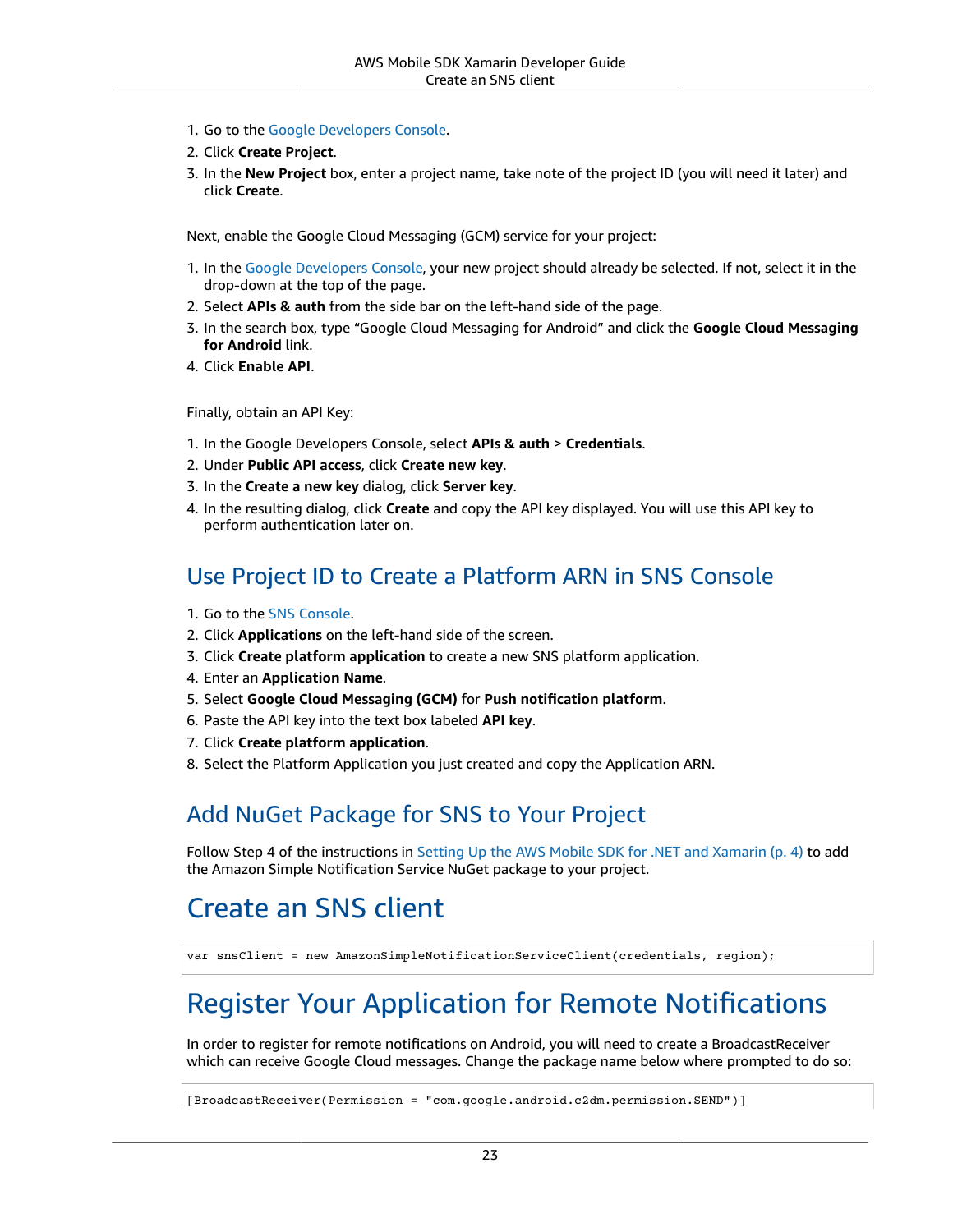- 1. Go to the Google [Developers](https://console.developers.google.com) Console.
- 2. Click **Create Project**.
- 3. In the **New Project** box, enter a project name, take note of the project ID (you will need it later) and click **Create**.

Next, enable the Google Cloud Messaging (GCM) service for your project:

- 1. In the Google [Developers](https://console.developers.google.com) Console, your new project should already be selected. If not, select it in the drop-down at the top of the page.
- 2. Select **APIs & auth** from the side bar on the left-hand side of the page.
- 3. In the search box, type "Google Cloud Messaging for Android" and click the **Google Cloud Messaging for Android** link.
- 4. Click **Enable API**.

Finally, obtain an API Key:

- 1. In the Google Developers Console, select **APIs & auth** > **Credentials**.
- 2. Under **Public API access**, click **Create new key**.
- 3. In the **Create a new key** dialog, click **Server key**.
- 4. In the resulting dialog, click **Create** and copy the API key displayed. You will use this API key to perform authentication later on.

### Use Project ID to Create a Platform ARN in SNS Console

- 1. Go to the [SNS Console](https://console.aws.amazon.com/sns/v2/home).
- 2. Click **Applications** on the left-hand side of the screen.
- 3. Click **Create platform application** to create a new SNS platform application.
- 4. Enter an **Application Name**.
- 5. Select **Google Cloud Messaging (GCM)** for **Push notification platform**.
- 6. Paste the API key into the text box labeled **API key**.
- 7. Click **Create platform application**.
- 8. Select the Platform Application you just created and copy the Application ARN.

### Add NuGet Package for SNS to Your Project

Follow Step 4 of the instructions in Setting Up the AWS Mobile SDK for .NET and [Xamarin \(p. 4\)](#page-10-0) to add the Amazon Simple Notification Service NuGet package to your project.

# Create an SNS client

var snsClient = new AmazonSimpleNotificationServiceClient(credentials, region);

# Register Your Application for Remote Notifications

In order to register for remote notifications on Android, you will need to create a BroadcastReceiver which can receive Google Cloud messages. Change the package name below where prompted to do so:

[BroadcastReceiver(Permission = "com.google.android.c2dm.permission.SEND")]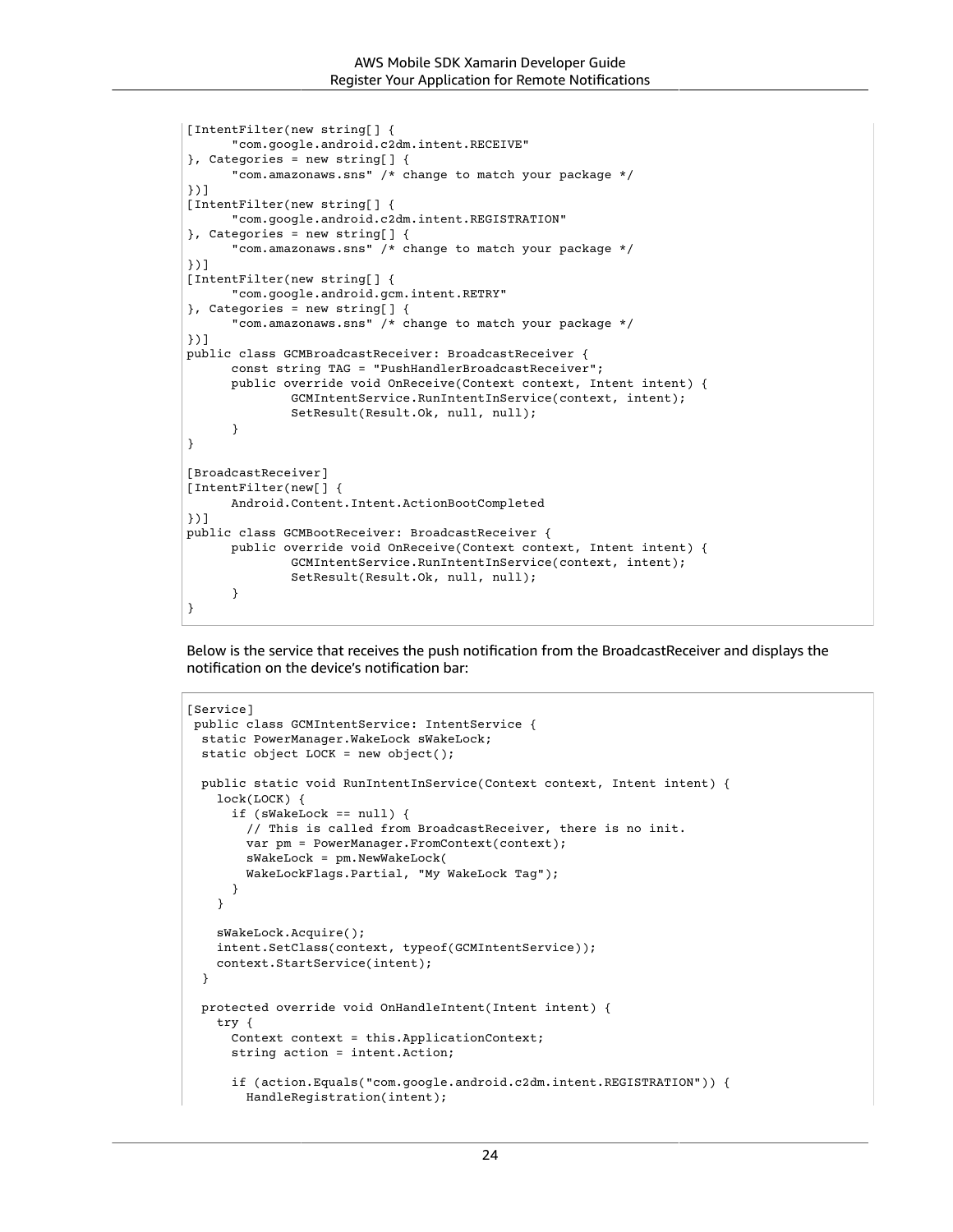```
[IntentFilter(new string[] {
       "com.google.android.c2dm.intent.RECEIVE"
}, Categories = new string[] {
       "com.amazonaws.sns" /* change to match your package */
})]
[IntentFilter(new string[] {
       "com.google.android.c2dm.intent.REGISTRATION"
}, Categories = new string[] {
       "com.amazonaws.sns" /* change to match your package */
})]
[IntentFilter(new string[] {
       "com.google.android.gcm.intent.RETRY"
}, Categories = new string[] {
       "com.amazonaws.sns" /* change to match your package */
})]
public class GCMBroadcastReceiver: BroadcastReceiver {
       const string TAG = "PushHandlerBroadcastReceiver";
       public override void OnReceive(Context context, Intent intent) {
               GCMIntentService.RunIntentInService(context, intent);
               SetResult(Result.Ok, null, null);
       }
}
[BroadcastReceiver]
[IntentFilter(new[] {
       Android.Content.Intent.ActionBootCompleted
})]
public class GCMBootReceiver: BroadcastReceiver {
       public override void OnReceive(Context context, Intent intent) {
               GCMIntentService.RunIntentInService(context, intent);
               SetResult(Result.Ok, null, null);
       }
}
```
Below is the service that receives the push notification from the BroadcastReceiver and displays the notification on the device's notification bar:

```
[Service]
 public class GCMIntentService: IntentService {
  static PowerManager.WakeLock sWakeLock;
  static object LOCK = new object();
  public static void RunIntentInService(Context context, Intent intent) {
    lock(LOCK) {
       if (sWakeLock == null) {
         // This is called from BroadcastReceiver, there is no init.
        var pm = PowerManager.FromContext(context);
         sWakeLock = pm.NewWakeLock(
         WakeLockFlags.Partial, "My WakeLock Tag");
       }
    }
    sWakeLock.Acquire();
    intent.SetClass(context, typeof(GCMIntentService));
    context.StartService(intent);
  }
  protected override void OnHandleIntent(Intent intent) {
     try {
       Context context = this.ApplicationContext;
      string action = intent.Action;
       if (action.Equals("com.google.android.c2dm.intent.REGISTRATION")) {
         HandleRegistration(intent);
```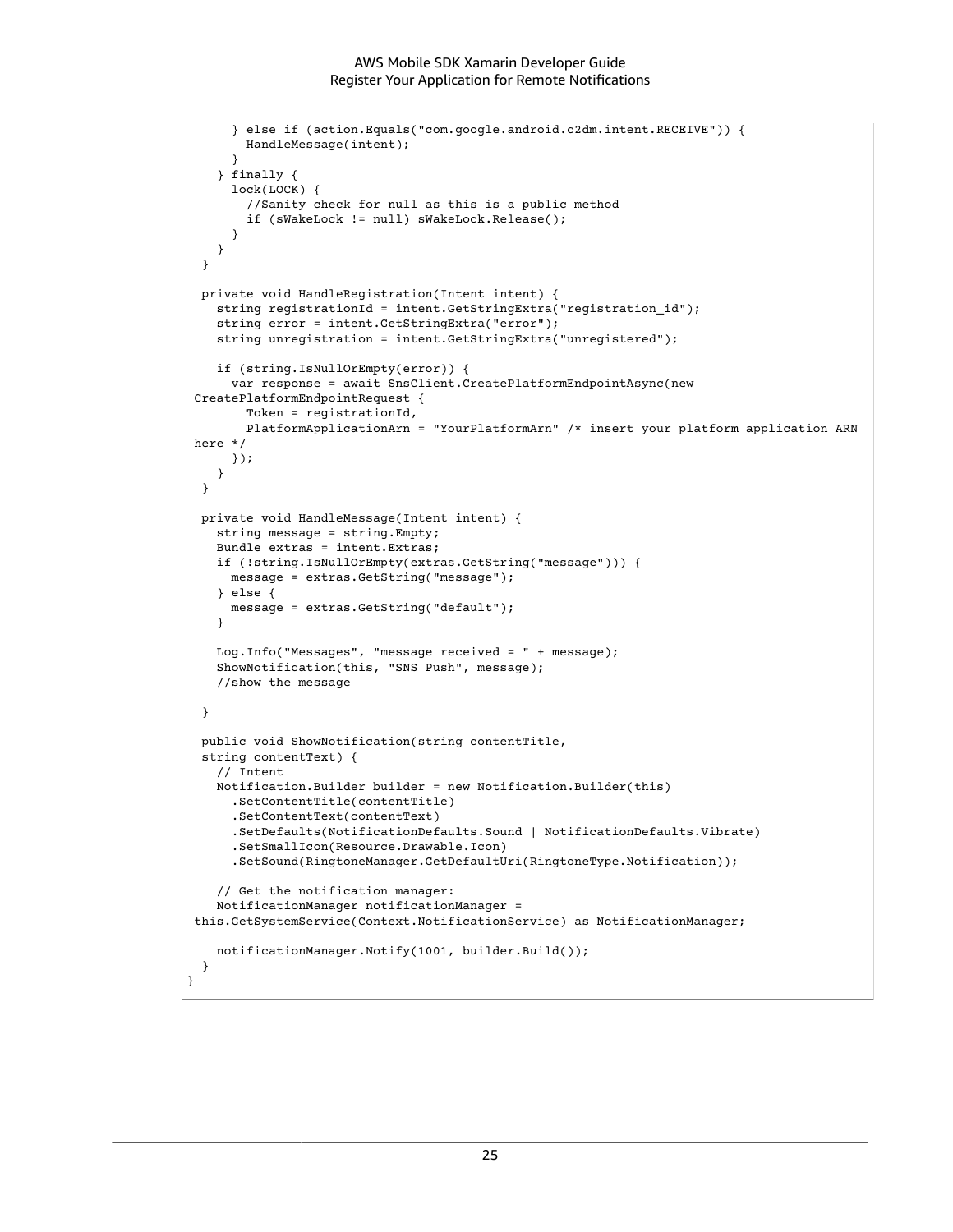```
 } else if (action.Equals("com.google.android.c2dm.intent.RECEIVE")) {
         HandleMessage(intent);
       }
     } finally {
       lock(LOCK) {
         //Sanity check for null as this is a public method
         if (sWakeLock != null) sWakeLock.Release();
       }
    }
  }
  private void HandleRegistration(Intent intent) {
    string registrationId = intent.GetStringExtra("registration_id");
     string error = intent.GetStringExtra("error");
    string unregistration = intent.GetStringExtra("unregistered");
     if (string.IsNullOrEmpty(error)) {
       var response = await SnsClient.CreatePlatformEndpointAsync(new
  CreatePlatformEndpointRequest {
         Token = registrationId,
         PlatformApplicationArn = "YourPlatformArn" /* insert your platform application ARN
 here */
       });
    }
  }
  private void HandleMessage(Intent intent) {
     string message = string.Empty;
    Bundle extras = intent.Extras;
    if (!string.IsNullOrEmpty(extras.GetString("message"))) {
      message = extras.GetString("message");
     } else {
       message = extras.GetString("default");
     }
    Log.Info("Messages", "message received = " + message);
    ShowNotification(this, "SNS Push", message);
    //show the message
   }
 public void ShowNotification(string contentTitle,
  string contentText) {
     // Intent
     Notification.Builder builder = new Notification.Builder(this)
       .SetContentTitle(contentTitle)
       .SetContentText(contentText)
       .SetDefaults(NotificationDefaults.Sound | NotificationDefaults.Vibrate)
       .SetSmallIcon(Resource.Drawable.Icon)
       .SetSound(RingtoneManager.GetDefaultUri(RingtoneType.Notification));
     // Get the notification manager:
     NotificationManager notificationManager =
  this.GetSystemService(Context.NotificationService) as NotificationManager;
    notificationManager.Notify(1001, builder.Build());
  }
}
```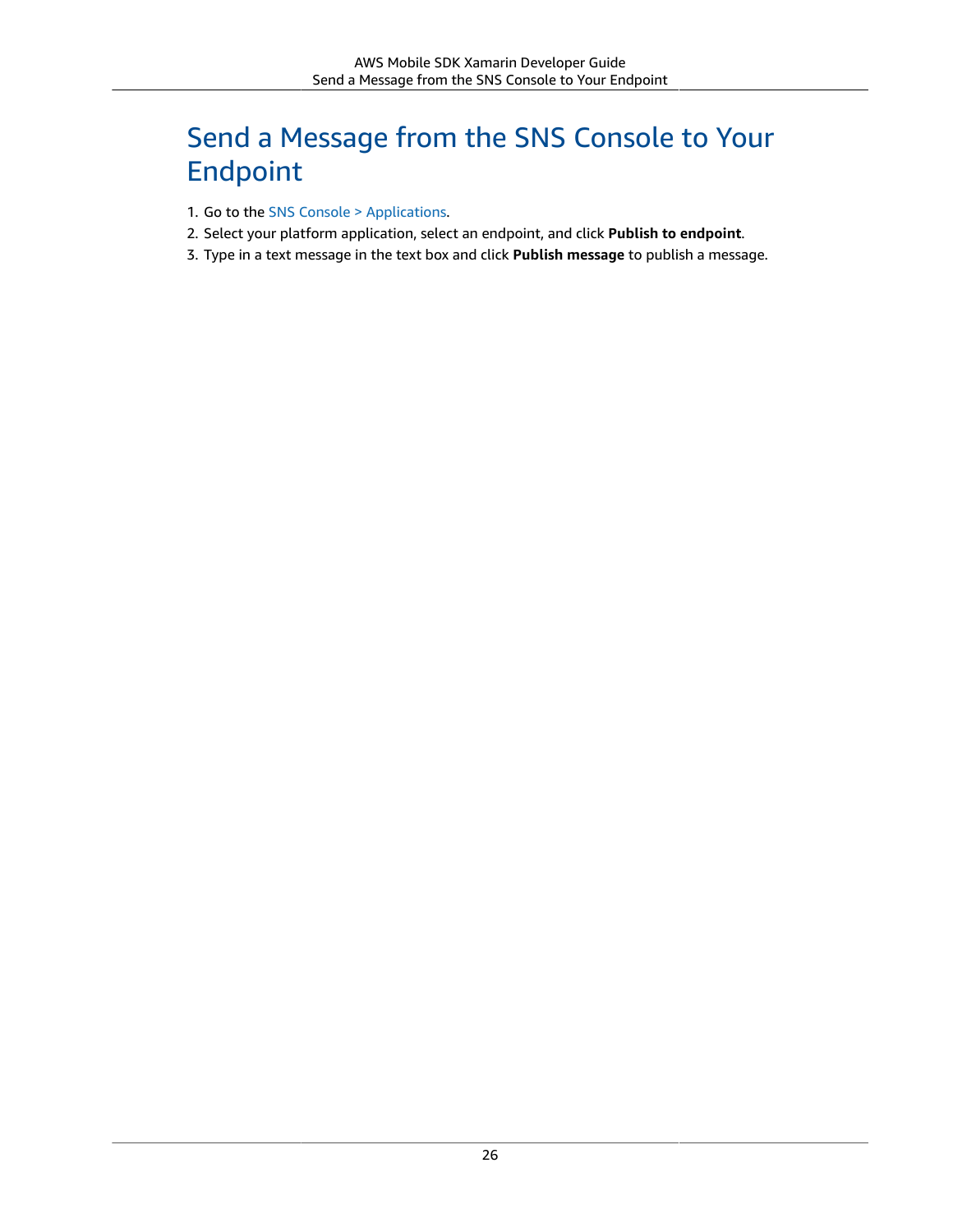# Send a Message from the SNS Console to Your Endpoint

- 1. Go to the [SNS Console > Applications.](https://console.aws.amazon.com/sns/v2/home)
- 2. Select your platform application, select an endpoint, and click **Publish to endpoint**.
- 3. Type in a text message in the text box and click **Publish message** to publish a message.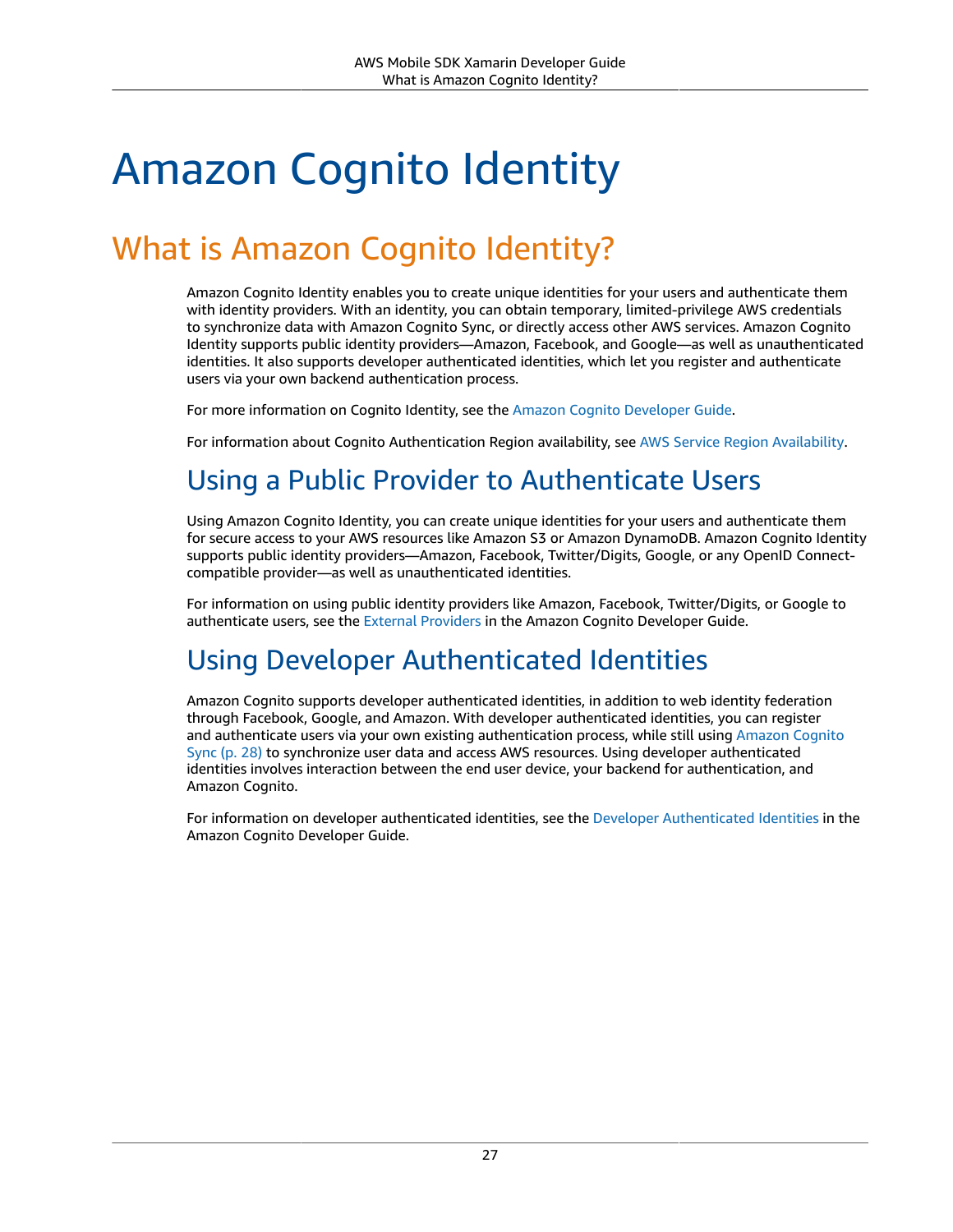# <span id="page-33-4"></span><span id="page-33-0"></span>Amazon Cognito Identity

# <span id="page-33-1"></span>What is Amazon Cognito Identity?

Amazon Cognito Identity enables you to create unique identities for your users and authenticate them with identity providers. With an identity, you can obtain temporary, limited-privilege AWS credentials to synchronize data with Amazon Cognito Sync, or directly access other AWS services. Amazon Cognito Identity supports public identity providers—Amazon, Facebook, and Google—as well as unauthenticated identities. It also supports developer authenticated identities, which let you register and authenticate users via your own backend authentication process.

For more information on Cognito Identity, see the Amazon Cognito [Developer](https://docs.aws.amazon.com/cognito/latest/developerguide/cognito-identity.html) Guide.

<span id="page-33-2"></span>For information about Cognito Authentication Region availability, see AWS Service Region [Availability.](https://aws.amazon.com/about-aws/global-infrastructure/regional-product-services/)

# Using a Public Provider to Authenticate Users

Using Amazon Cognito Identity, you can create unique identities for your users and authenticate them for secure access to your AWS resources like Amazon S3 or Amazon DynamoDB. Amazon Cognito Identity supports public identity providers—Amazon, Facebook, Twitter/Digits, Google, or any OpenID Connectcompatible provider—as well as unauthenticated identities.

For information on using public identity providers like Amazon, Facebook, Twitter/Digits, or Google to authenticate users, see the External [Providers](https://docs.aws.amazon.com/cognito/latest/developerguide/external-identity-providers.html) in the Amazon Cognito Developer Guide.

# <span id="page-33-3"></span>Using Developer Authenticated Identities

Amazon Cognito supports developer authenticated identities, in addition to web identity federation through Facebook, Google, and Amazon. With developer authenticated identities, you can register and authenticate users via your own existing authentication process, while still using [Amazon](#page-34-0) Cognito [Sync \(p. 28\)](#page-34-0) to synchronize user data and access AWS resources. Using developer authenticated identities involves interaction between the end user device, your backend for authentication, and Amazon Cognito.

For information on developer authenticated identities, see the Developer [Authenticated](https://docs.aws.amazon.com/cognito/latest/developerguide/developer-authenticated-identities.html) Identities in the Amazon Cognito Developer Guide.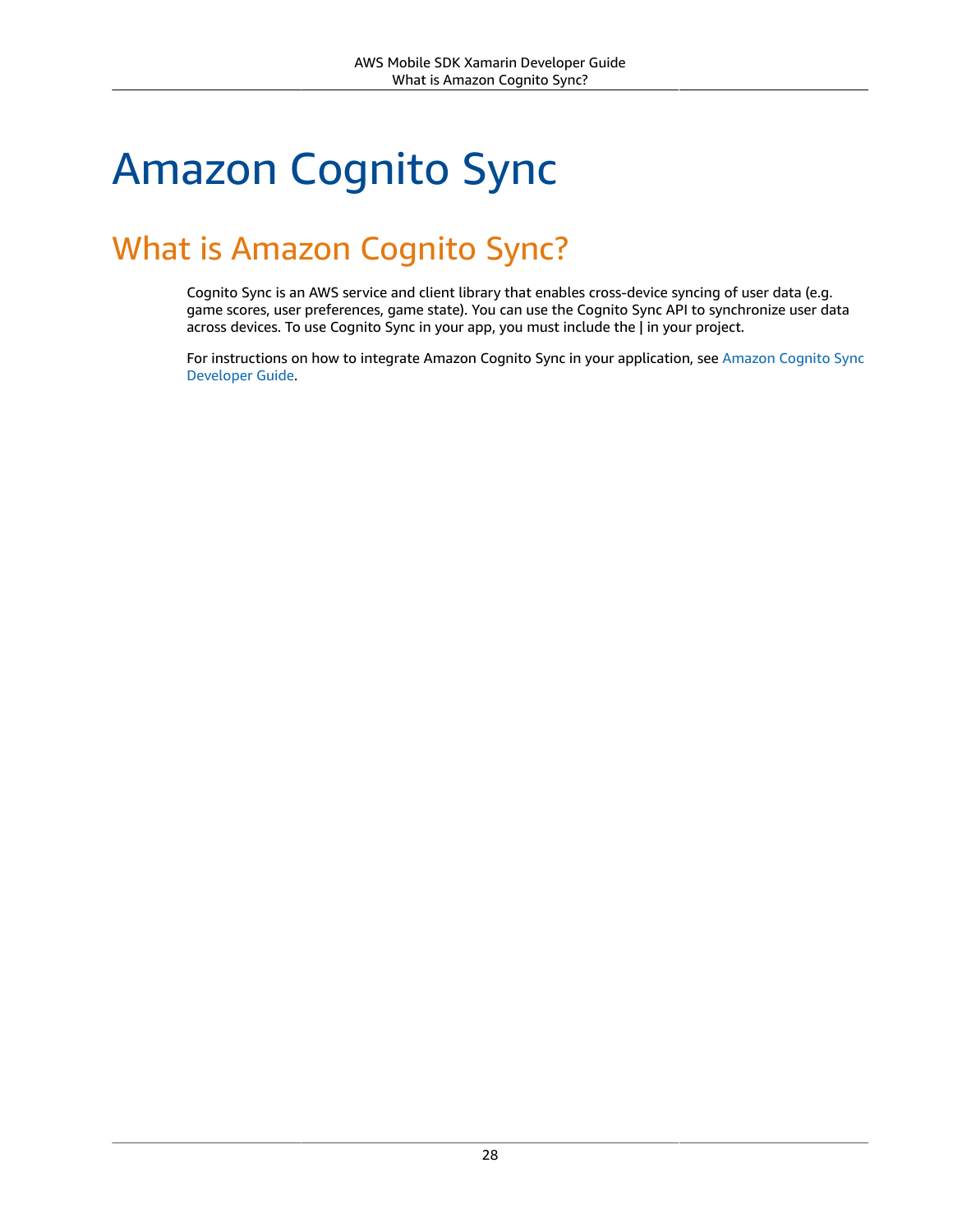# <span id="page-34-0"></span>Amazon Cognito Sync

# <span id="page-34-1"></span>What is Amazon Cognito Sync?

Cognito Sync is an AWS service and client library that enables cross-device syncing of user data (e.g. game scores, user preferences, game state). You can use the Cognito Sync API to synchronize user data across devices. To use Cognito Sync in your app, you must include the | in your project.

For instructions on how to integrate [Amazon](https://docs.aws.amazon.com/cognito/latest/developerguide/cognito-sync.html) Cognito Sync in your application, see Amazon Cognito Sync [Developer](https://docs.aws.amazon.com/cognito/latest/developerguide/cognito-sync.html) Guide.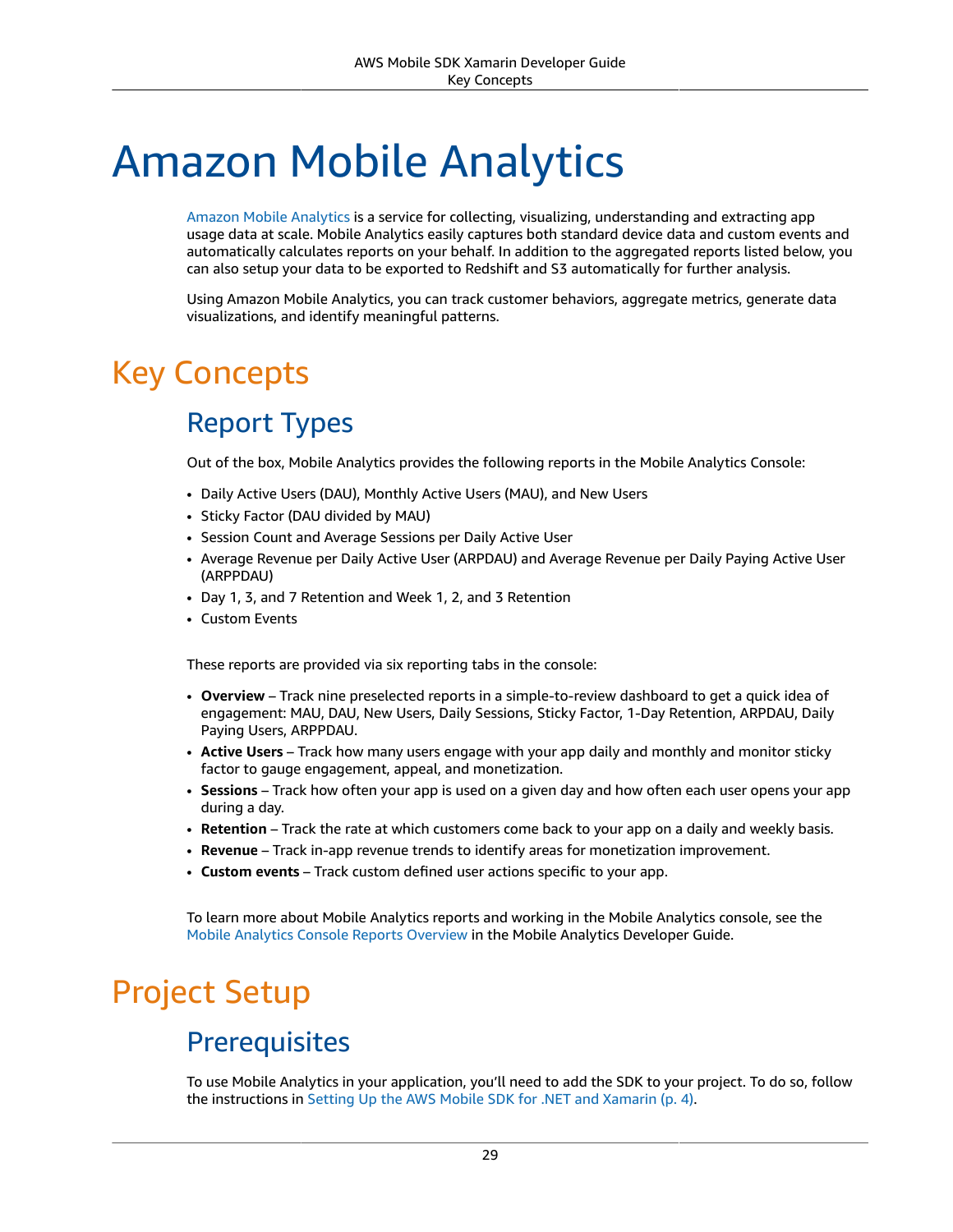# <span id="page-35-3"></span><span id="page-35-0"></span>Amazon Mobile Analytics

Amazon Mobile [Analytics](https://aws.amazon.com/mobileanalytics/) is a service for collecting, visualizing, understanding and extracting app usage data at scale. Mobile Analytics easily captures both standard device data and custom events and automatically calculates reports on your behalf. In addition to the aggregated reports listed below, you can also setup your data to be exported to Redshift and S3 automatically for further analysis.

Using Amazon Mobile Analytics, you can track customer behaviors, aggregate metrics, generate data visualizations, and identify meaningful patterns.

# <span id="page-35-2"></span><span id="page-35-1"></span>Key Concepts

# Report Types

Out of the box, Mobile Analytics provides the following reports in the Mobile Analytics Console:

- Daily Active Users (DAU), Monthly Active Users (MAU), and New Users
- Sticky Factor (DAU divided by MAU)
- Session Count and Average Sessions per Daily Active User
- Average Revenue per Daily Active User (ARPDAU) and Average Revenue per Daily Paying Active User (ARPPDAU)
- Day 1, 3, and 7 Retention and Week 1, 2, and 3 Retention
- Custom Events

These reports are provided via six reporting tabs in the console:

- **Overview** Track nine preselected reports in a simple-to-review dashboard to get a quick idea of engagement: MAU, DAU, New Users, Daily Sessions, Sticky Factor, 1-Day Retention, ARPDAU, Daily Paying Users, ARPPDAU.
- **Active Users** Track how many users engage with your app daily and monthly and monitor sticky factor to gauge engagement, appeal, and monetization.
- **Sessions** Track how often your app is used on a given day and how often each user opens your app during a day.
- **Retention** Track the rate at which customers come back to your app on a daily and weekly basis.
- **Revenue** Track in-app revenue trends to identify areas for monetization improvement.
- **Custom events** Track custom defined user actions specific to your app.

To learn more about Mobile Analytics reports and working in the Mobile Analytics console, see the Mobile Analytics Console Reports [Overview](https://docs.aws.amazon.com/mobileanalytics/latest/ug/using-the-console.html) in the Mobile Analytics Developer Guide.

# Project Setup

### **Prerequisites**

To use Mobile Analytics in your application, you'll need to add the SDK to your project. To do so, follow the instructions in Setting Up the AWS Mobile SDK for .NET and [Xamarin \(p. 4\).](#page-10-0)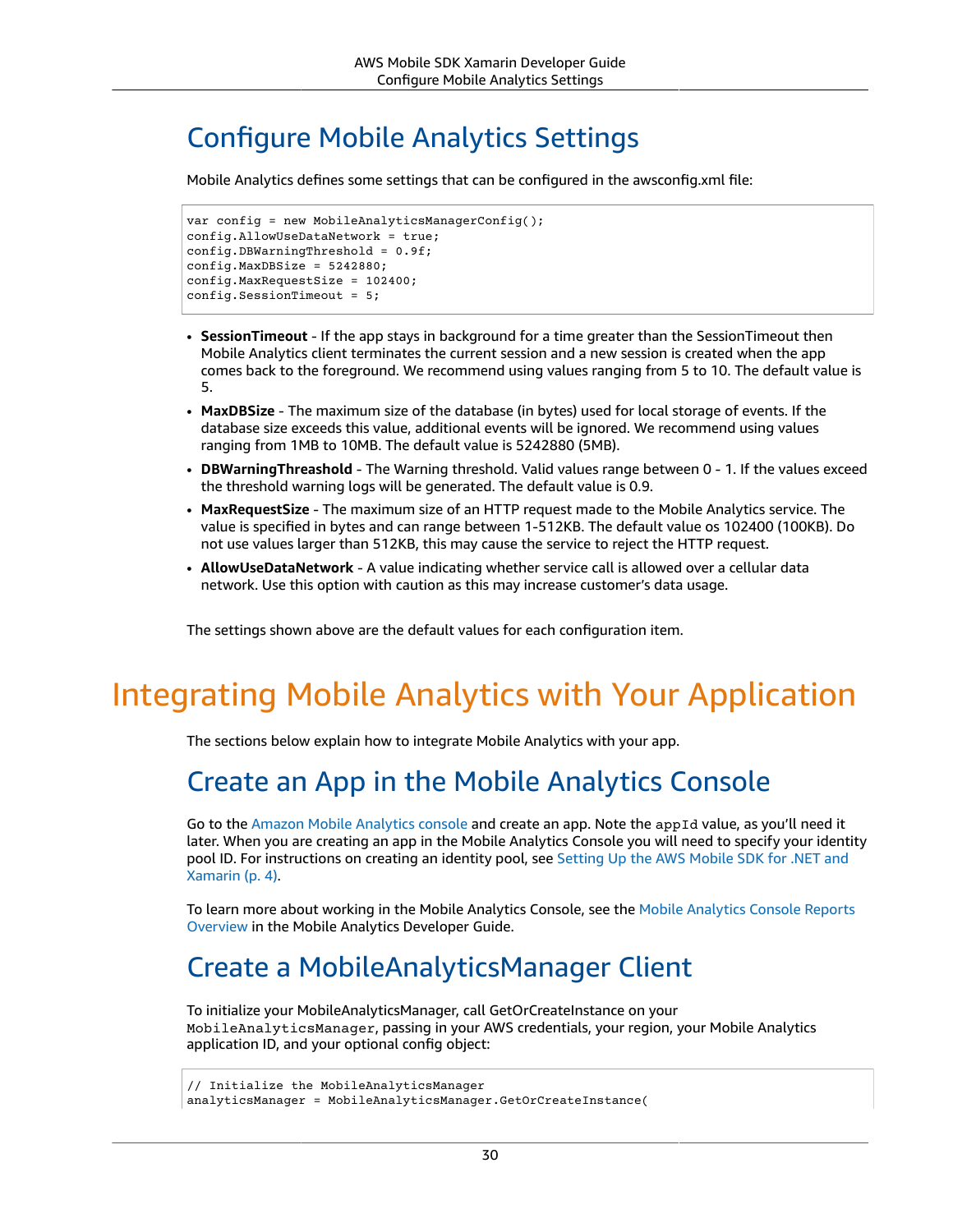## Configure Mobile Analytics Settings

Mobile Analytics defines some settings that can be configured in the awsconfig.xml file:

```
var config = new MobileAnalyticsManagerConfig();
config.AllowUseDataNetwork = true;
config.DBWarningThreshold = 0.9f;
config.MaxDBSize = 5242880;
config.MaxRequestSize = 102400;
config.SessionTimeout = 5;
```
- **SessionTimeout** If the app stays in background for a time greater than the SessionTimeout then Mobile Analytics client terminates the current session and a new session is created when the app comes back to the foreground. We recommend using values ranging from 5 to 10. The default value is 5.
- **MaxDBSize** The maximum size of the database (in bytes) used for local storage of events. If the database size exceeds this value, additional events will be ignored. We recommend using values ranging from 1MB to 10MB. The default value is 5242880 (5MB).
- **DBWarningThreashold** The Warning threshold. Valid values range between 0 1. If the values exceed the threshold warning logs will be generated. The default value is 0.9.
- **MaxRequestSize** The maximum size of an HTTP request made to the Mobile Analytics service. The value is specified in bytes and can range between 1-512KB. The default value os 102400 (100KB). Do not use values larger than 512KB, this may cause the service to reject the HTTP request.
- **AllowUseDataNetwork** A value indicating whether service call is allowed over a cellular data network. Use this option with caution as this may increase customer's data usage.

The settings shown above are the default values for each configuration item.

## Integrating Mobile Analytics with Your Application

The sections below explain how to integrate Mobile Analytics with your app.

## Create an App in the Mobile Analytics Console

Go to the Amazon Mobile [Analytics](https://aws.amazon.com/mobileanalytics/) console and create an app. Note the appId value, as you'll need it later. When you are creating an app in the Mobile Analytics Console you will need to specify your identity pool ID. For instructions on creating an identity pool, see [Setting](#page-10-0) Up the AWS Mobile SDK for .NET and [Xamarin \(p. 4\)](#page-10-0).

To learn more about working in the Mobile Analytics Console, see the Mobile [Analytics](https://docs.aws.amazon.com/mobileanalytics/latest/ug/using-the-console.html) Console Reports [Overview](https://docs.aws.amazon.com/mobileanalytics/latest/ug/using-the-console.html) in the Mobile Analytics Developer Guide.

## Create a MobileAnalyticsManager Client

To initialize your MobileAnalyticsManager, call GetOrCreateInstance on your MobileAnalyticsManager, passing in your AWS credentials, your region, your Mobile Analytics application ID, and your optional config object:

```
// Initialize the MobileAnalyticsManager
```

```
analyticsManager = MobileAnalyticsManager.GetOrCreateInstance(
```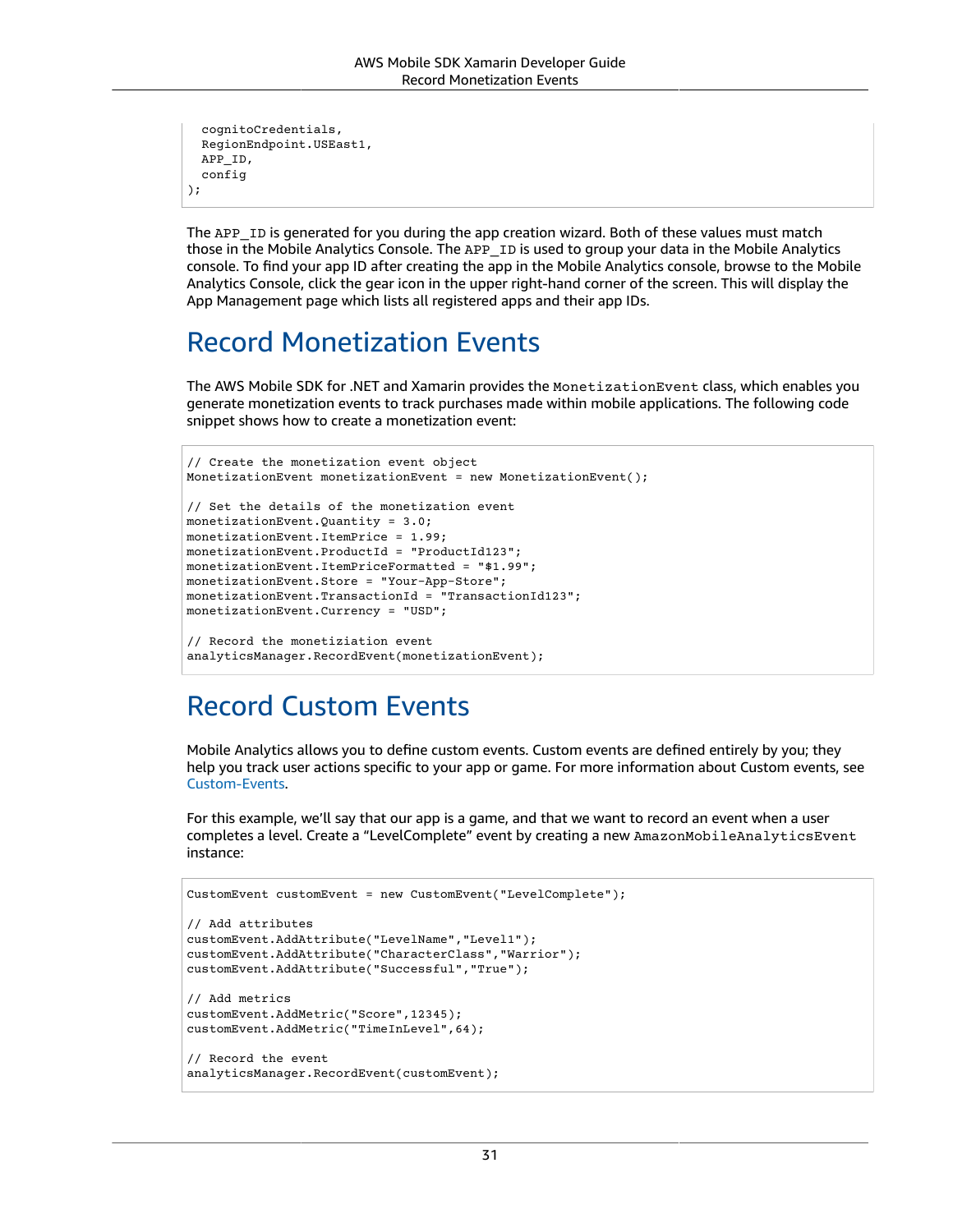```
 cognitoCredentials,
  RegionEndpoint.USEast1,
  APP_ID,
  config
);
```
The APP\_ID is generated for you during the app creation wizard. Both of these values must match those in the Mobile Analytics Console. The APP\_ID is used to group your data in the Mobile Analytics console. To find your app ID after creating the app in the Mobile Analytics console, browse to the Mobile Analytics Console, click the gear icon in the upper right-hand corner of the screen. This will display the App Management page which lists all registered apps and their app IDs.

## Record Monetization Events

The AWS Mobile SDK for .NET and Xamarin provides the MonetizationEvent class, which enables you generate monetization events to track purchases made within mobile applications. The following code snippet shows how to create a monetization event:

```
// Create the monetization event object
MonetizationEvent monetizationEvent = new MonetizationEvent();
// Set the details of the monetization event
monetizationEvent.Quantity = 3.0;
monetizationEvent.ItemPrice = 1.99;
monetizationEvent.ProductId = "ProductId123";
monetizationEvent.ItemPriceFormatted = "$1.99";
monetizationEvent.Store = "Your-App-Store";
monetizationEvent.TransactionId = "TransactionId123";
monetizationEvent.Currency = "USD";
// Record the monetiziation event
analyticsManager.RecordEvent(monetizationEvent);
```
## Record Custom Events

Mobile Analytics allows you to define custom events. Custom events are defined entirely by you; they help you track user actions specific to your app or game. For more information about Custom events, see [Custom-Events](https://aws.amazon.com/mobileanalytics/faqs/#custom-event-details).

For this example, we'll say that our app is a game, and that we want to record an event when a user completes a level. Create a "LevelComplete" event by creating a new AmazonMobileAnalyticsEvent instance:

```
CustomEvent customEvent = new CustomEvent("LevelComplete");
// Add attributes
customEvent.AddAttribute("LevelName","Level1");
customEvent.AddAttribute("CharacterClass","Warrior");
customEvent.AddAttribute("Successful","True");
// Add metrics
customEvent.AddMetric("Score",12345);
customEvent.AddMetric("TimeInLevel",64);
// Record the event
analyticsManager.RecordEvent(customEvent);
```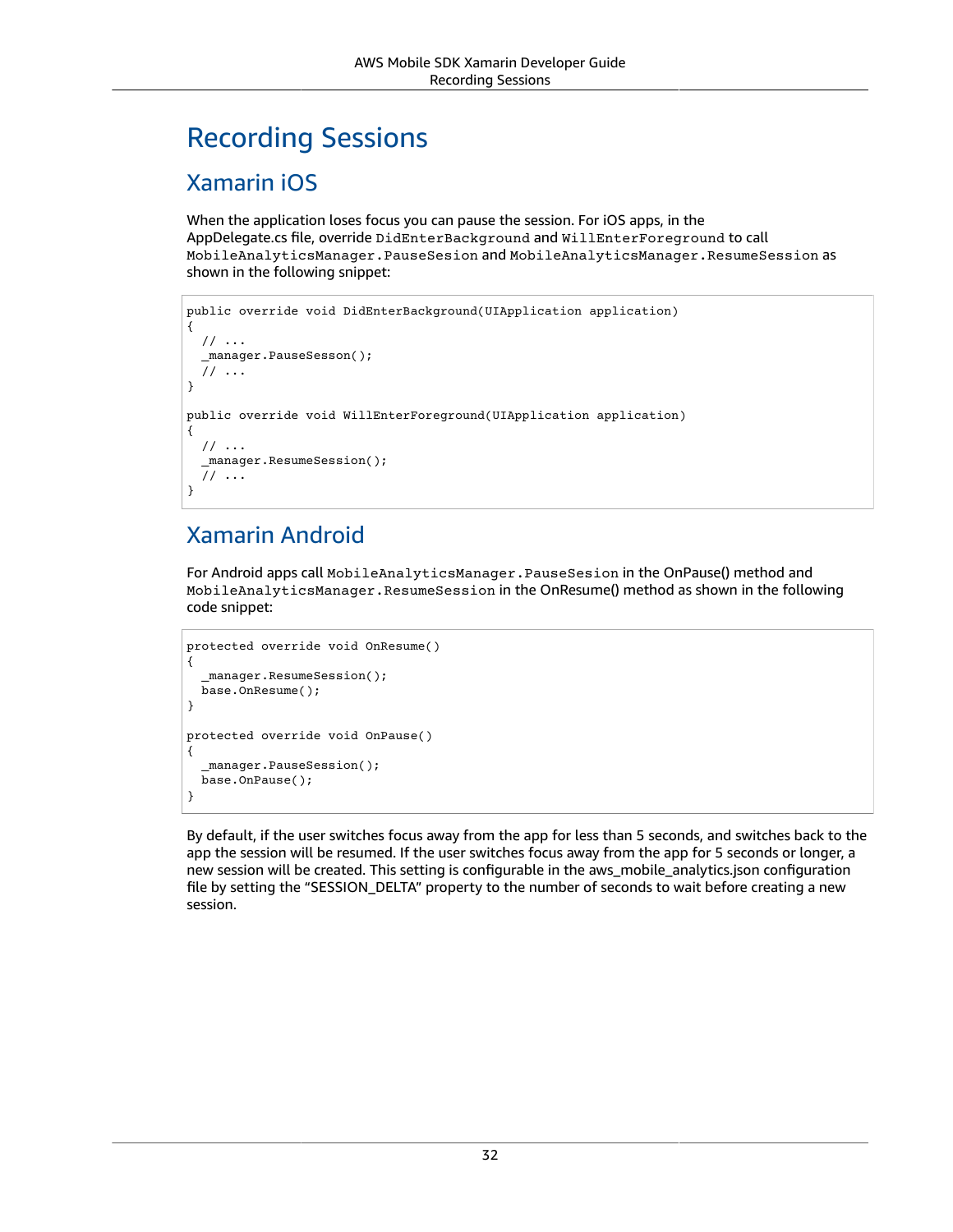## Recording Sessions

#### Xamarin iOS

When the application loses focus you can pause the session. For iOS apps, in the AppDelegate.cs file, override DidEnterBackground and WillEnterForeground to call MobileAnalyticsManager.PauseSesion and MobileAnalyticsManager.ResumeSession as shown in the following snippet:

```
public override void DidEnterBackground(UIApplication application)
{
   // ...
   _manager.PauseSesson();
   // ...
}
public override void WillEnterForeground(UIApplication application)
{
   // ...
   _manager.ResumeSession();
   // ...
}
```
### Xamarin Android

For Android apps call MobileAnalyticsManager.PauseSesion in the OnPause() method and MobileAnalyticsManager.ResumeSession in the OnResume() method as shown in the following code snippet:

```
protected override void OnResume()
{
   _manager.ResumeSession();
  base.OnResume();
}
protected override void OnPause()
{
  manager.PauseSession();
   base.OnPause();
}
```
By default, if the user switches focus away from the app for less than 5 seconds, and switches back to the app the session will be resumed. If the user switches focus away from the app for 5 seconds or longer, a new session will be created. This setting is configurable in the aws\_mobile\_analytics.json configuration file by setting the "SESSION\_DELTA" property to the number of seconds to wait before creating a new session.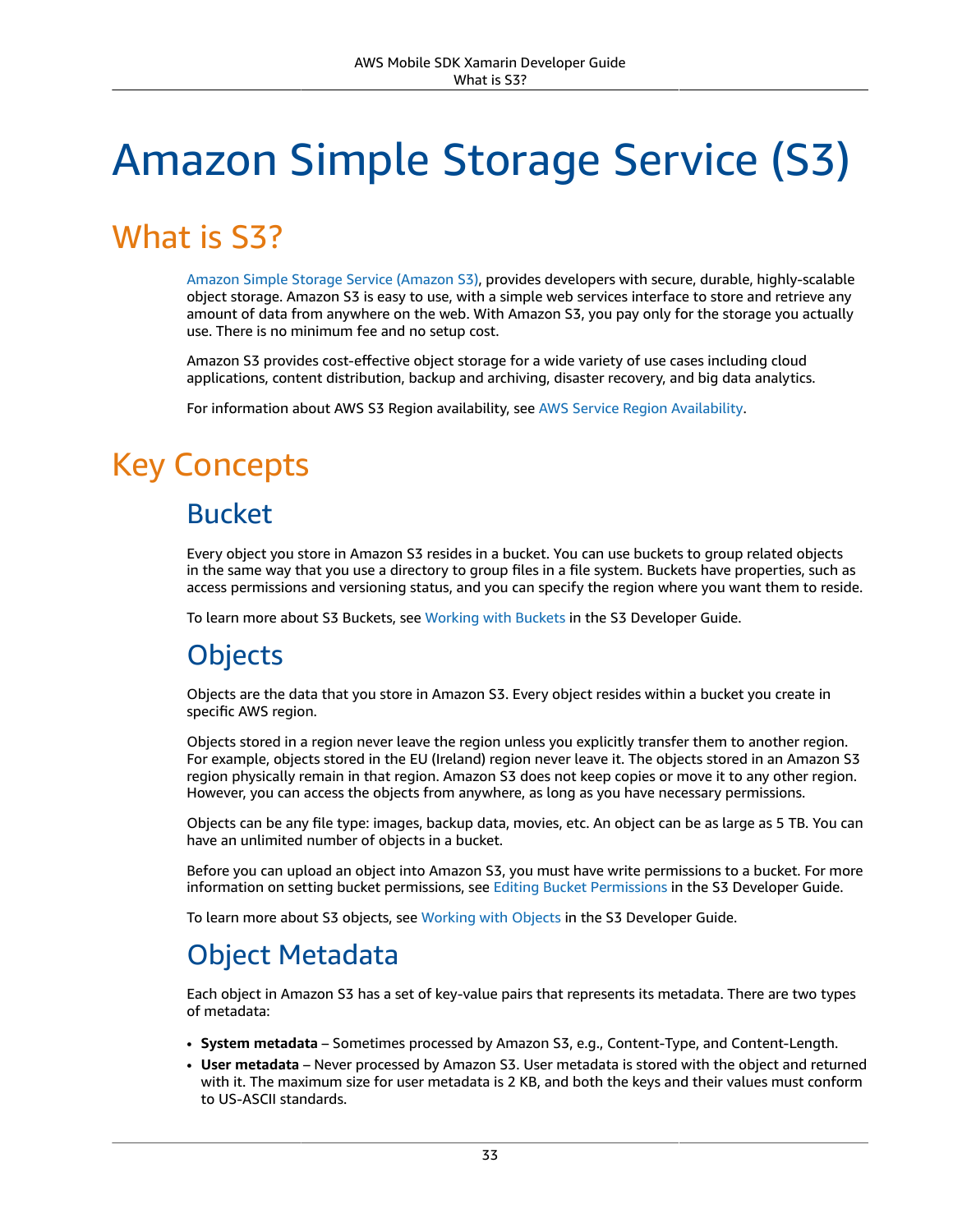# Amazon Simple Storage Service (S3)

## What is S3?

Amazon Simple Storage Service [\(Amazon](https://aws.amazon.com/s3/) S3), provides developers with secure, durable, highly-scalable object storage. Amazon S3 is easy to use, with a simple web services interface to store and retrieve any amount of data from anywhere on the web. With Amazon S3, you pay only for the storage you actually use. There is no minimum fee and no setup cost.

Amazon S3 provides cost-effective object storage for a wide variety of use cases including cloud applications, content distribution, backup and archiving, disaster recovery, and big data analytics.

For information about AWS S3 Region availability, see AWS Service Region [Availability.](https://aws.amazon.com/about-aws/global-infrastructure/regional-product-services/)

## Key Concepts

### Bucket

Every object you store in Amazon S3 resides in a bucket. You can use buckets to group related objects in the same way that you use a directory to group files in a file system. Buckets have properties, such as access permissions and versioning status, and you can specify the region where you want them to reside.

To learn more about S3 Buckets, see [Working](https://docs.aws.amazon.com/AmazonS3/latest/UG/BucketOperations.html) with Buckets in the S3 Developer Guide.

## **Objects**

Objects are the data that you store in Amazon S3. Every object resides within a bucket you create in specific AWS region.

Objects stored in a region never leave the region unless you explicitly transfer them to another region. For example, objects stored in the EU (Ireland) region never leave it. The objects stored in an Amazon S3 region physically remain in that region. Amazon S3 does not keep copies or move it to any other region. However, you can access the objects from anywhere, as long as you have necessary permissions.

Objects can be any file type: images, backup data, movies, etc. An object can be as large as 5 TB. You can have an unlimited number of objects in a bucket.

Before you can upload an object into Amazon S3, you must have write permissions to a bucket. For more information on setting bucket permissions, see Editing Bucket [Permissions](https://docs.aws.amazon.com/AmazonS3/latest/UG/EditingBucketPermissions.html) in the S3 Developer Guide.

To learn more about S3 objects, see [Working](https://docs.aws.amazon.com/AmazonS3/latest/UG/ObjectOperations.html) with Objects in the S3 Developer Guide.

## Object Metadata

Each object in Amazon S3 has a set of key-value pairs that represents its metadata. There are two types of metadata:

- **System metadata** Sometimes processed by Amazon S3, e.g., Content-Type, and Content-Length.
- **User metadata** Never processed by Amazon S3. User metadata is stored with the object and returned with it. The maximum size for user metadata is 2 KB, and both the keys and their values must conform to US-ASCII standards.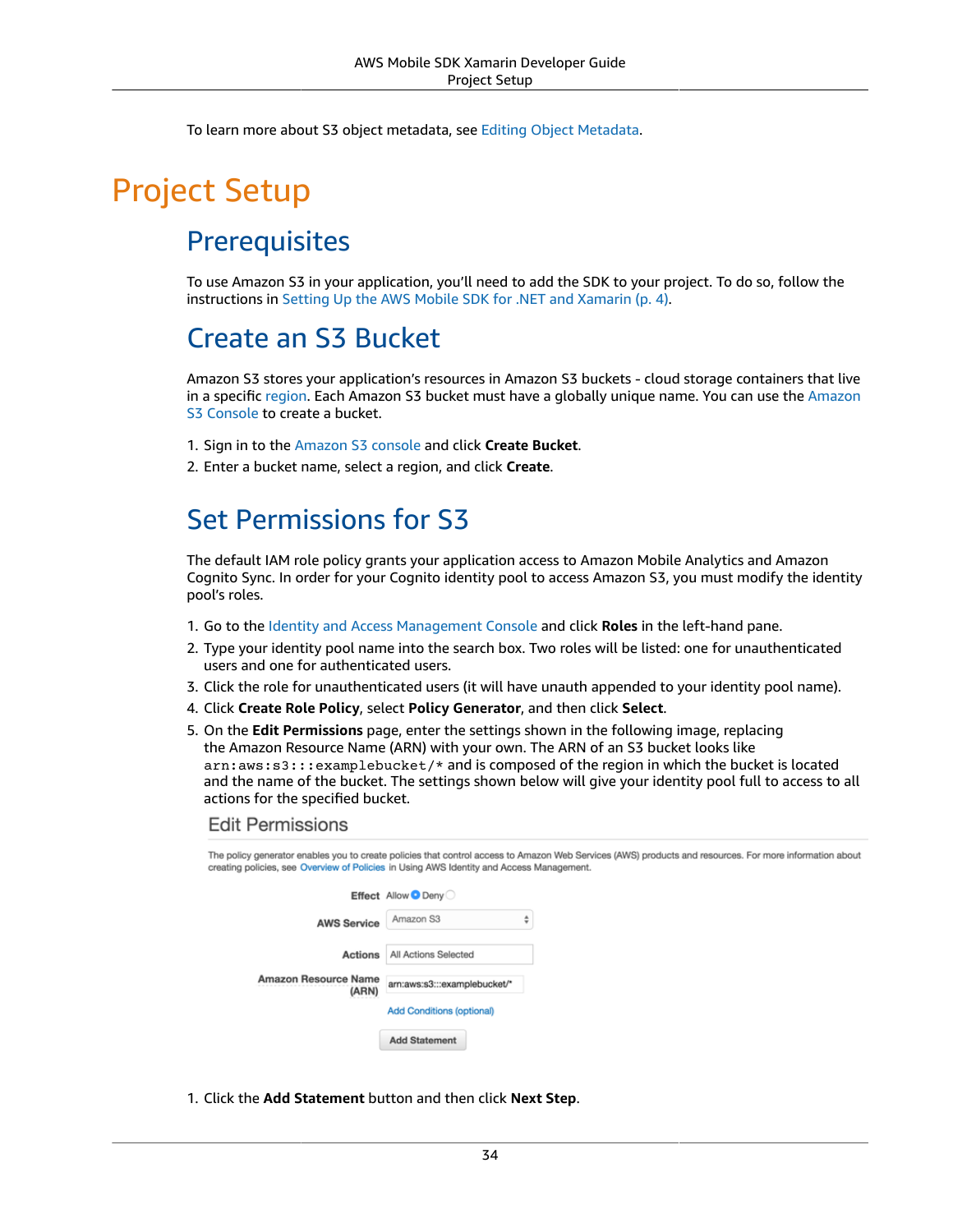To learn more about S3 object metadata, see Editing Object [Metadata.](https://docs.aws.amazon.com/AmazonS3/latest/UG/EditingtheMetadataofanObject.html)

## Project Setup

### **Prerequisites**

To use Amazon S3 in your application, you'll need to add the SDK to your project. To do so, follow the instructions in Setting Up the AWS Mobile SDK for .NET and [Xamarin \(p. 4\).](#page-10-0)

### Create an S3 Bucket

Amazon S3 stores your application's resources in Amazon S3 buckets - cloud storage containers that live in a specific [region](https://docs.aws.amazon.com/general/latest/gr/rande.html). Each Amazon S3 bucket must have a globally unique name. You can use the [Amazon](https://console.aws.amazon.com/s3/) [S3 Console](https://console.aws.amazon.com/s3/) to create a bucket.

- 1. Sign in to the [Amazon](https://console.aws.amazon.com/s3/) S3 console and click **Create Bucket**.
- 2. Enter a bucket name, select a region, and click **Create**.

## Set Permissions for S3

The default IAM role policy grants your application access to Amazon Mobile Analytics and Amazon Cognito Sync. In order for your Cognito identity pool to access Amazon S3, you must modify the identity pool's roles.

- 1. Go to the Identity and Access [Management](https://console.aws.amazon.com/iam/home) Console and click **Roles** in the left-hand pane.
- 2. Type your identity pool name into the search box. Two roles will be listed: one for unauthenticated users and one for authenticated users.
- 3. Click the role for unauthenticated users (it will have unauth appended to your identity pool name).
- 4. Click **Create Role Policy**, select **Policy Generator**, and then click **Select**.
- 5. On the **Edit Permissions** page, enter the settings shown in the following image, replacing the Amazon Resource Name (ARN) with your own. The ARN of an S3 bucket looks like arn:aws:s3:::examplebucket/\* and is composed of the region in which the bucket is located and the name of the bucket. The settings shown below will give your identity pool full to access to all actions for the specified bucket.

#### **Edit Permissions**

| The policy generator enables you to create policies that control access to Amazon Web Services (AWS) products and resources. For more information about<br>creating policies, see Overview of Policies in Using AWS Identity and Access Management. |                              |  |
|-----------------------------------------------------------------------------------------------------------------------------------------------------------------------------------------------------------------------------------------------------|------------------------------|--|
|                                                                                                                                                                                                                                                     | Effect Allow O Deny          |  |
| <b>AWS Service</b>                                                                                                                                                                                                                                  | ÷<br>Amazon S3               |  |
| <b>Actions</b>                                                                                                                                                                                                                                      | All Actions Selected         |  |
| Amazon Resource Name                                                                                                                                                                                                                                | arn:aws:s3:::examplebucket/* |  |
| (ARN)                                                                                                                                                                                                                                               | Add Conditions (optional)    |  |
|                                                                                                                                                                                                                                                     |                              |  |
|                                                                                                                                                                                                                                                     | <b>Add Statement</b>         |  |

1. Click the **Add Statement** button and then click **Next Step**.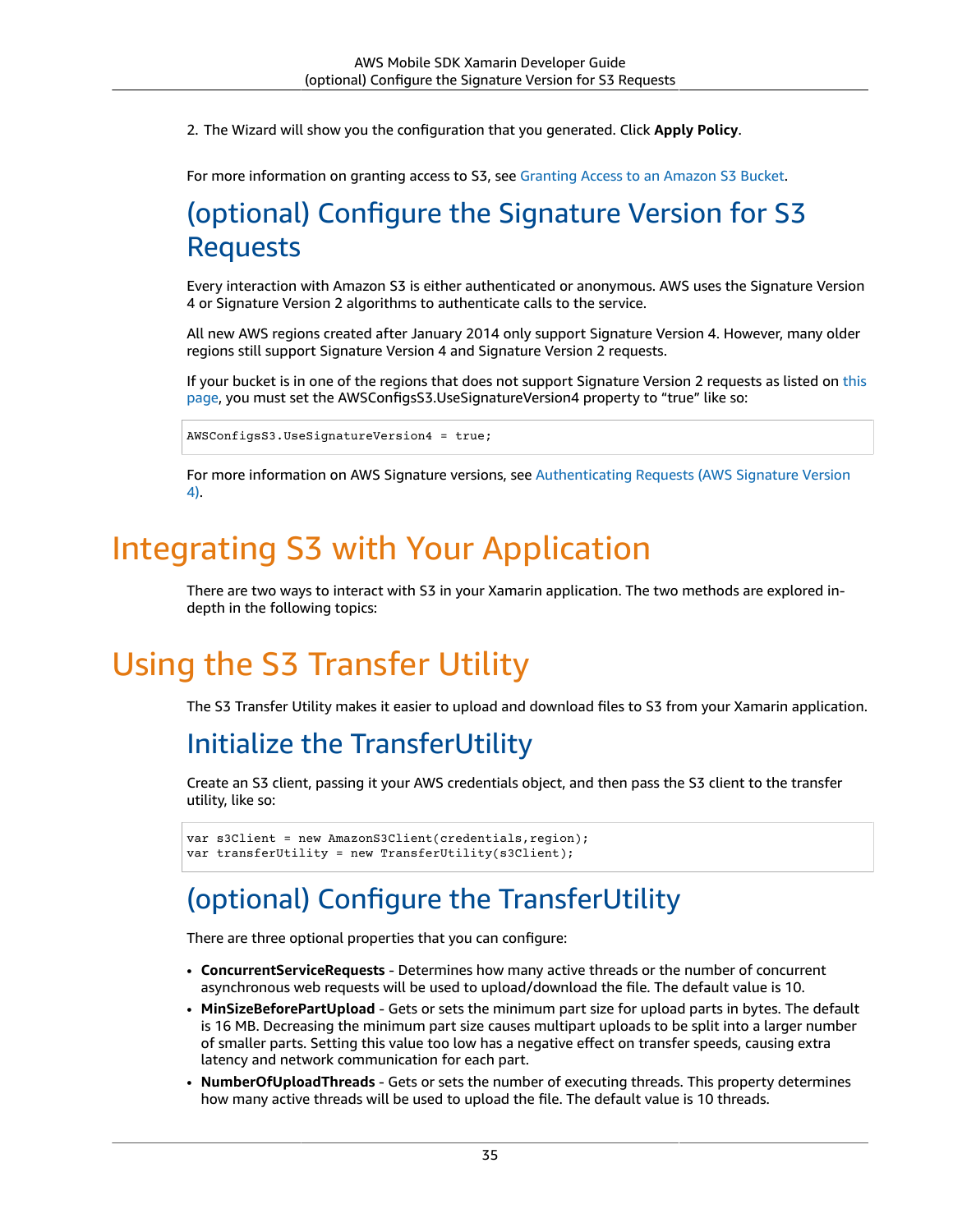2. The Wizard will show you the configuration that you generated. Click **Apply Policy**.

For more information on granting access to S3, see [Granting](http://blogs.aws.amazon.com/security/post/Tx3VRSWZ6B3SHAV/Writing-IAM-Policies-How-to-grant-access-to-an-Amazon-S3-bucket) Access to an Amazon S3 Bucket.

## (optional) Configure the Signature Version for S3 Requests

Every interaction with Amazon S3 is either authenticated or anonymous. AWS uses the Signature Version 4 or Signature Version 2 algorithms to authenticate calls to the service.

All new AWS regions created after January 2014 only support Signature Version 4. However, many older regions still support Signature Version 4 and Signature Version 2 requests.

If your bucket is in one of the regions that does not support Signature Version 2 requests as listed on [this](https://docs.aws.amazon.com/general/latest/gr/signature-version-2.html) [page](https://docs.aws.amazon.com/general/latest/gr/signature-version-2.html), you must set the AWSConfigsS3.UseSignatureVersion4 property to "true" like so:

AWSConfigsS3.UseSignatureVersion4 = true;

For more information on AWS Signature versions, see [Authenticating](https://docs.aws.amazon.com/AmazonS3/latest/API/sig-v4-authenticating-requests.html) Requests (AWS Signature Version [4\)](https://docs.aws.amazon.com/AmazonS3/latest/API/sig-v4-authenticating-requests.html).

## Integrating S3 with Your Application

There are two ways to interact with S3 in your Xamarin application. The two methods are explored indepth in the following topics:

## Using the S3 Transfer Utility

The S3 Transfer Utility makes it easier to upload and download files to S3 from your Xamarin application.

## Initialize the TransferUtility

Create an S3 client, passing it your AWS credentials object, and then pass the S3 client to the transfer utility, like so:

```
var s3Client = new AmazonS3Client(credentials, region);
var transferUtility = new TransferUtility(s3Client);
```
## (optional) Configure the TransferUtility

There are three optional properties that you can configure:

- **ConcurrentServiceRequests** Determines how many active threads or the number of concurrent asynchronous web requests will be used to upload/download the file. The default value is 10.
- **MinSizeBeforePartUpload** Gets or sets the minimum part size for upload parts in bytes. The default is 16 MB. Decreasing the minimum part size causes multipart uploads to be split into a larger number of smaller parts. Setting this value too low has a negative effect on transfer speeds, causing extra latency and network communication for each part.
- **NumberOfUploadThreads** Gets or sets the number of executing threads. This property determines how many active threads will be used to upload the file. The default value is 10 threads.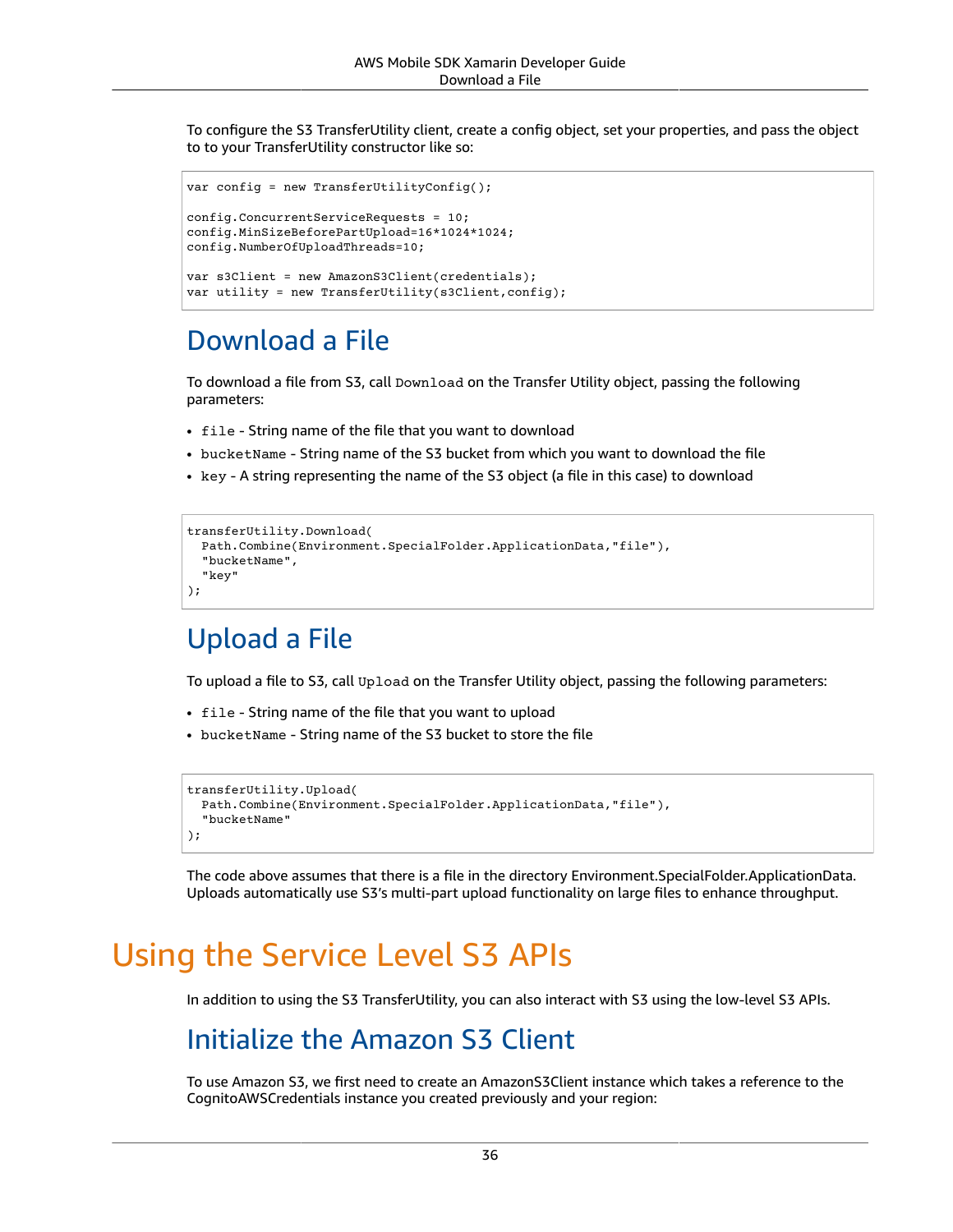To configure the S3 TransferUtility client, create a config object, set your properties, and pass the object to to your TransferUtility constructor like so:

```
var config = new TransferUtilityConfig();
config.ConcurrentServiceRequests = 10;
config.MinSizeBeforePartUpload=16*1024*1024;
config.NumberOfUploadThreads=10;
var s3Client = new AmazonS3Client(credentials);
var utility = new TransferUtility(s3Client,config);
```
### Download a File

To download a file from S3, call Download on the Transfer Utility object, passing the following parameters:

- file String name of the file that you want to download
- bucketName String name of the S3 bucket from which you want to download the file
- key A string representing the name of the S3 object (a file in this case) to download

```
transferUtility.Download(
  Path.Combine(Environment.SpecialFolder.ApplicationData,"file"),
   "bucketName",
   "key"
);
```
### Upload a File

To upload a file to S3, call Upload on the Transfer Utility object, passing the following parameters:

- file String name of the file that you want to upload
- bucketName String name of the S3 bucket to store the file

```
transferUtility.Upload(
  Path.Combine(Environment.SpecialFolder.ApplicationData,"file"),
   "bucketName"
);
```
The code above assumes that there is a file in the directory Environment.SpecialFolder.ApplicationData. Uploads automatically use S3's multi-part upload functionality on large files to enhance throughput.

## Using the Service Level S3 APIs

In addition to using the S3 TransferUtility, you can also interact with S3 using the low-level S3 APIs.

### Initialize the Amazon S3 Client

To use Amazon S3, we first need to create an AmazonS3Client instance which takes a reference to the CognitoAWSCredentials instance you created previously and your region: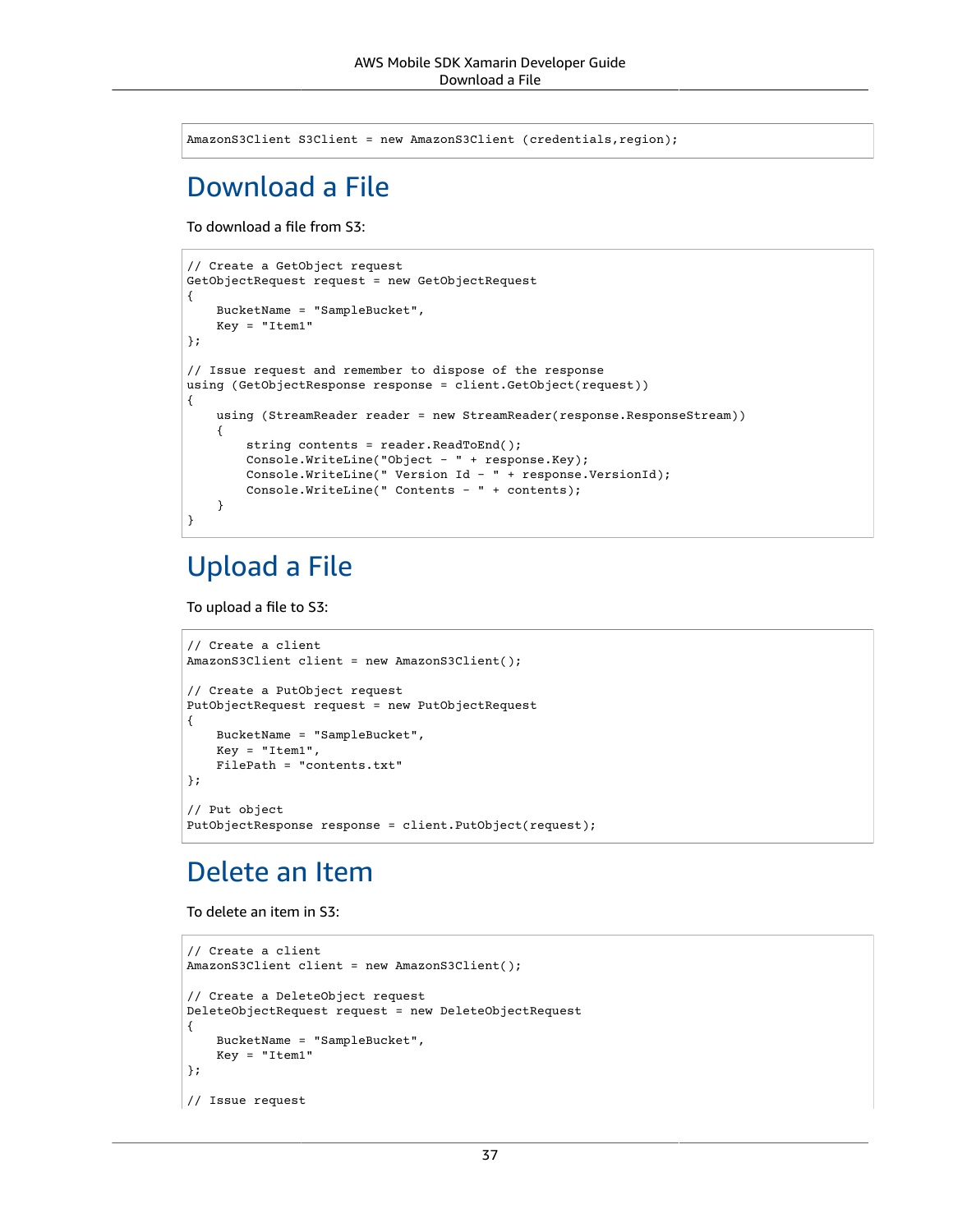AmazonS3Client S3Client = new AmazonS3Client (credentials,region);

## Download a File

To download a file from S3:

```
// Create a GetObject request
GetObjectRequest request = new GetObjectRequest
{
     BucketName = "SampleBucket",
     Key = "Item1"
};
// Issue request and remember to dispose of the response
using (GetObjectResponse response = client.GetObject(request))
{
    using (StreamReader reader = new StreamReader(response.ResponseStream))
     {
         string contents = reader.ReadToEnd();
         Console.WriteLine("Object - " + response.Key);
         Console.WriteLine(" Version Id - " + response.VersionId);
         Console.WriteLine(" Contents - " + contents);
     }
}
```
### Upload a File

To upload a file to S3:

```
// Create a client
AmazonS3Client client = new AmazonS3Client();
// Create a PutObject request
PutObjectRequest request = new PutObjectRequest
{
     BucketName = "SampleBucket",
     Key = "Item1",
     FilePath = "contents.txt"
};
// Put object
PutObjectResponse response = client.PutObject(request);
```
### Delete an Item

To delete an item in S3:

```
// Create a client
AmazonS3Client client = new AmazonS3Client();
// Create a DeleteObject request
DeleteObjectRequest request = new DeleteObjectRequest
{
     BucketName = "SampleBucket",
     Key = "Item1"
};
// Issue request
```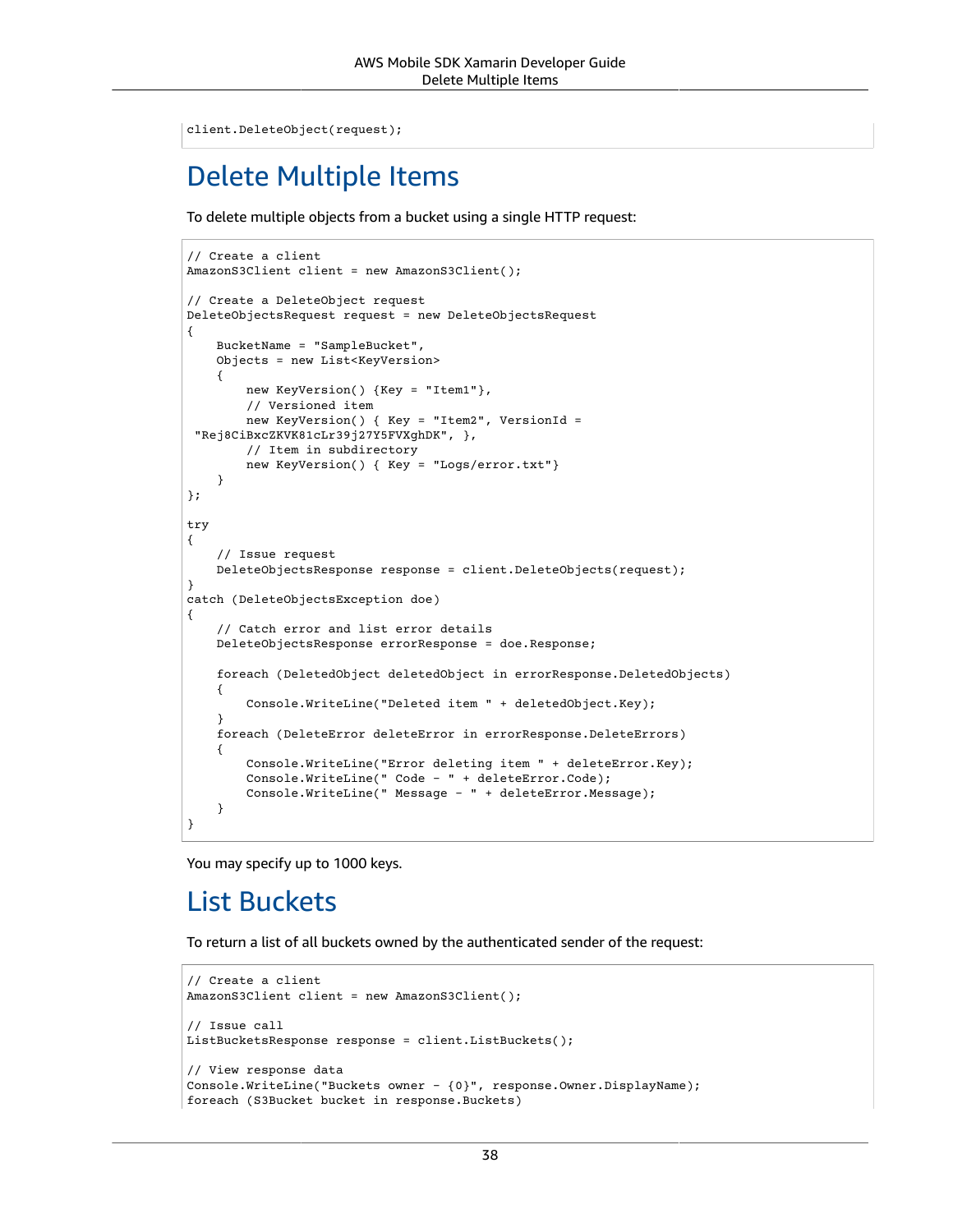```
client.DeleteObject(request);
```
## Delete Multiple Items

To delete multiple objects from a bucket using a single HTTP request:

```
// Create a client
AmazonS3Client client = new AmazonS3Client();
// Create a DeleteObject request
DeleteObjectsRequest request = new DeleteObjectsRequest
{
     BucketName = "SampleBucket",
     Objects = new List<KeyVersion>
     {
         new KeyVersion() {Key = "Item1"},
         // Versioned item
         new KeyVersion() { Key = "Item2", VersionId =
  "Rej8CiBxcZKVK81cLr39j27Y5FVXghDK", },
         // Item in subdirectory
         new KeyVersion() { Key = "Logs/error.txt"}
     }
};
try
{
     // Issue request
     DeleteObjectsResponse response = client.DeleteObjects(request);
}
catch (DeleteObjectsException doe)
{
     // Catch error and list error details
     DeleteObjectsResponse errorResponse = doe.Response;
     foreach (DeletedObject deletedObject in errorResponse.DeletedObjects)
     {
         Console.WriteLine("Deleted item " + deletedObject.Key);
     }
     foreach (DeleteError deleteError in errorResponse.DeleteErrors)
     {
         Console.WriteLine("Error deleting item " + deleteError.Key);
         Console.WriteLine(" Code - " + deleteError.Code);
         Console.WriteLine(" Message - " + deleteError.Message);
     }
}
```
You may specify up to 1000 keys.

### List Buckets

To return a list of all buckets owned by the authenticated sender of the request:

```
// Create a client
AmazonS3Client client = new AmazonS3Client();
// Issue call
ListBucketsResponse response = client.ListBuckets();
// View response data
Console.WriteLine("Buckets owner - {0}", response.Owner.DisplayName);
foreach (S3Bucket bucket in response.Buckets)
```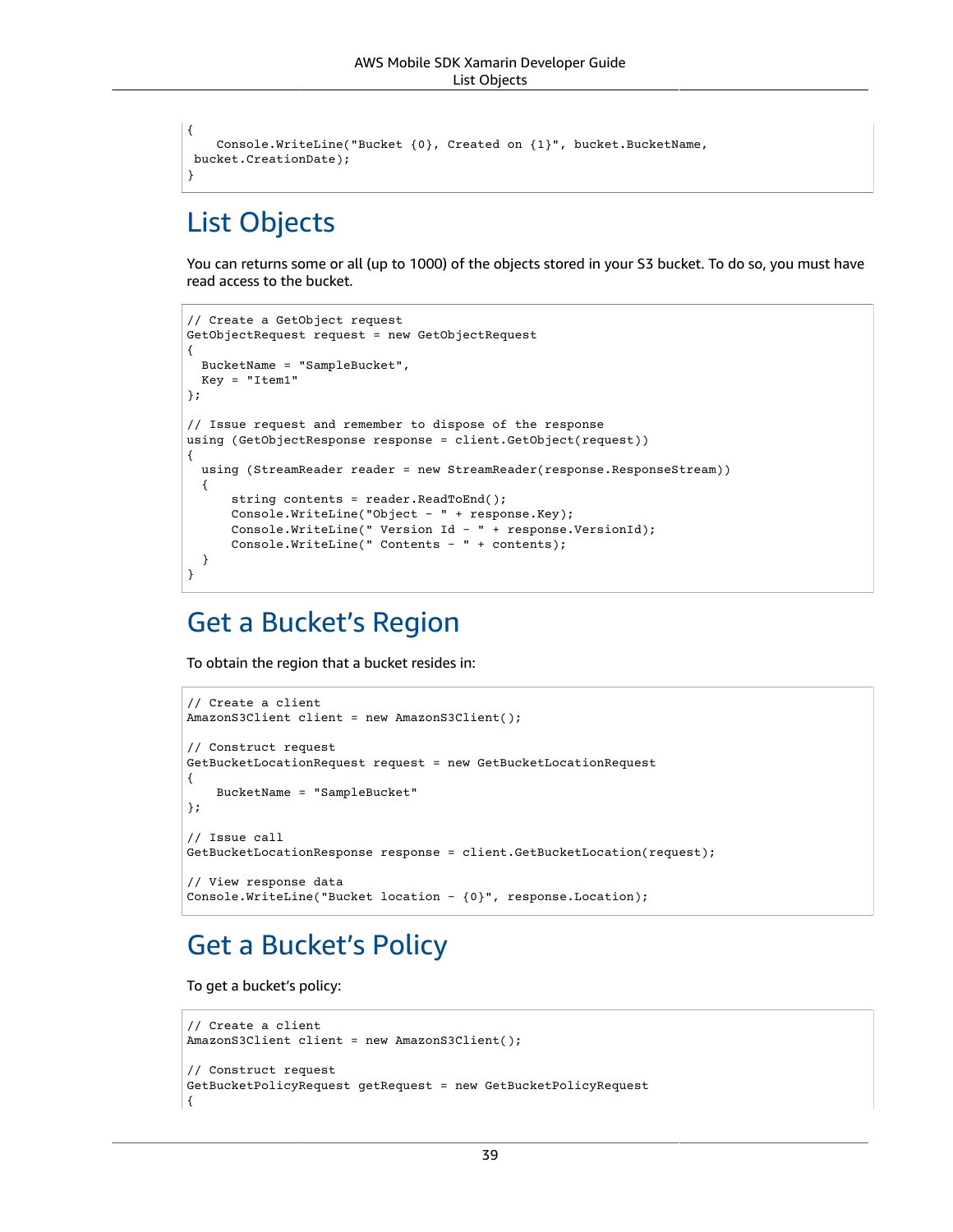```
{
     Console.WriteLine("Bucket {0}, Created on {1}", bucket.BucketName,
 bucket.CreationDate);
}
```
### List Objects

You can returns some or all (up to 1000) of the objects stored in your S3 bucket. To do so, you must have read access to the bucket.

```
// Create a GetObject request
GetObjectRequest request = new GetObjectRequest
{
  BucketName = "SampleBucket",
  Key = "Item1"
};
// Issue request and remember to dispose of the response
using (GetObjectResponse response = client.GetObject(request))
{
  using (StreamReader reader = new StreamReader(response.ResponseStream))
   {
       string contents = reader.ReadToEnd();
       Console.WriteLine("Object - " + response.Key);
       Console.WriteLine(" Version Id - " + response.VersionId);
       Console.WriteLine(" Contents - " + contents);
   }
}
```
## Get a Bucket's Region

To obtain the region that a bucket resides in:

```
// Create a client
AmazonS3Client client = new AmazonS3Client();
// Construct request
GetBucketLocationRequest request = new GetBucketLocationRequest
{
     BucketName = "SampleBucket"
};
// Issue call
GetBucketLocationResponse response = client.GetBucketLocation(request);
// View response data
Console.WriteLine("Bucket location - {0}", response.Location);
```
### Get a Bucket's Policy

To get a bucket's policy:

```
// Create a client
AmazonS3Client client = new AmazonS3Client();
// Construct request
GetBucketPolicyRequest getRequest = new GetBucketPolicyRequest
{
```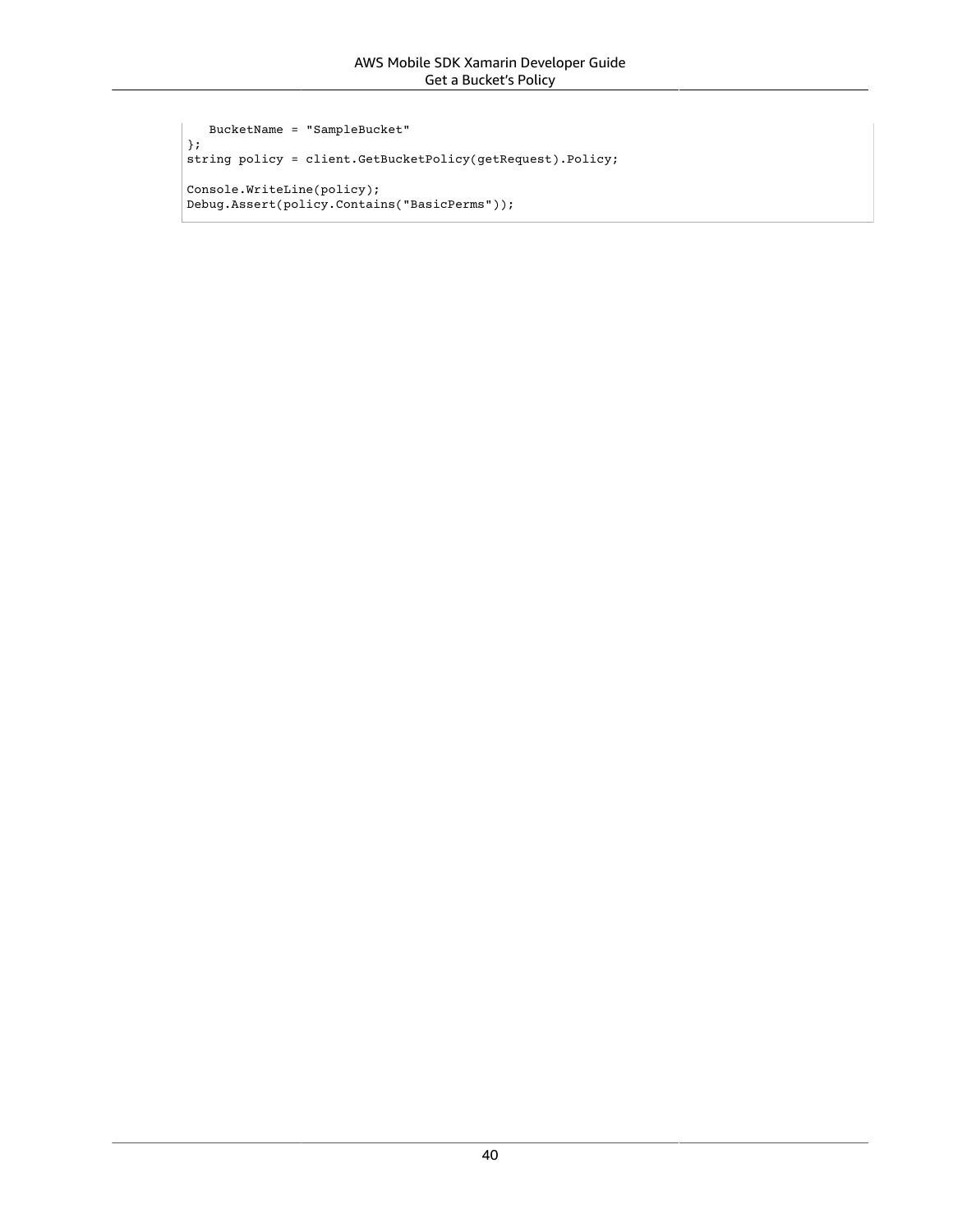```
 BucketName = "SampleBucket"
};
string policy = client.GetBucketPolicy(getRequest).Policy;
Console.WriteLine(policy);
Debug.Assert(policy.Contains("BasicPerms"));
```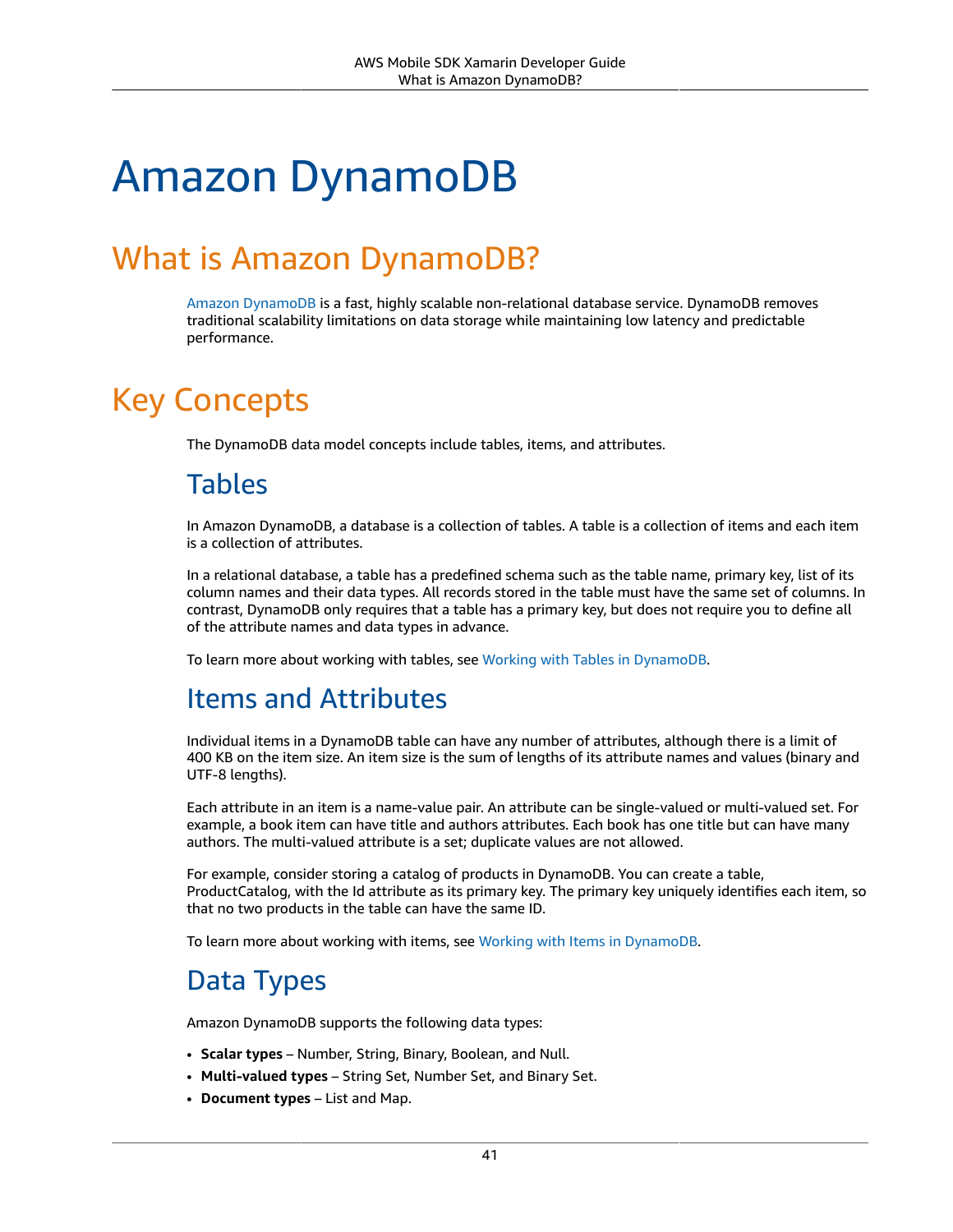# Amazon DynamoDB

## What is Amazon DynamoDB?

Amazon [DynamoDB](https://aws.amazon.com/dynamodb/) is a fast, highly scalable non-relational database service. DynamoDB removes traditional scalability limitations on data storage while maintaining low latency and predictable performance.

## Key Concepts

The DynamoDB data model concepts include tables, items, and attributes.

### Tables

In Amazon DynamoDB, a database is a collection of tables. A table is a collection of items and each item is a collection of attributes.

In a relational database, a table has a predefined schema such as the table name, primary key, list of its column names and their data types. All records stored in the table must have the same set of columns. In contrast, DynamoDB only requires that a table has a primary key, but does not require you to define all of the attribute names and data types in advance.

To learn more about working with tables, see Working with Tables in [DynamoDB](https://docs.aws.amazon.com/amazondynamodb/latest/developerguide/WorkingWithTables.html).

### Items and Attributes

Individual items in a DynamoDB table can have any number of attributes, although there is a limit of 400 KB on the item size. An item size is the sum of lengths of its attribute names and values (binary and UTF-8 lengths).

Each attribute in an item is a name-value pair. An attribute can be single-valued or multi-valued set. For example, a book item can have title and authors attributes. Each book has one title but can have many authors. The multi-valued attribute is a set; duplicate values are not allowed.

For example, consider storing a catalog of products in DynamoDB. You can create a table, ProductCatalog, with the Id attribute as its primary key. The primary key uniquely identifies each item, so that no two products in the table can have the same ID.

To learn more about working with items, see Working with Items in [DynamoDB](https://docs.aws.amazon.com/amazondynamodb/latest/developerguide/WorkingWithItems.html).

## Data Types

Amazon DynamoDB supports the following data types:

- **Scalar types** Number, String, Binary, Boolean, and Null.
- **Multi-valued types** String Set, Number Set, and Binary Set.
- **Document types** List and Map.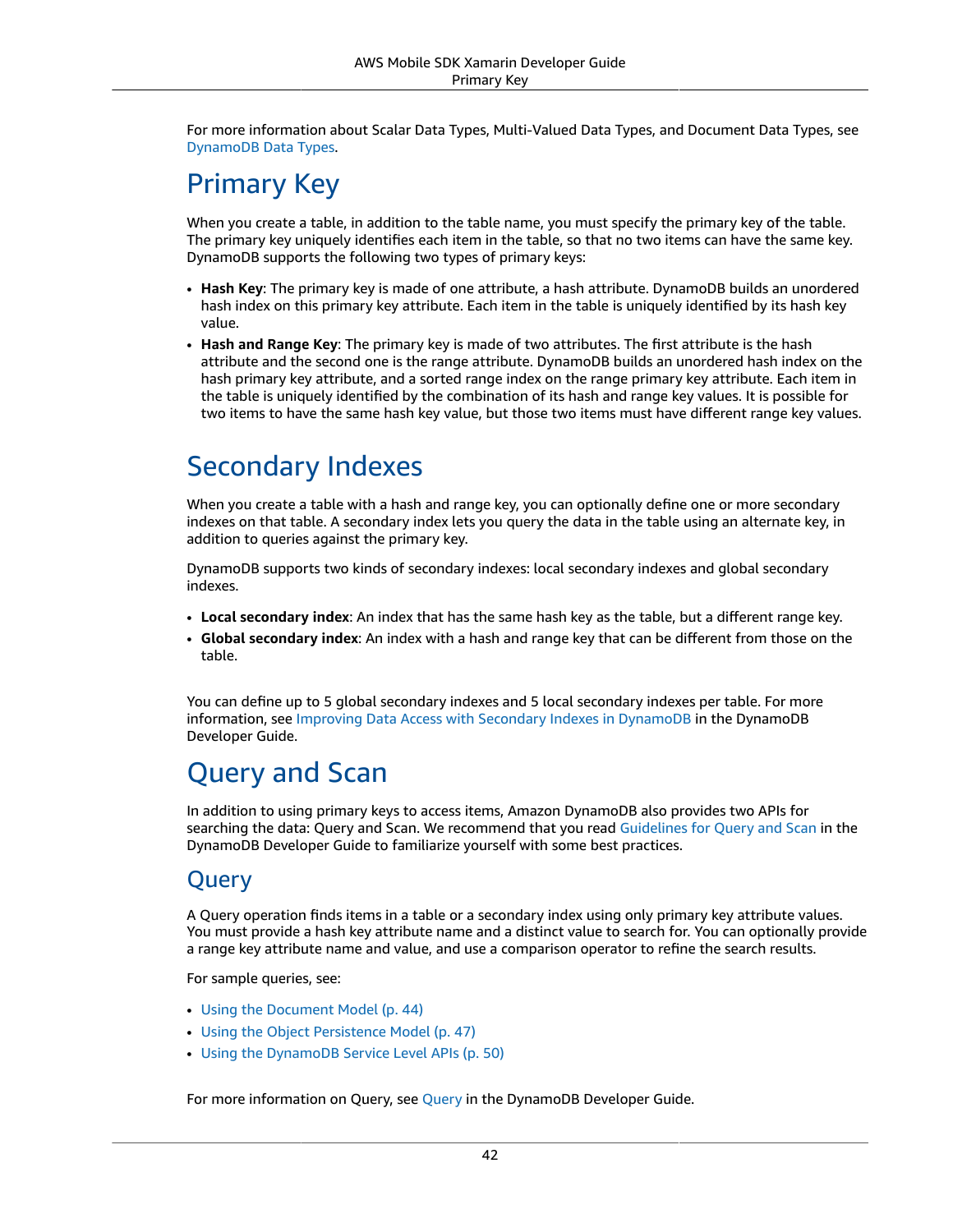For more information about Scalar Data Types, Multi-Valued Data Types, and Document Data Types, see [DynamoDB](https://docs.aws.amazon.com/amazondynamodb/latest/developerguide/DataModel.html#DataModel.DataTypes) Data Types.

## Primary Key

When you create a table, in addition to the table name, you must specify the primary key of the table. The primary key uniquely identifies each item in the table, so that no two items can have the same key. DynamoDB supports the following two types of primary keys:

- **Hash Key**: The primary key is made of one attribute, a hash attribute. DynamoDB builds an unordered hash index on this primary key attribute. Each item in the table is uniquely identified by its hash key value.
- **Hash and Range Key**: The primary key is made of two attributes. The first attribute is the hash attribute and the second one is the range attribute. DynamoDB builds an unordered hash index on the hash primary key attribute, and a sorted range index on the range primary key attribute. Each item in the table is uniquely identified by the combination of its hash and range key values. It is possible for two items to have the same hash key value, but those two items must have different range key values.

## Secondary Indexes

When you create a table with a hash and range key, you can optionally define one or more secondary indexes on that table. A secondary index lets you query the data in the table using an alternate key, in addition to queries against the primary key.

DynamoDB supports two kinds of secondary indexes: local secondary indexes and global secondary indexes.

- **Local secondary index**: An index that has the same hash key as the table, but a different range key.
- **Global secondary index**: An index with a hash and range key that can be different from those on the table.

You can define up to 5 global secondary indexes and 5 local secondary indexes per table. For more information, see Improving Data Access with Secondary Indexes in [DynamoDB](https://docs.aws.amazon.com/amazondynamodb/latest/developerguide/SecondaryIndexes.html) in the DynamoDB Developer Guide.

## Query and Scan

In addition to using primary keys to access items, Amazon DynamoDB also provides two APIs for searching the data: Query and Scan. We recommend that you read [Guidelines](https://docs.aws.amazon.com/amazondynamodb/latest/developerguide/QueryAndScanGuidelines.html) for Query and Scan in the DynamoDB Developer Guide to familiarize yourself with some best practices.

#### Query

A Query operation finds items in a table or a secondary index using only primary key attribute values. You must provide a hash key attribute name and a distinct value to search for. You can optionally provide a range key attribute name and value, and use a comparison operator to refine the search results.

For sample queries, see:

- [Using the Document Model \(p. 44\)](#page-50-0)
- Using the Object [Persistence](#page-53-0) Model [\(p. 47\)](#page-53-0)
- Using the [DynamoDB](#page-56-0) Service Level API[s \(p. 50\)](#page-56-0)

For more information on Query, see [Query](https://docs.aws.amazon.com/amazondynamodb/latest/developerguide/QueryAndScan.html#QueryAndScan.Query) in the DynamoDB Developer Guide.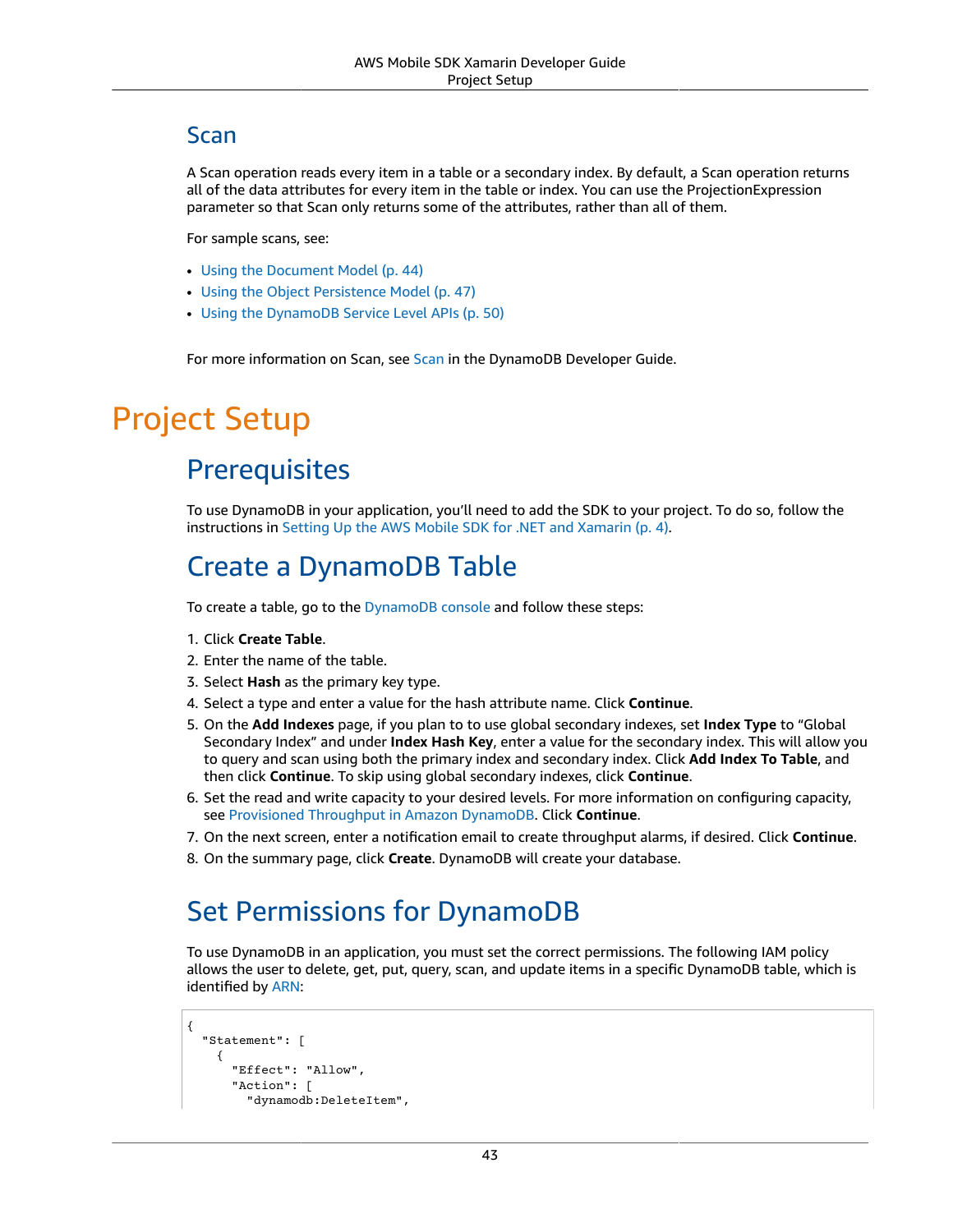#### Scan

A Scan operation reads every item in a table or a secondary index. By default, a Scan operation returns all of the data attributes for every item in the table or index. You can use the ProjectionExpression parameter so that Scan only returns some of the attributes, rather than all of them.

For sample scans, see:

- [Using the Document Model \(p. 44\)](#page-50-0)
- Using the Object [Persistence](#page-53-0) Model [\(p. 47\)](#page-53-0)
- Using the [DynamoDB](#page-56-0) Service Level API[s \(p. 50\)](#page-56-0)

For more information on [Scan](https://docs.aws.amazon.com/amazondynamodb/latest/developerguide/QueryAndScan.html#QueryAndScan.Scan), see Scan in the DynamoDB Developer Guide.

## Project Setup

## **Prerequisites**

To use DynamoDB in your application, you'll need to add the SDK to your project. To do so, follow the instructions in Setting Up the AWS Mobile SDK for .NET and [Xamarin \(p. 4\).](#page-10-0)

### Create a DynamoDB Table

To create a table, go to the [DynamoDB](https://console.aws.amazon.com/dynamodb/home) console and follow these steps:

- 1. Click **Create Table**.
- 2. Enter the name of the table.
- 3. Select **Hash** as the primary key type.
- 4. Select a type and enter a value for the hash attribute name. Click **Continue**.
- 5. On the **Add Indexes** page, if you plan to to use global secondary indexes, set **Index Type** to "Global Secondary Index" and under **Index Hash Key**, enter a value for the secondary index. This will allow you to query and scan using both the primary index and secondary index. Click **Add Index To Table**, and then click **Continue**. To skip using global secondary indexes, click **Continue**.
- 6. Set the read and write capacity to your desired levels. For more information on configuring capacity, see Provisioned [Throughput](https://docs.aws.amazon.com/amazondynamodb/latest/developerguide/ProvisionedThroughputIntro.html) in Amazon DynamoDB. Click **Continue**.
- 7. On the next screen, enter a notification email to create throughput alarms, if desired. Click **Continue**.
- 8. On the summary page, click **Create**. DynamoDB will create your database.

## Set Permissions for DynamoDB

To use DynamoDB in an application, you must set the correct permissions. The following IAM policy allows the user to delete, get, put, query, scan, and update items in a specific DynamoDB table, which is identified by [ARN:](https://docs.aws.amazon.com/general/latest/gr/aws-arns-and-namespaces.html)

```
{
   "Statement": [
     {
       "Effect": "Allow",
        "Action": [
          "dynamodb:DeleteItem",
```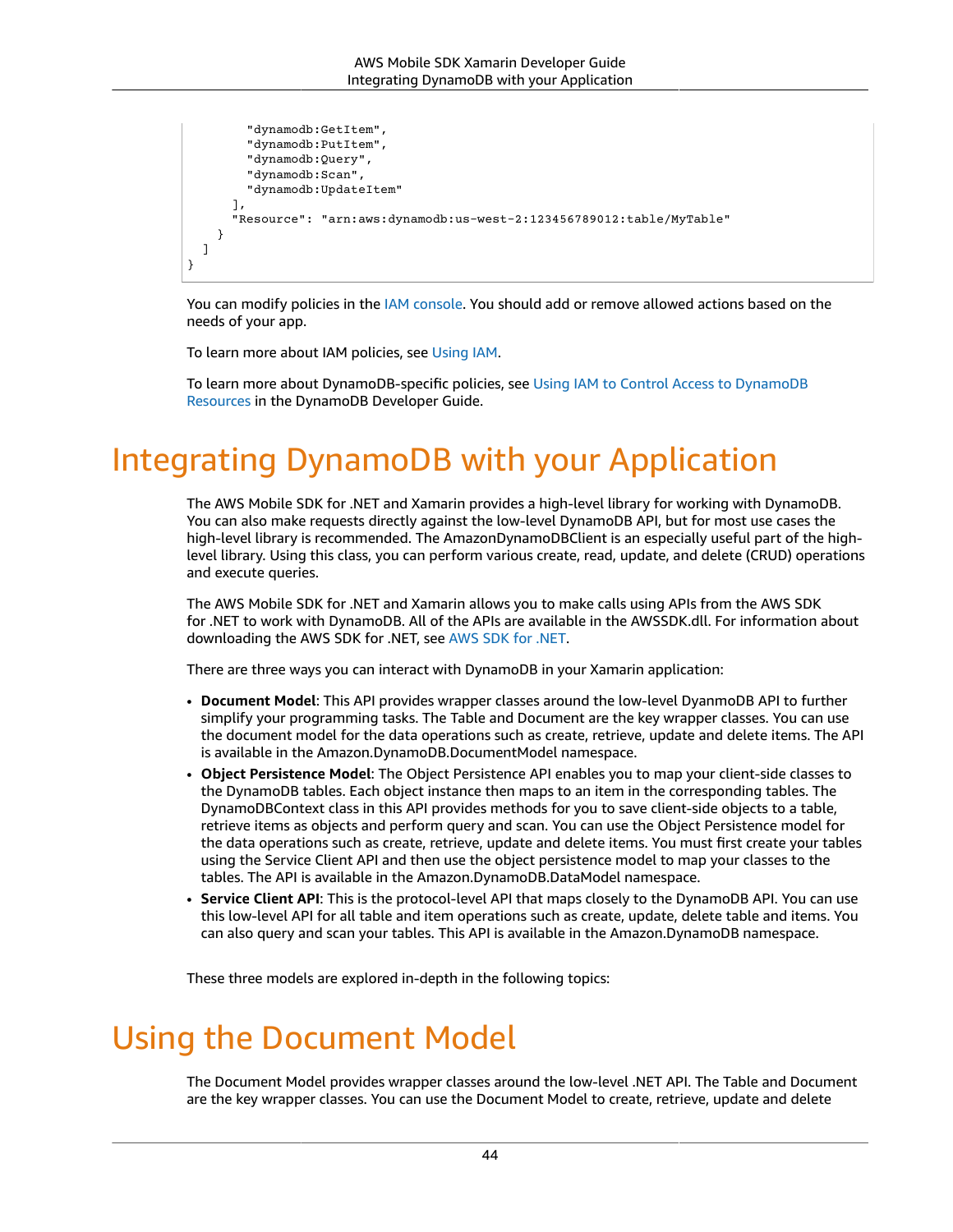```
 "dynamodb:GetItem",
          "dynamodb:PutItem",
          "dynamodb:Query",
          "dynamodb:Scan",
          "dynamodb:UpdateItem"
       ],
       "Resource": "arn:aws:dynamodb:us-west-2:123456789012:table/MyTable"
     }
   ]
}
```
You can modify policies in the IAM [console](https://console.aws.amazon.com/iam/). You should add or remove allowed actions based on the needs of your app.

To learn more about IAM policies, see [Using IAM.](https://docs.aws.amazon.com/IAM/latest/UserGuide/IAM_Introduction.html)

To learn more about DynamoDB-specific policies, see Using IAM to Control Access to [DynamoDB](https://docs.aws.amazon.com/amazondynamodb/latest/developerguide/UsingIAMWithDDB.html) [Resources](https://docs.aws.amazon.com/amazondynamodb/latest/developerguide/UsingIAMWithDDB.html) in the DynamoDB Developer Guide.

## Integrating DynamoDB with your Application

The AWS Mobile SDK for .NET and Xamarin provides a high-level library for working with DynamoDB. You can also make requests directly against the low-level DynamoDB API, but for most use cases the high-level library is recommended. The AmazonDynamoDBClient is an especially useful part of the highlevel library. Using this class, you can perform various create, read, update, and delete (CRUD) operations and execute queries.

The AWS Mobile SDK for .NET and Xamarin allows you to make calls using APIs from the AWS SDK for .NET to work with DynamoDB. All of the APIs are available in the AWSSDK.dll. For information about downloading the AWS SDK for .NET, see AWS SDK for [.NET.](https://aws.amazon.com/sdk-for-net/)

There are three ways you can interact with DynamoDB in your Xamarin application:

- **Document Model**: This API provides wrapper classes around the low-level DyanmoDB API to further simplify your programming tasks. The Table and Document are the key wrapper classes. You can use the document model for the data operations such as create, retrieve, update and delete items. The API is available in the Amazon.DynamoDB.DocumentModel namespace.
- **Object Persistence Model**: The Object Persistence API enables you to map your client-side classes to the DynamoDB tables. Each object instance then maps to an item in the corresponding tables. The DynamoDBContext class in this API provides methods for you to save client-side objects to a table, retrieve items as objects and perform query and scan. You can use the Object Persistence model for the data operations such as create, retrieve, update and delete items. You must first create your tables using the Service Client API and then use the object persistence model to map your classes to the tables. The API is available in the Amazon.DynamoDB.DataModel namespace.
- **Service Client API**: This is the protocol-level API that maps closely to the DynamoDB API. You can use this low-level API for all table and item operations such as create, update, delete table and items. You can also query and scan your tables. This API is available in the Amazon.DynamoDB namespace.

These three models are explored in-depth in the following topics:

## <span id="page-50-0"></span>Using the Document Model

The Document Model provides wrapper classes around the low-level .NET API. The Table and Document are the key wrapper classes. You can use the Document Model to create, retrieve, update and delete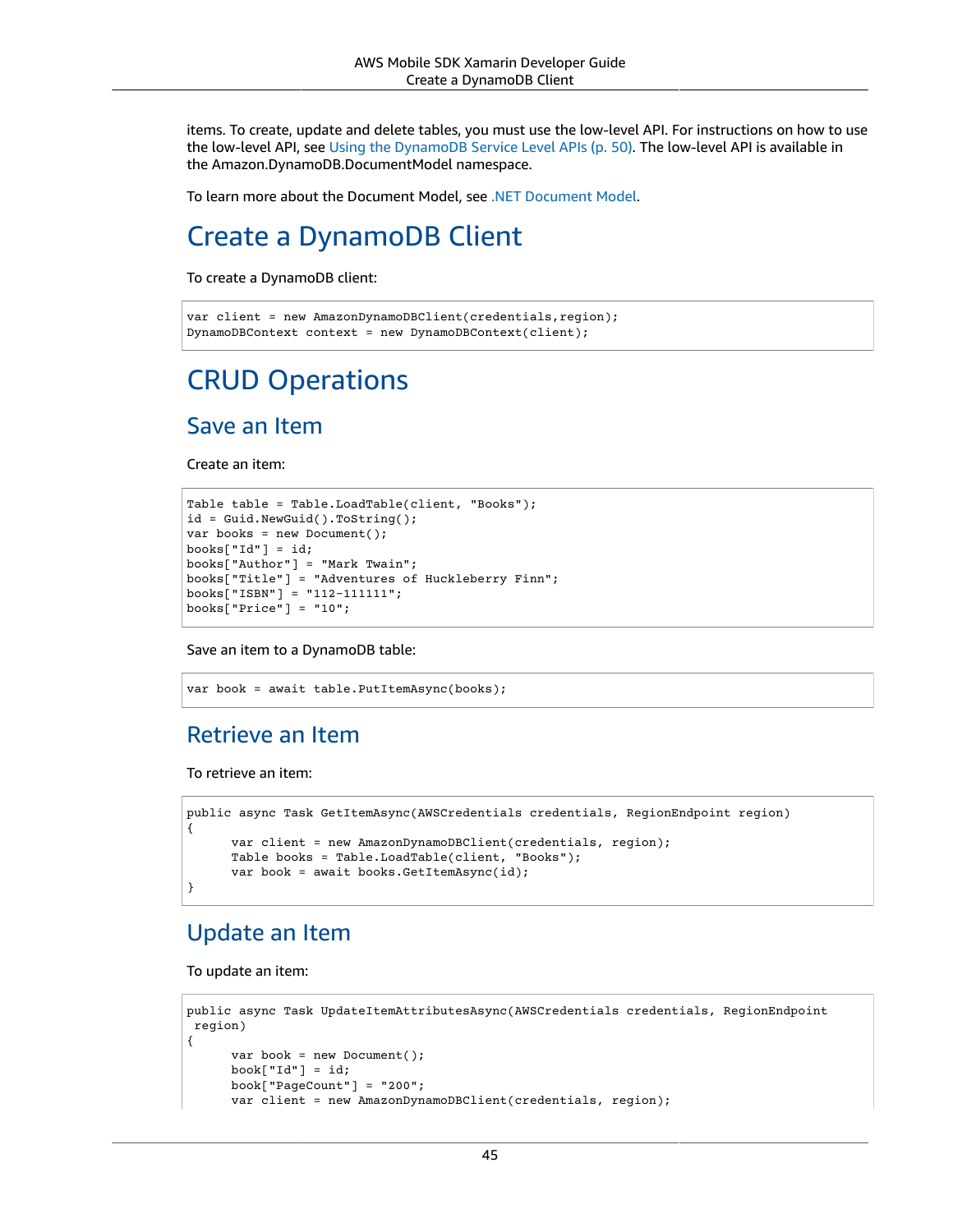items. To create, update and delete tables, you must use the low-level API. For instructions on how to use the low-level API, see Using the [DynamoDB](#page-56-0) Service Level API[s \(p. 50\)](#page-56-0). The low-level API is available in the Amazon.DynamoDB.DocumentModel namespace.

To learn more about the Document Model, see [.NET Document Model](https://docs.aws.amazon.com/amazondynamodb/latest/developerguide/DotNetSDKMidLevel.html).

## Create a DynamoDB Client

To create a DynamoDB client:

```
var client = new AmazonDynamoDBClient(credentials, region);
DynamoDBContext context = new DynamoDBContext(client);
```
## CRUD Operations

#### Save an Item

Create an item:

```
Table table = Table.LoadTable(client, "Books");
id = Guid.NewGuid().ToString();
var books = new Document();
books['Id"] = id;books["Author"] = "Mark Twain";
books["Title"] = "Adventures of Huckleberry Finn";
books["ISBN"] = "112-111111";books["Price"] = "10";
```
Save an item to a DynamoDB table:

```
var book = await table.PutItemAsync(books);
```
#### Retrieve an Item

To retrieve an item:

```
public async Task GetItemAsync(AWSCredentials credentials, RegionEndpoint region)
{
      var client = new AmazonDynamoDBClient(credentials, region);
      Table books = Table.LoadTable(client, "Books");
      var book = await books.GetItemAsync(id);
}
```
#### Update an Item

To update an item:

```
public async Task UpdateItemAttributesAsync(AWSCredentials credentials, RegionEndpoint
 region)
{
       var book = new Document();
      book['Id"] = id; book["PageCount"] = "200";
       var client = new AmazonDynamoDBClient(credentials, region);
```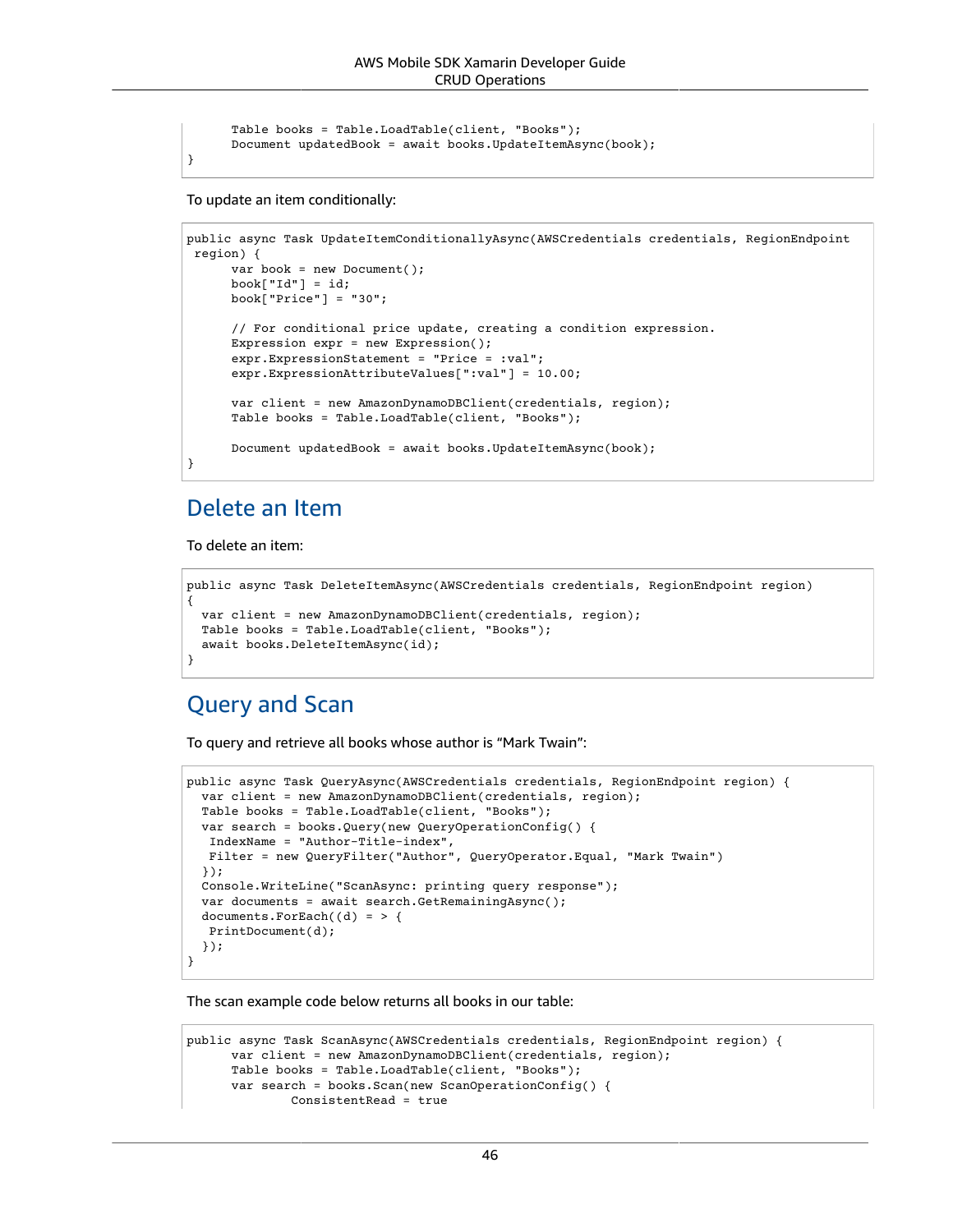```
 Table books = Table.LoadTable(client, "Books");
 Document updatedBook = await books.UpdateItemAsync(book);
```
To update an item conditionally:

}

```
public async Task UpdateItemConditionallyAsync(AWSCredentials credentials, RegionEndpoint
 region) {
      var book = new Document();
     book['Id"] = id; book["Price"] = "30";
      // For conditional price update, creating a condition expression.
      Expression expr = new Expression();
      expr.ExpressionStatement = "Price = :val";
      expr.ExpressionAttributeValues[":val"] = 10.00;
      var client = new AmazonDynamoDBClient(credentials, region);
      Table books = Table.LoadTable(client, "Books");
      Document updatedBook = await books.UpdateItemAsync(book);
}
```
#### Delete an Item

To delete an item:

```
public async Task DeleteItemAsync(AWSCredentials credentials, RegionEndpoint region)
{
   var client = new AmazonDynamoDBClient(credentials, region);
  Table books = Table.LoadTable(client, "Books");
   await books.DeleteItemAsync(id);
}
```
#### Query and Scan

To query and retrieve all books whose author is "Mark Twain":

```
public async Task QueryAsync(AWSCredentials credentials, RegionEndpoint region) {
   var client = new AmazonDynamoDBClient(credentials, region);
   Table books = Table.LoadTable(client, "Books");
   var search = books.Query(new QueryOperationConfig() {
    IndexName = "Author-Title-index",
   Filter = new QueryFilter("Author", QueryOperator.Equal, "Mark Twain")
   });
   Console.WriteLine("ScanAsync: printing query response");
   var documents = await search.GetRemainingAsync();
  documents.ForEach((d) = > { PrintDocument(d);
   });
}
```
The scan example code below returns all books in our table:

```
public async Task ScanAsync(AWSCredentials credentials, RegionEndpoint region) {
      var client = new AmazonDynamoDBClient(credentials, region);
       Table books = Table.LoadTable(client, "Books");
       var search = books.Scan(new ScanOperationConfig() {
               ConsistentRead = true
```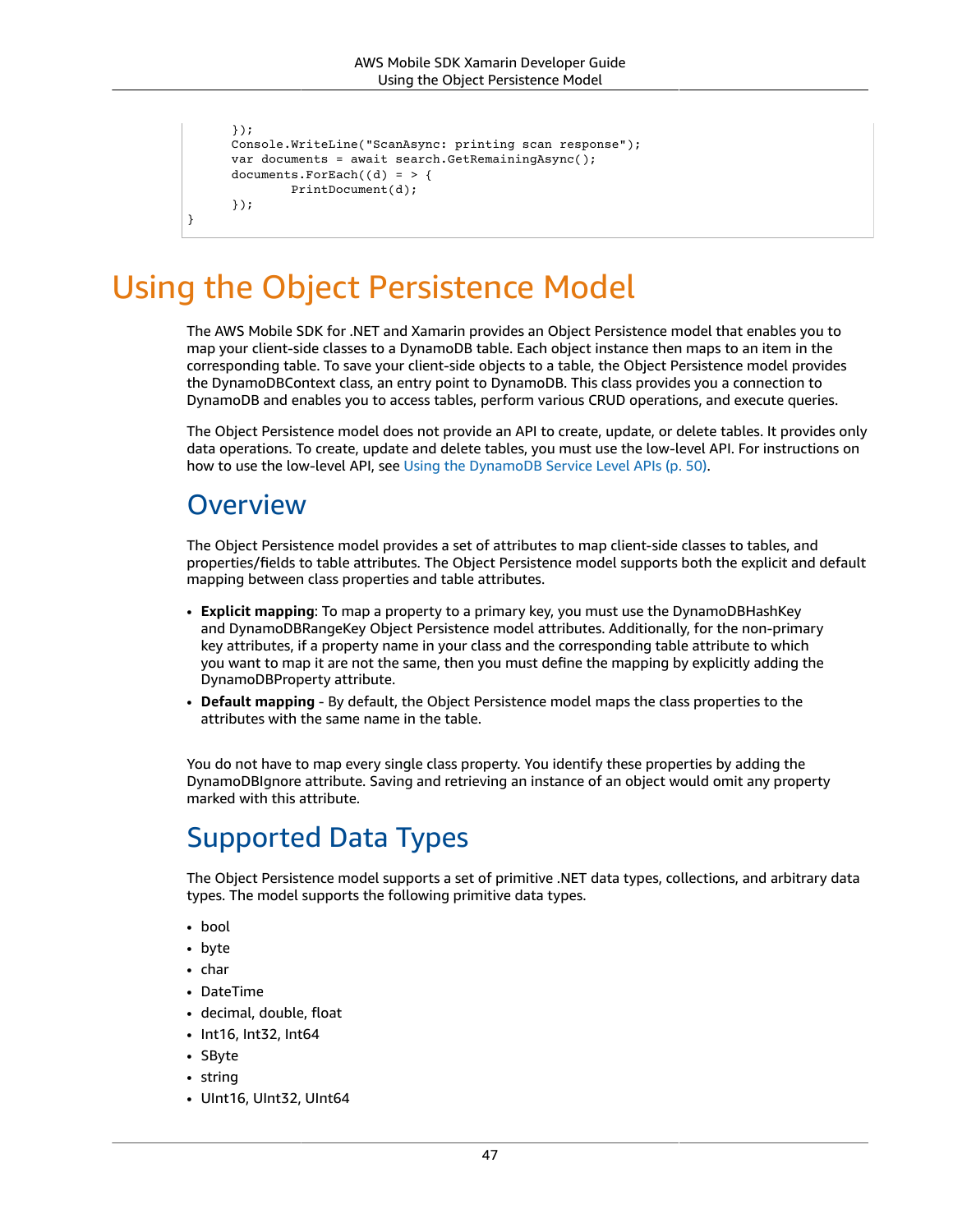```
 });
 Console.WriteLine("ScanAsync: printing scan response");
 var documents = await search.GetRemainingAsync();
documents.ForEach((d) = > { PrintDocument(d);
 });
```
## <span id="page-53-0"></span>Using the Object Persistence Model

The AWS Mobile SDK for .NET and Xamarin provides an Object Persistence model that enables you to map your client-side classes to a DynamoDB table. Each object instance then maps to an item in the corresponding table. To save your client-side objects to a table, the Object Persistence model provides the DynamoDBContext class, an entry point to DynamoDB. This class provides you a connection to DynamoDB and enables you to access tables, perform various CRUD operations, and execute queries.

The Object Persistence model does not provide an API to create, update, or delete tables. It provides only data operations. To create, update and delete tables, you must use the low-level API. For instructions on how to use the low-level API, see Using the [DynamoDB](#page-56-0) Service Level API[s \(p. 50\)](#page-56-0).

### **Overview**

}

The Object Persistence model provides a set of attributes to map client-side classes to tables, and properties/fields to table attributes. The Object Persistence model supports both the explicit and default mapping between class properties and table attributes.

- **Explicit mapping**: To map a property to a primary key, you must use the DynamoDBHashKey and DynamoDBRangeKey Object Persistence model attributes. Additionally, for the non-primary key attributes, if a property name in your class and the corresponding table attribute to which you want to map it are not the same, then you must define the mapping by explicitly adding the DynamoDBProperty attribute.
- **Default mapping** By default, the Object Persistence model maps the class properties to the attributes with the same name in the table.

You do not have to map every single class property. You identify these properties by adding the DynamoDBIgnore attribute. Saving and retrieving an instance of an object would omit any property marked with this attribute.

## Supported Data Types

The Object Persistence model supports a set of primitive .NET data types, collections, and arbitrary data types. The model supports the following primitive data types.

- bool
- byte
- char
- DateTime
- decimal, double, float
- Int16, Int32, Int64
- SByte
- string
- UInt16, UInt32, UInt64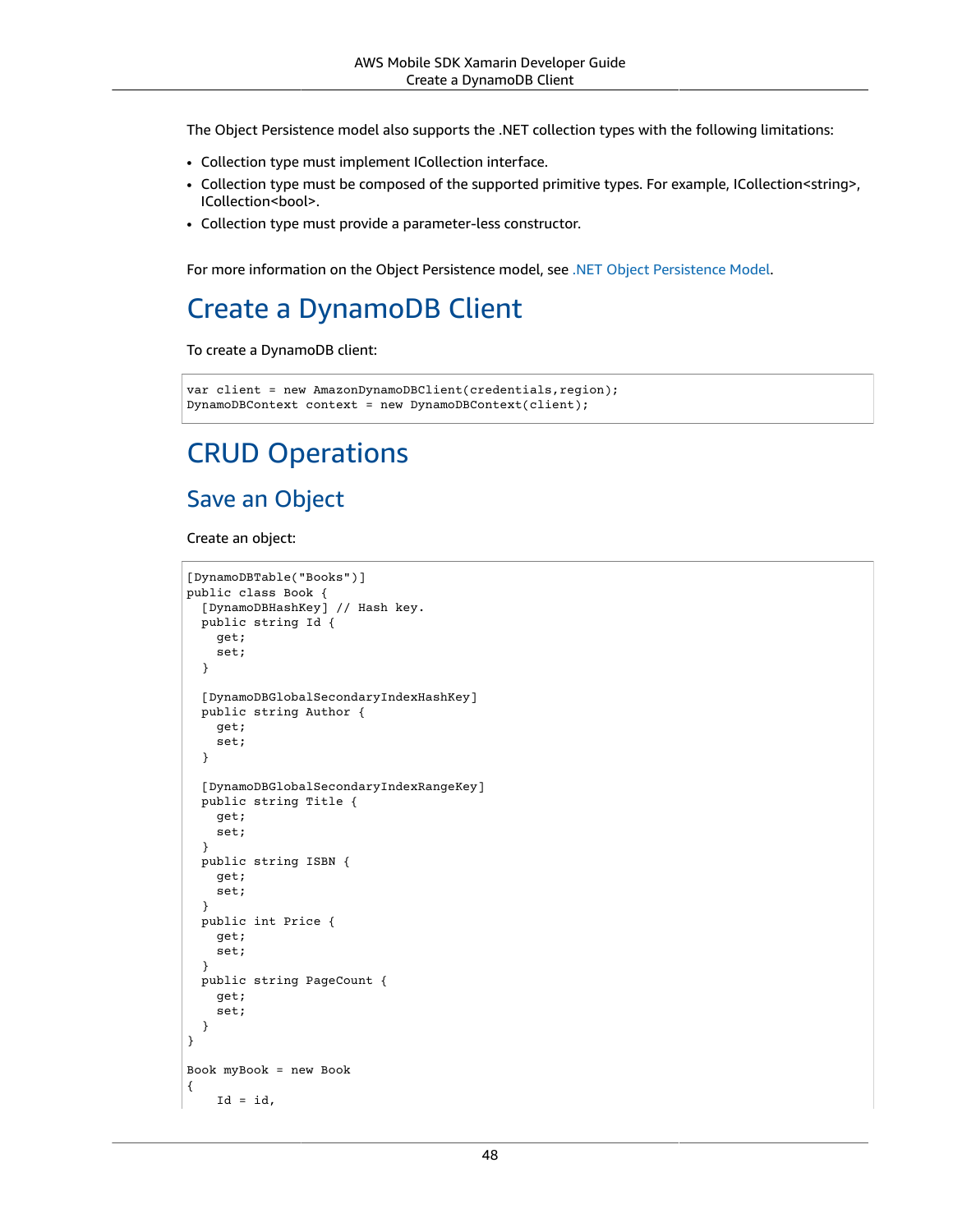The Object Persistence model also supports the .NET collection types with the following limitations:

- Collection type must implement ICollection interface.
- Collection type must be composed of the supported primitive types. For example, ICollection<string>, ICollection<bool>.
- Collection type must provide a parameter-less constructor.

For more information on the Object Persistence model, see .NET Object [Persistence](https://docs.aws.amazon.com/amazondynamodb/latest/developerguide/DotNetSDKHighLevel.html) Model.

## Create a DynamoDB Client

To create a DynamoDB client:

```
var client = new AmazonDynamoDBClient(credentials,region);
DynamoDBContext context = new DynamoDBContext(client);
```
## CRUD Operations

#### Save an Object

Create an object:

```
[DynamoDBTable("Books")]
public class Book {
   [DynamoDBHashKey] // Hash key.
   public string Id {
     get;
     set;
   }
   [DynamoDBGlobalSecondaryIndexHashKey]
   public string Author {
     get;
     set;
   }
   [DynamoDBGlobalSecondaryIndexRangeKey]
   public string Title {
     get;
     set;
   }
   public string ISBN {
     get;
     set;
   }
   public int Price {
     get;
     set;
   }
   public string PageCount {
     get;
     set;
   }
}
Book myBook = new Book
{
    Id = id,
```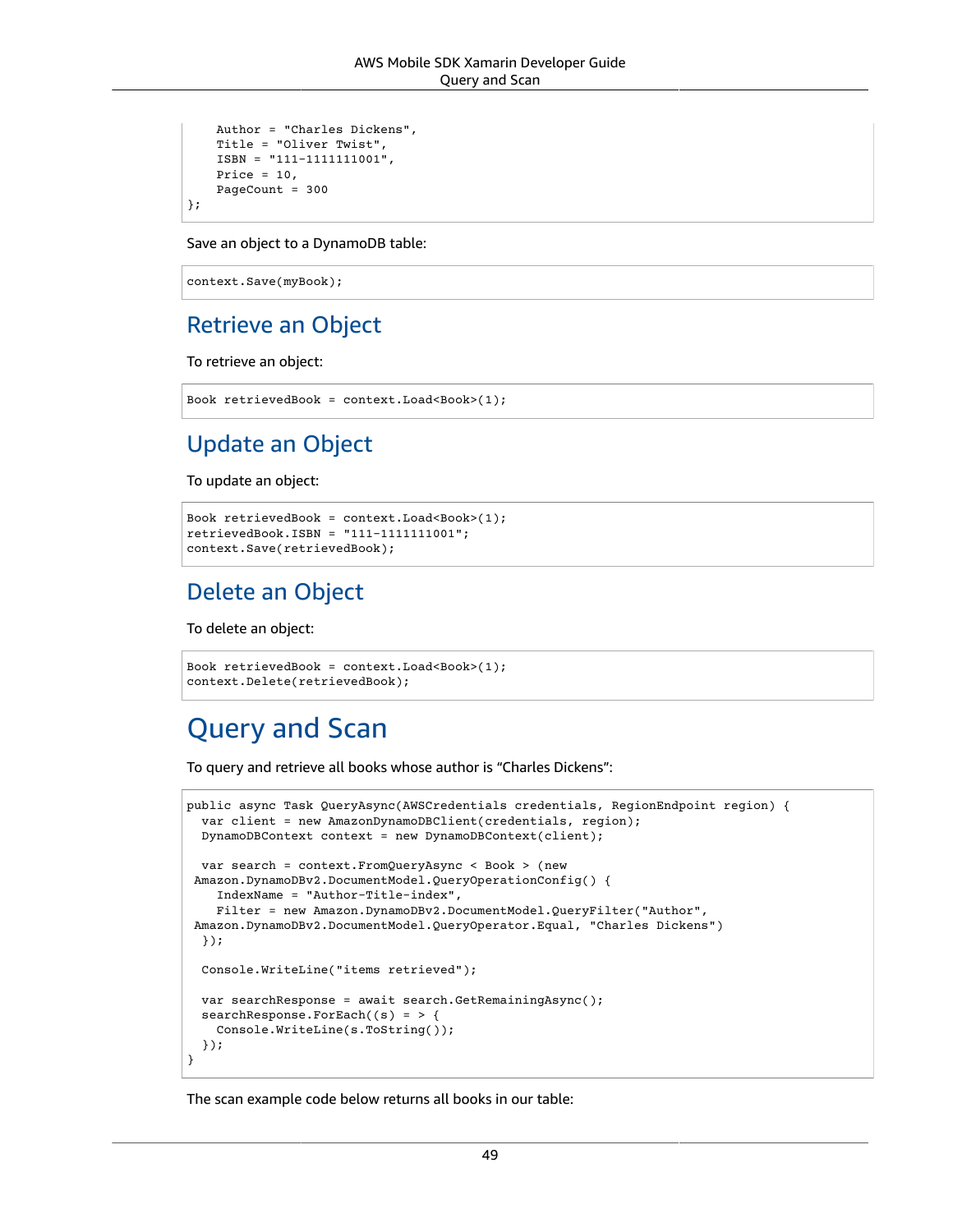```
 Author = "Charles Dickens",
    Title = "Oliver Twist",
     ISBN = "111-1111111001",
   Price = 10,
    PageCount = 300
};
```
Save an object to a DynamoDB table:

context.Save(myBook);

#### Retrieve an Object

To retrieve an object:

```
Book retrievedBook = context.Load<Book>(1);
```
### Update an Object

To update an object:

```
Book retrievedBook = context.Load<Book>(1);
retrievedBook.ISBN = "111-1111111001";
context.Save(retrievedBook);
```
### Delete an Object

To delete an object:

```
Book retrievedBook = context.Load<Book>(1);
context.Delete(retrievedBook);
```
## Query and Scan

To query and retrieve all books whose author is "Charles Dickens":

```
public async Task QueryAsync(AWSCredentials credentials, RegionEndpoint region) {
   var client = new AmazonDynamoDBClient(credentials, region);
   DynamoDBContext context = new DynamoDBContext(client);
   var search = context.FromQueryAsync < Book > (new
 Amazon.DynamoDBv2.DocumentModel.QueryOperationConfig() {
     IndexName = "Author-Title-index",
     Filter = new Amazon.DynamoDBv2.DocumentModel.QueryFilter("Author",
  Amazon.DynamoDBv2.DocumentModel.QueryOperator.Equal, "Charles Dickens")
   });
   Console.WriteLine("items retrieved");
  var searchResponse = await search.GetRemainingAsync();
   searchResponse.ForEach((s) = > {
     Console.WriteLine(s.ToString());
   });
}
```
The scan example code below returns all books in our table: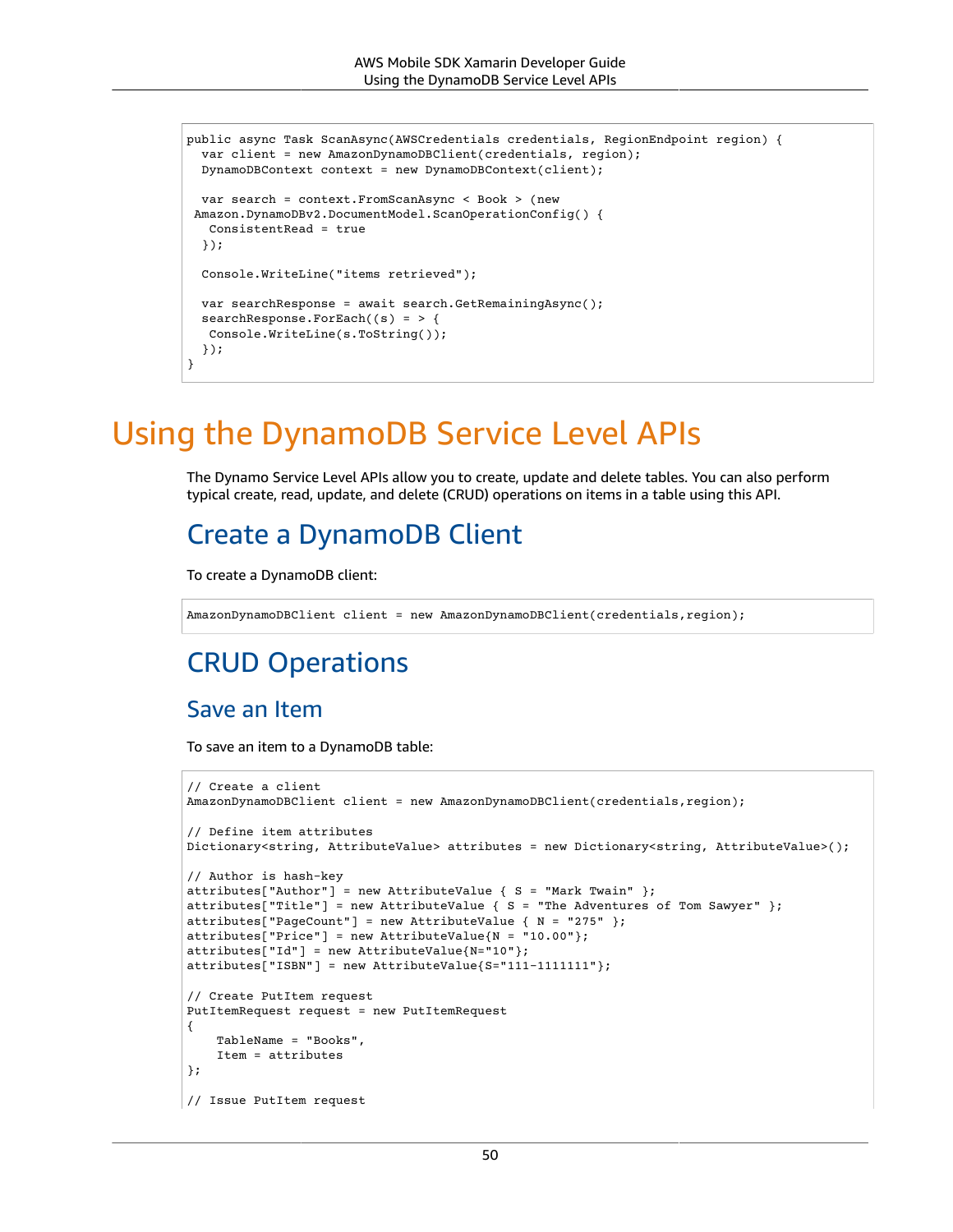```
public async Task ScanAsync(AWSCredentials credentials, RegionEndpoint region) {
   var client = new AmazonDynamoDBClient(credentials, region);
   DynamoDBContext context = new DynamoDBContext(client);
   var search = context.FromScanAsync < Book > (new
  Amazon.DynamoDBv2.DocumentModel.ScanOperationConfig() {
    ConsistentRead = true
   });
   Console.WriteLine("items retrieved");
   var searchResponse = await search.GetRemainingAsync();
   searchResponse.ForEach((s) = > {
   Console.WriteLine(s.ToString());
   });
}
```
## <span id="page-56-0"></span>Using the DynamoDB Service Level APIs

The Dynamo Service Level APIs allow you to create, update and delete tables. You can also perform typical create, read, update, and delete (CRUD) operations on items in a table using this API.

### Create a DynamoDB Client

To create a DynamoDB client:

AmazonDynamoDBClient client = new AmazonDynamoDBClient(credentials,region);

### CRUD Operations

#### Save an Item

To save an item to a DynamoDB table:

```
// Create a client
AmazonDynamoDBClient client = new AmazonDynamoDBClient(credentials, region);
// Define item attributes
Dictionary<string, AttributeValue> attributes = new Dictionary<string, AttributeValue>();
// Author is hash-key
attributes["Author"] = new AttributeValue { S = "Mark Twain" };
attributes["Title"] = new AttributeValue { S = "The Adventures of Tom Sawyer" };
attributes["PageCount"] = new AttributeValue { N = "275" };
attributes["Price"] = new AttributeValue{N = "10.00"};
attributes["Id"] = new AttributeValue{N="10"};
attributes["ISBN"] = new AttributeValue{S="111-1111111"};
// Create PutItem request
PutItemRequest request = new PutItemRequest
{
     TableName = "Books",
     Item = attributes
};
// Issue PutItem request
```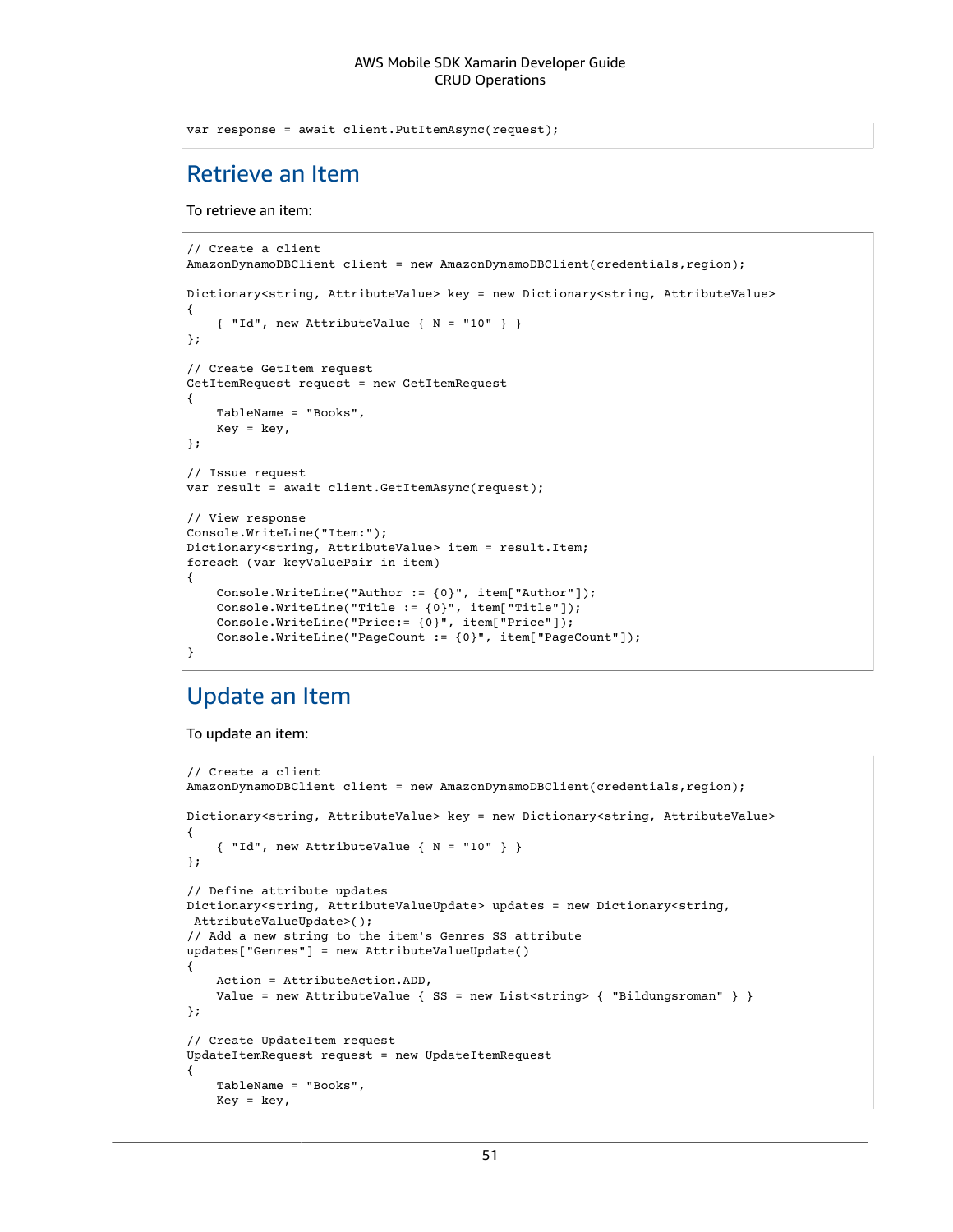```
var response = await client.PutItemAsync(request);
```
#### Retrieve an Item

To retrieve an item:

```
// Create a client
AmazonDynamoDBClient client = new AmazonDynamoDBClient(credentials,region);
Dictionary<string, AttributeValue> key = new Dictionary<string, AttributeValue>
{
     { "Id", new AttributeValue { N = "10" } }
};
// Create GetItem request
GetItemRequest request = new GetItemRequest
{
     TableName = "Books",
    Key = key,};
// Issue request
var result = await client.GetItemAsync(request);
// View response
Console.WriteLine("Item:");
Dictionary<string, AttributeValue> item = result.Item;
foreach (var keyValuePair in item)
{
     Console.WriteLine("Author := {0}", item["Author"]);
     Console.WriteLine("Title := {0}", item["Title"]);
     Console.WriteLine("Price:= {0}", item["Price"]);
     Console.WriteLine("PageCount := {0}", item["PageCount"]);
}
```
#### Update an Item

To update an item:

```
// Create a client
AmazonDynamoDBClient client = new AmazonDynamoDBClient(credentials, region);
Dictionary<string, AttributeValue> key = new Dictionary<string, AttributeValue>
{
     { "Id", new AttributeValue { N = "10" } }
};
// Define attribute updates
Dictionary<string, AttributeValueUpdate> updates = new Dictionary<string,
 AttributeValueUpdate>();
// Add a new string to the item's Genres SS attribute
updates["Genres"] = new AttributeValueUpdate()
{
     Action = AttributeAction.ADD,
    Value = new AttributeValue { SS = new List<string> { "Bildungsroman" } }
};
// Create UpdateItem request
UpdateItemRequest request = new UpdateItemRequest
{
     TableName = "Books",
    Key = key,
```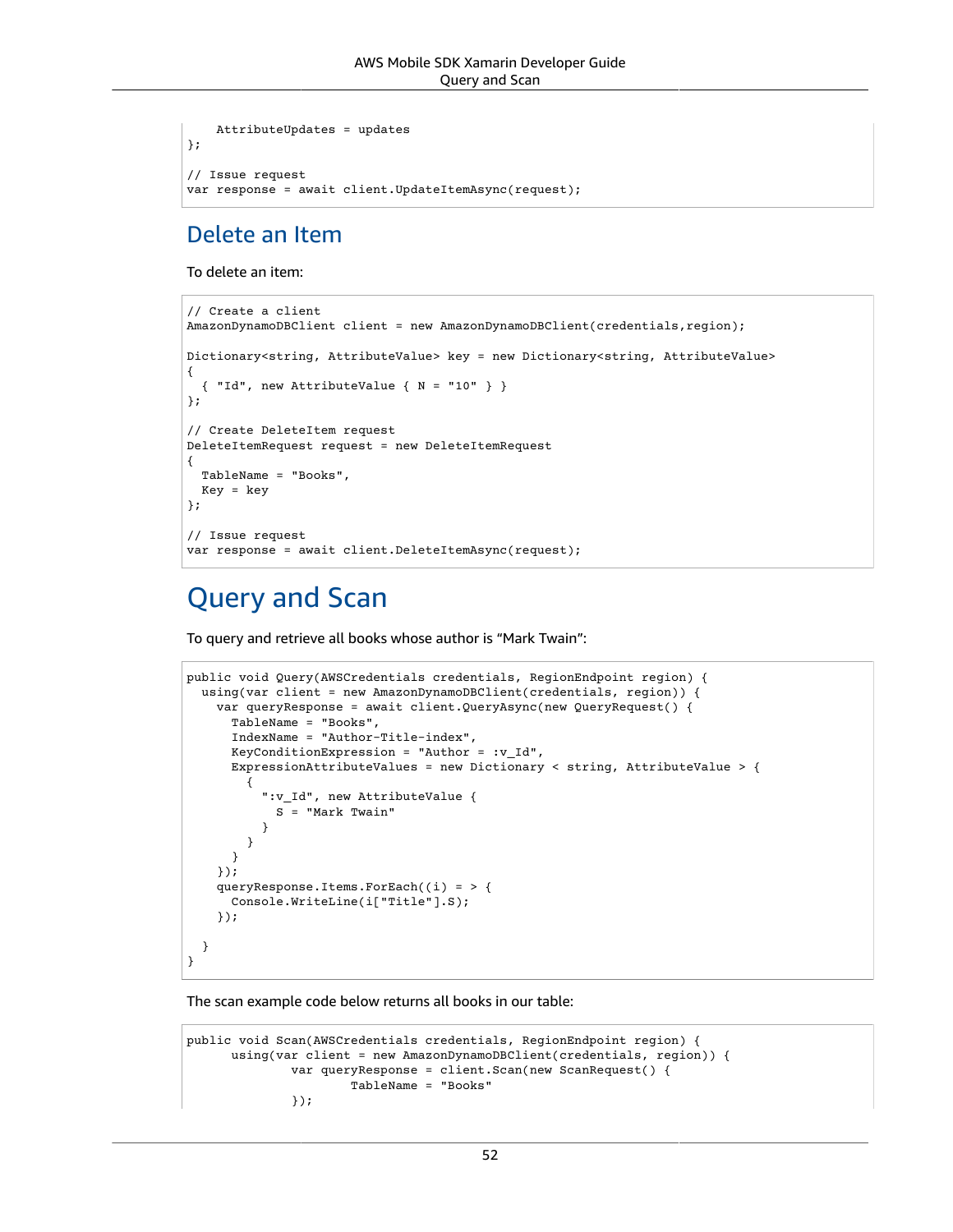```
 AttributeUpdates = updates
};
// Issue request
var response = await client.UpdateItemAsync(request);
```
#### Delete an Item

To delete an item:

```
// Create a client
AmazonDynamoDBClient client = new AmazonDynamoDBClient(credentials,region);
Dictionary<string, AttributeValue> key = new Dictionary<string, AttributeValue>
{
   { "Id", new AttributeValue { N = "10" } }
};
// Create DeleteItem request
DeleteItemRequest request = new DeleteItemRequest
{
   TableName = "Books",
  Key = key
};
// Issue request
var response = await client.DeleteItemAsync(request);
```
## Query and Scan

To query and retrieve all books whose author is "Mark Twain":

```
public void Query(AWSCredentials credentials, RegionEndpoint region) {
   using(var client = new AmazonDynamoDBClient(credentials, region)) {
     var queryResponse = await client.QueryAsync(new QueryRequest() {
       TableName = "Books",
       IndexName = "Author-Title-index",
      KeyConditionExpression = "Author = :vId", ExpressionAttributeValues = new Dictionary < string, AttributeValue > {
\overline{\mathcal{A}} ":v_Id", new AttributeValue {
             S = "Mark Twain"
 }
         }
       }
     });
     queryResponse.Items.ForEach((i) = > {
       Console.WriteLine(i["Title"].S);
     });
   }
}
```
The scan example code below returns all books in our table:

```
public void Scan(AWSCredentials credentials, RegionEndpoint region) {
       using(var client = new AmazonDynamoDBClient(credentials, region)) {
               var queryResponse = client.Scan(new ScanRequest() {
                       TableName = "Books"
               });
```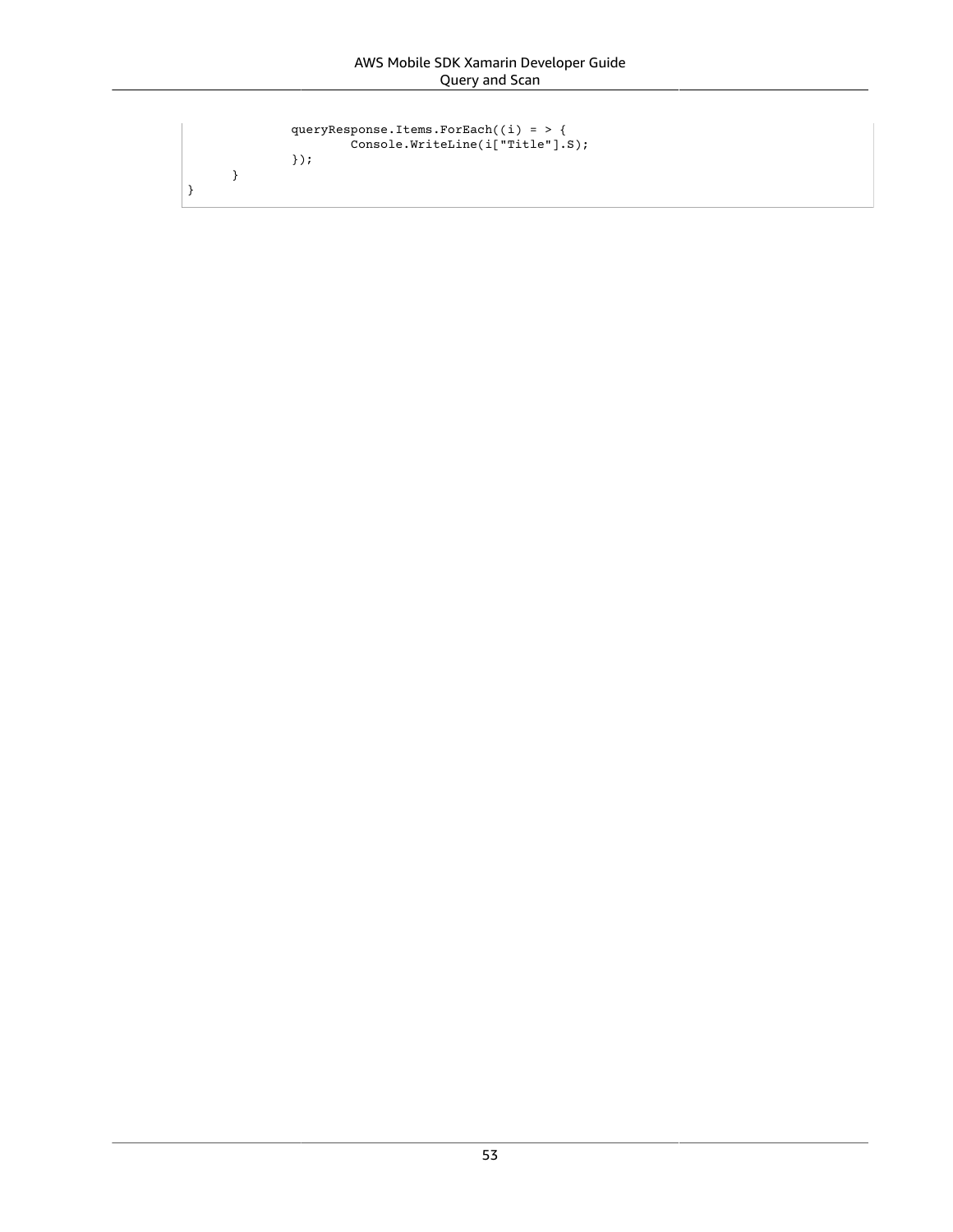```
 queryResponse.Items.ForEach((i) = > {
 Console.WriteLine(i["Title"].S);
          });
     }
```
}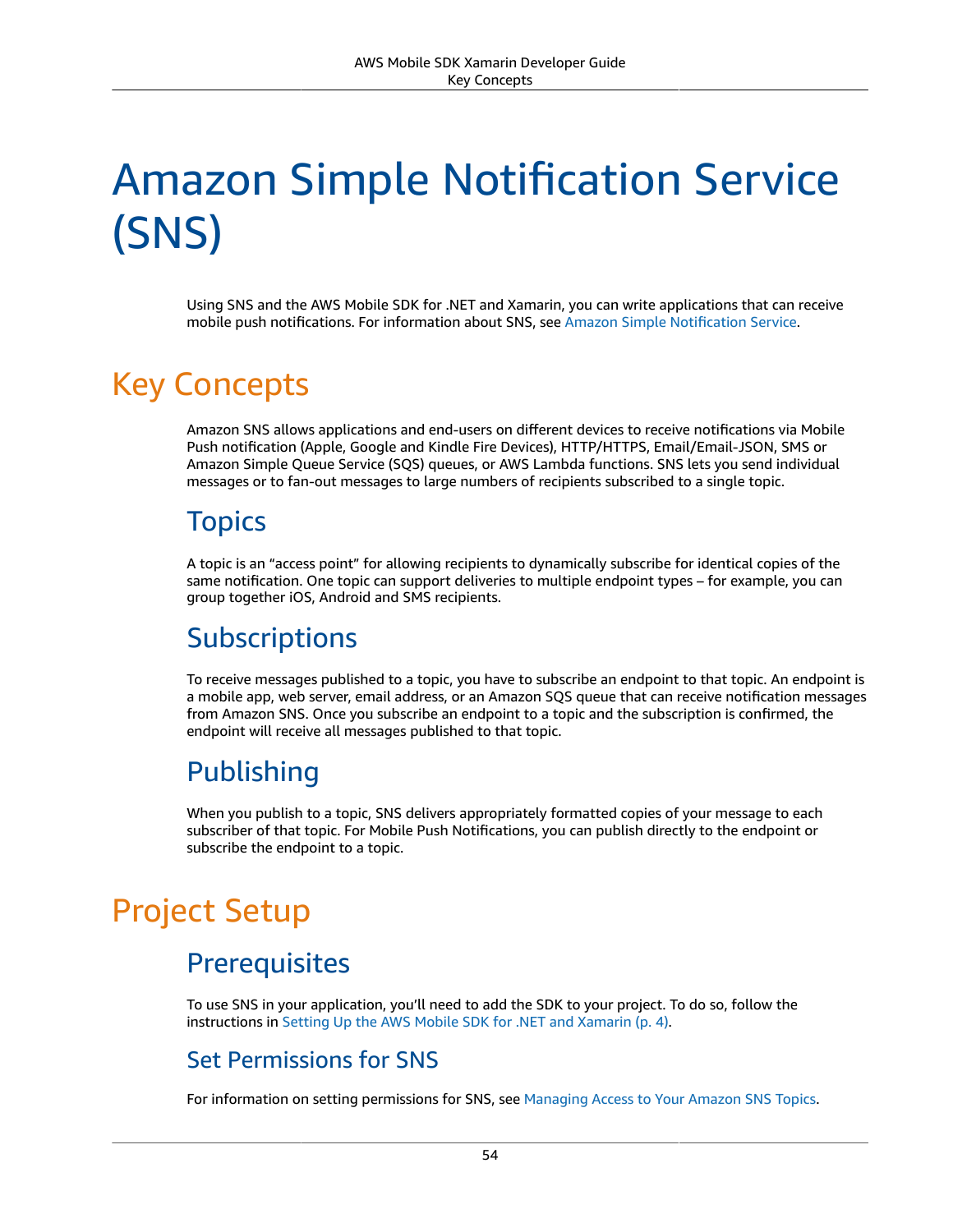# Amazon Simple Notification Service (SNS)

Using SNS and the AWS Mobile SDK for .NET and Xamarin, you can write applications that can receive mobile push notifications. For information about SNS, see Amazon Simple [Notification](https://aws.amazon.com/sns/) Service.

## Key Concepts

Amazon SNS allows applications and end-users on different devices to receive notifications via Mobile Push notification (Apple, Google and Kindle Fire Devices), HTTP/HTTPS, Email/Email-JSON, SMS or Amazon Simple Queue Service (SQS) queues, or AWS Lambda functions. SNS lets you send individual messages or to fan-out messages to large numbers of recipients subscribed to a single topic.

### **Topics**

A topic is an "access point" for allowing recipients to dynamically subscribe for identical copies of the same notification. One topic can support deliveries to multiple endpoint types – for example, you can group together iOS, Android and SMS recipients.

### **Subscriptions**

To receive messages published to a topic, you have to subscribe an endpoint to that topic. An endpoint is a mobile app, web server, email address, or an Amazon SQS queue that can receive notification messages from Amazon SNS. Once you subscribe an endpoint to a topic and the subscription is confirmed, the endpoint will receive all messages published to that topic.

## Publishing

When you publish to a topic, SNS delivers appropriately formatted copies of your message to each subscriber of that topic. For Mobile Push Notifications, you can publish directly to the endpoint or subscribe the endpoint to a topic.

## Project Setup

## **Prerequisites**

To use SNS in your application, you'll need to add the SDK to your project. To do so, follow the instructions in Setting Up the AWS Mobile SDK for .NET and [Xamarin \(p. 4\).](#page-10-0)

#### Set Permissions for SNS

For information on setting permissions for SNS, see [Managing](https://docs.aws.amazon.com/sns/latest/dg/AccessPolicyLanguage.html) Access to Your Amazon SNS Topics.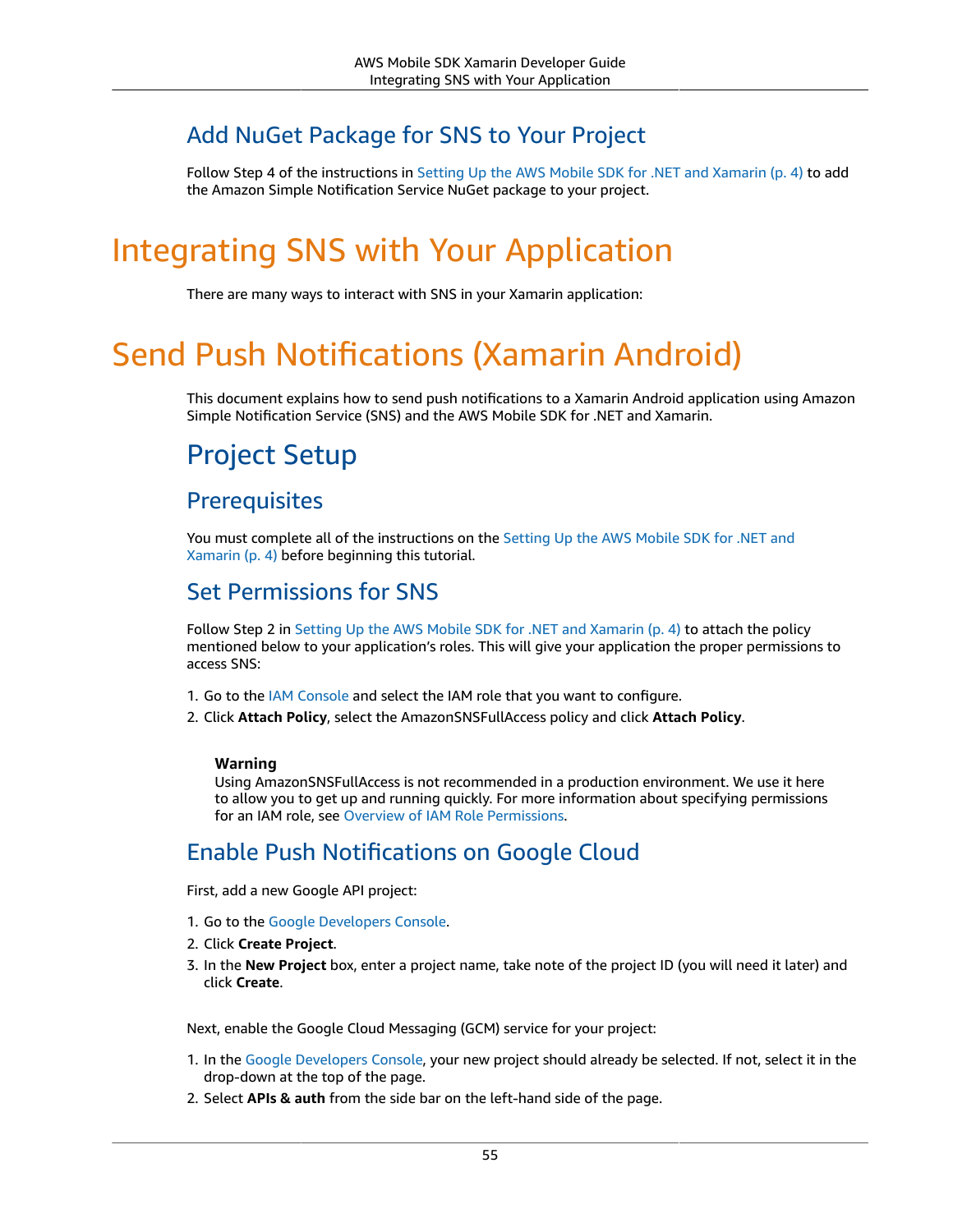### Add NuGet Package for SNS to Your Project

Follow Step 4 of the instructions in Setting Up the AWS Mobile SDK for .NET and [Xamarin \(p. 4\)](#page-10-0) to add the Amazon Simple Notification Service NuGet package to your project.

## Integrating SNS with Your Application

There are many ways to interact with SNS in your Xamarin application:

## Send Push Notifications (Xamarin Android)

This document explains how to send push notifications to a Xamarin Android application using Amazon Simple Notification Service (SNS) and the AWS Mobile SDK for .NET and Xamarin.

## Project Setup

#### **Prerequisites**

You must complete all of the instructions on the [Setting](#page-10-0) Up the AWS Mobile SDK for .NET and [Xamarin \(p. 4\)](#page-10-0) before beginning this tutorial.

#### Set Permissions for SNS

Follow Step 2 in Setting Up the AWS Mobile SDK for .NET and [Xamarin \(p. 4\)](#page-10-0) to attach the policy mentioned below to your application's roles. This will give your application the proper permissions to access SNS:

- 1. Go to the [IAM Console](https://console.aws.amazon.com/iam/home) and select the IAM role that you want to configure.
- 2. Click **Attach Policy**, select the AmazonSNSFullAccess policy and click **Attach Policy**.

#### **Warning**

Using AmazonSNSFullAccess is not recommended in a production environment. We use it here to allow you to get up and running quickly. For more information about specifying permissions for an IAM role, see Overview of IAM Role [Permissions](https://docs.aws.amazon.com/IAM/latest/UserGuide/policies_permissions.html).

#### Enable Push Notifications on Google Cloud

First, add a new Google API project:

- 1. Go to the Google [Developers](https://console.developers.google.com) Console.
- 2. Click **Create Project**.
- 3. In the **New Project** box, enter a project name, take note of the project ID (you will need it later) and click **Create**.

Next, enable the Google Cloud Messaging (GCM) service for your project:

- 1. In the Google [Developers](https://console.developers.google.com) Console, your new project should already be selected. If not, select it in the drop-down at the top of the page.
- 2. Select **APIs & auth** from the side bar on the left-hand side of the page.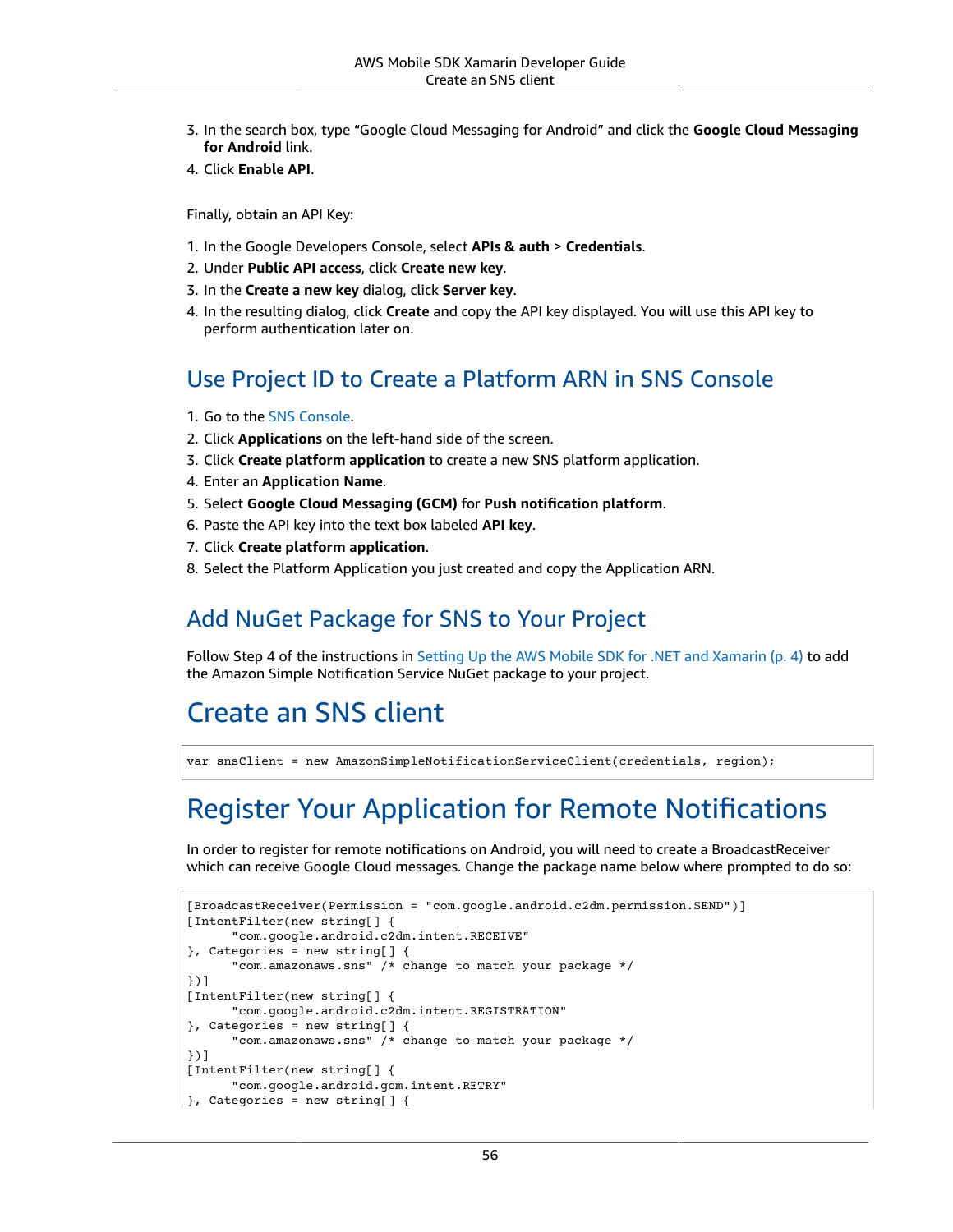- 3. In the search box, type "Google Cloud Messaging for Android" and click the **Google Cloud Messaging for Android** link.
- 4. Click **Enable API**.

Finally, obtain an API Key:

- 1. In the Google Developers Console, select **APIs & auth** > **Credentials**.
- 2. Under **Public API access**, click **Create new key**.
- 3. In the **Create a new key** dialog, click **Server key**.
- 4. In the resulting dialog, click **Create** and copy the API key displayed. You will use this API key to perform authentication later on.

#### Use Project ID to Create a Platform ARN in SNS Console

- 1. Go to the [SNS Console](https://console.aws.amazon.com/sns/v2/home).
- 2. Click **Applications** on the left-hand side of the screen.
- 3. Click **Create platform application** to create a new SNS platform application.
- 4. Enter an **Application Name**.
- 5. Select **Google Cloud Messaging (GCM)** for **Push notification platform**.
- 6. Paste the API key into the text box labeled **API key**.
- 7. Click **Create platform application**.
- 8. Select the Platform Application you just created and copy the Application ARN.

#### Add NuGet Package for SNS to Your Project

Follow Step 4 of the instructions in Setting Up the AWS Mobile SDK for .NET and [Xamarin \(p. 4\)](#page-10-0) to add the Amazon Simple Notification Service NuGet package to your project.

## Create an SNS client

var snsClient = new AmazonSimpleNotificationServiceClient(credentials, region);

## Register Your Application for Remote Notifications

In order to register for remote notifications on Android, you will need to create a BroadcastReceiver which can receive Google Cloud messages. Change the package name below where prompted to do so:

```
[BroadcastReceiver(Permission = "com.google.android.c2dm.permission.SEND")]
[IntentFilter(new string[] {
       "com.google.android.c2dm.intent.RECEIVE"
}, Categories = new string[] {
       "com.amazonaws.sns" /* change to match your package */
})]
[IntentFilter(new string[] {
       "com.google.android.c2dm.intent.REGISTRATION"
}, Categories = new string[] {
       "com.amazonaws.sns" /* change to match your package */
})]
[IntentFilter(new string[] {
      "com.google.android.gcm.intent.RETRY"
}, Categories = new string[] {
```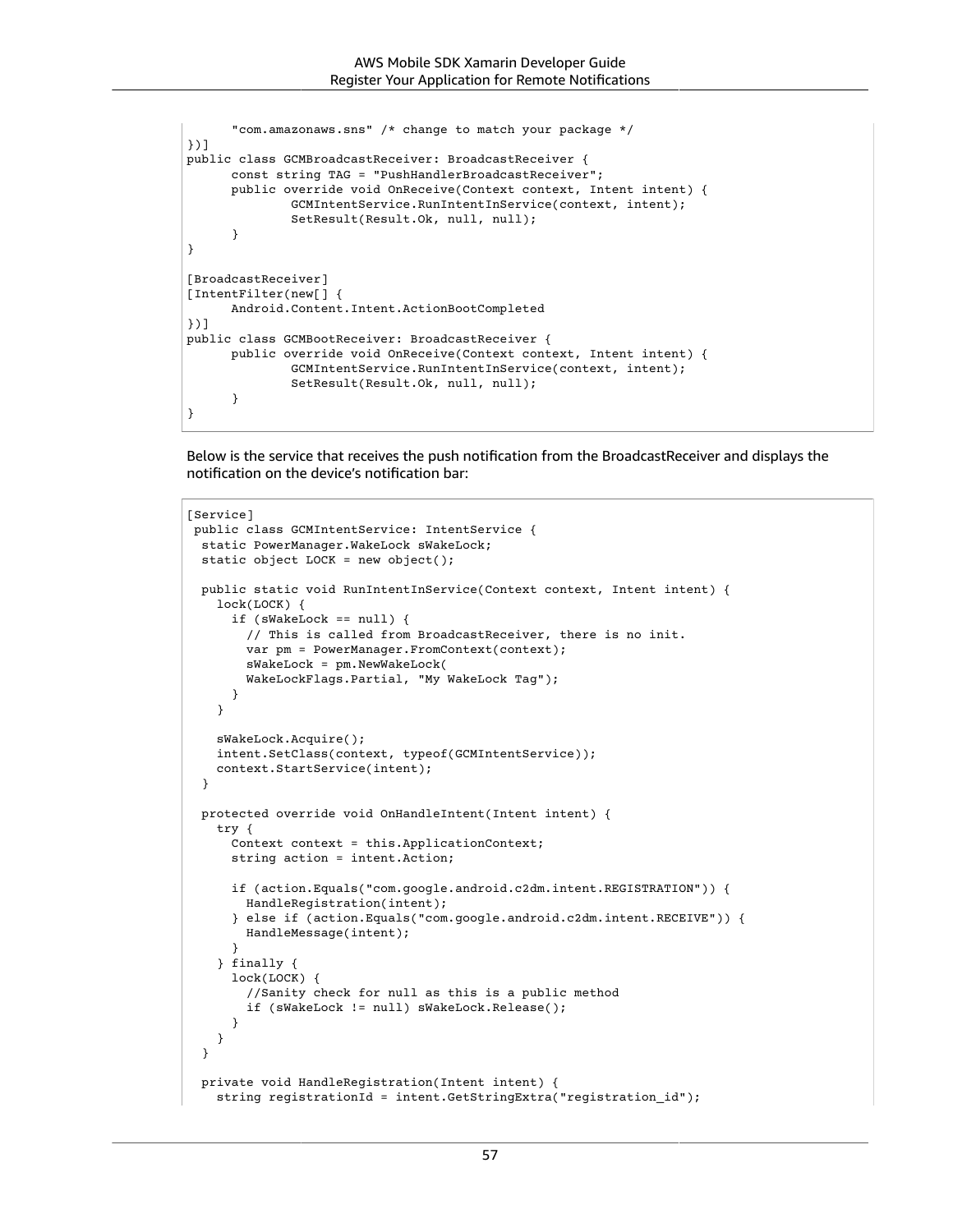```
 "com.amazonaws.sns" /* change to match your package */
})]
public class GCMBroadcastReceiver: BroadcastReceiver {
       const string TAG = "PushHandlerBroadcastReceiver";
       public override void OnReceive(Context context, Intent intent) {
               GCMIntentService.RunIntentInService(context, intent);
               SetResult(Result.Ok, null, null);
       }
}
[BroadcastReceiver]
[IntentFilter(new[] {
       Android.Content.Intent.ActionBootCompleted
})]
public class GCMBootReceiver: BroadcastReceiver {
       public override void OnReceive(Context context, Intent intent) {
               GCMIntentService.RunIntentInService(context, intent);
               SetResult(Result.Ok, null, null);
       }
}
```
Below is the service that receives the push notification from the BroadcastReceiver and displays the notification on the device's notification bar:

```
[Service]
 public class GCMIntentService: IntentService {
  static PowerManager.WakeLock sWakeLock;
  static object LOCK = new object();
  public static void RunIntentInService(Context context, Intent intent) {
    lock(LOCK) {
       if (sWakeLock == null) {
         // This is called from BroadcastReceiver, there is no init.
        var pm = PowerManager.FromContext(context);
         sWakeLock = pm.NewWakeLock(
         WakeLockFlags.Partial, "My WakeLock Tag");
       }
    }
    sWakeLock.Acquire();
    intent.SetClass(context, typeof(GCMIntentService));
    context.StartService(intent);
  }
  protected override void OnHandleIntent(Intent intent) {
     try {
      Context context = this.ApplicationContext;
      string action = intent.Action;
       if (action.Equals("com.google.android.c2dm.intent.REGISTRATION")) {
         HandleRegistration(intent);
       } else if (action.Equals("com.google.android.c2dm.intent.RECEIVE")) {
         HandleMessage(intent);
       }
    } finally {
       lock(LOCK) {
         //Sanity check for null as this is a public method
         if (sWakeLock != null) sWakeLock.Release();
       }
    }
  }
  private void HandleRegistration(Intent intent) {
    string registrationId = intent.GetStringExtra("registration_id");
```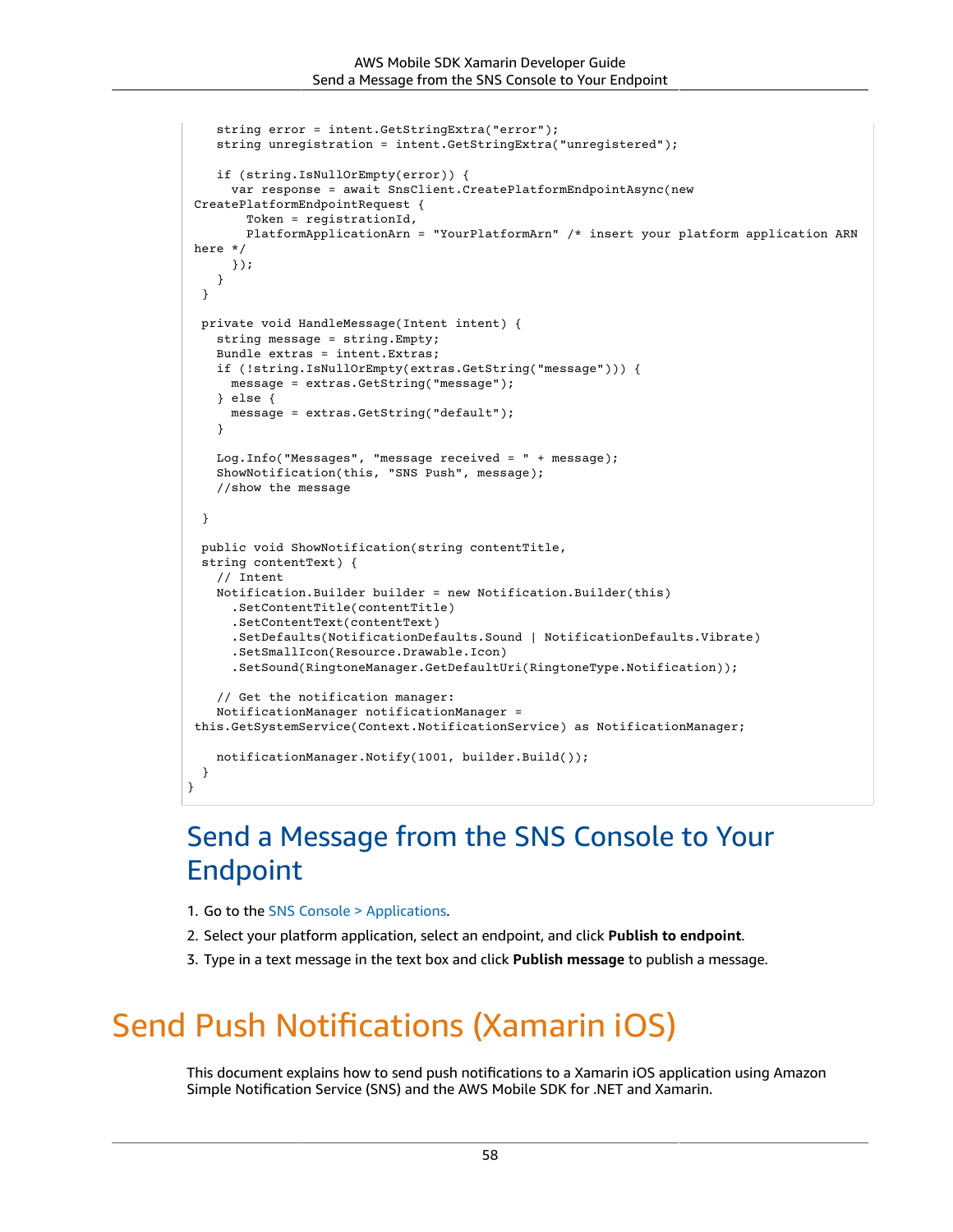```
 string error = intent.GetStringExtra("error");
    string unregistration = intent.GetStringExtra("unregistered");
    if (string.IsNullOrEmpty(error)) {
       var response = await SnsClient.CreatePlatformEndpointAsync(new
 CreatePlatformEndpointRequest {
         Token = registrationId,
         PlatformApplicationArn = "YourPlatformArn" /* insert your platform application ARN
 here */
       });
    }
  }
  private void HandleMessage(Intent intent) {
    string message = string.Empty;
    Bundle extras = intent.Extras;
    if (!string.IsNullOrEmpty(extras.GetString("message"))) {
      message = extras.GetString("message");
    } else {
      message = extras.GetString("default");
     }
    Log.Info("Messages", "message received = " + message);
    ShowNotification(this, "SNS Push", message);
    //show the message
  }
  public void ShowNotification(string contentTitle,
  string contentText) {
     // Intent
    Notification.Builder builder = new Notification.Builder(this)
       .SetContentTitle(contentTitle)
       .SetContentText(contentText)
       .SetDefaults(NotificationDefaults.Sound | NotificationDefaults.Vibrate)
       .SetSmallIcon(Resource.Drawable.Icon)
       .SetSound(RingtoneManager.GetDefaultUri(RingtoneType.Notification));
     // Get the notification manager:
    NotificationManager notificationManager =
 this.GetSystemService(Context.NotificationService) as NotificationManager;
    notificationManager.Notify(1001, builder.Build());
  }
}
```
## Send a Message from the SNS Console to Your Endpoint

- 1. Go to the [SNS Console > Applications.](https://console.aws.amazon.com/sns/v2/home)
- 2. Select your platform application, select an endpoint, and click **Publish to endpoint**.
- 3. Type in a text message in the text box and click **Publish message** to publish a message.

## Send Push Notifications (Xamarin iOS)

This document explains how to send push notifications to a Xamarin iOS application using Amazon Simple Notification Service (SNS) and the AWS Mobile SDK for .NET and Xamarin.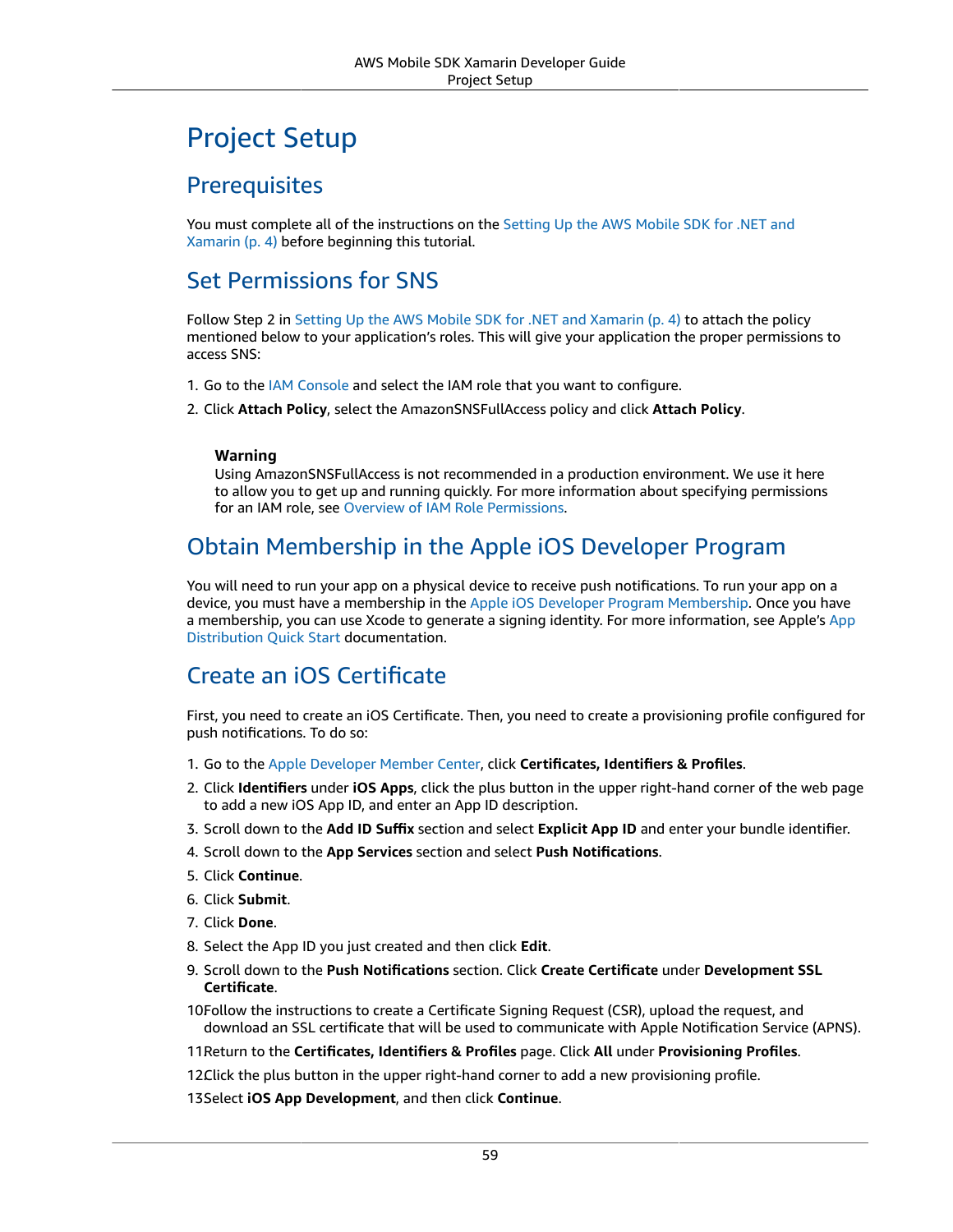## Project Setup

#### **Prerequisites**

You must complete all of the instructions on the [Setting](#page-10-0) Up the AWS Mobile SDK for .NET and [Xamarin \(p. 4\)](#page-10-0) before beginning this tutorial.

#### Set Permissions for SNS

Follow Step 2 in Setting Up the AWS Mobile SDK for .NET and [Xamarin \(p. 4\)](#page-10-0) to attach the policy mentioned below to your application's roles. This will give your application the proper permissions to access SNS:

- 1. Go to the [IAM Console](https://console.aws.amazon.com/iam/home) and select the IAM role that you want to configure.
- 2. Click **Attach Policy**, select the AmazonSNSFullAccess policy and click **Attach Policy**.

#### **Warning**

Using AmazonSNSFullAccess is not recommended in a production environment. We use it here to allow you to get up and running quickly. For more information about specifying permissions for an IAM role, see Overview of IAM Role [Permissions](https://docs.aws.amazon.com/IAM/latest/UserGuide/policies_permissions.html).

#### Obtain Membership in the Apple iOS Developer Program

You will need to run your app on a physical device to receive push notifications. To run your app on a device, you must have a membership in the Apple iOS Developer Program [Membership.](https://developer.apple.com/programs/ios/) Once you have a membership, you can use Xcode to generate a signing identity. For more information, see Apple's [App](https://developer.apple.com/library/mac/documentation/IDEs/Conceptual/AppStoreDistributionTutorial/Introduction/Introduction.html#//apple_ref/doc/uid/TP40013839) [Distribution](https://developer.apple.com/library/mac/documentation/IDEs/Conceptual/AppStoreDistributionTutorial/Introduction/Introduction.html#//apple_ref/doc/uid/TP40013839) Quick Start documentation.

#### Create an iOS Certificate

First, you need to create an iOS Certificate. Then, you need to create a provisioning profile configured for push notifications. To do so:

- 1. Go to the Apple [Developer](https://developer.apple.com/membercenter/index.action) Member Center, click **Certificates, Identifiers & Profiles**.
- 2. Click **Identifiers** under **iOS Apps**, click the plus button in the upper right-hand corner of the web page to add a new iOS App ID, and enter an App ID description.
- 3. Scroll down to the **Add ID Suffix** section and select **Explicit App ID** and enter your bundle identifier.
- 4. Scroll down to the **App Services** section and select **Push Notifications**.
- 5. Click **Continue**.
- 6. Click **Submit**.
- 7. Click **Done**.
- 8. Select the App ID you just created and then click **Edit**.
- 9. Scroll down to the **Push Notifications** section. Click **Create Certificate** under **Development SSL Certificate**.
- 10Follow the instructions to create a Certificate Signing Request (CSR), upload the request, and download an SSL certificate that will be used to communicate with Apple Notification Service (APNS).
- 11.Return to the **Certificates, Identifiers & Profiles** page. Click **All** under **Provisioning Profiles**.
- 12.Click the plus button in the upper right-hand corner to add a new provisioning profile.
- 13.Select **iOS App Development**, and then click **Continue**.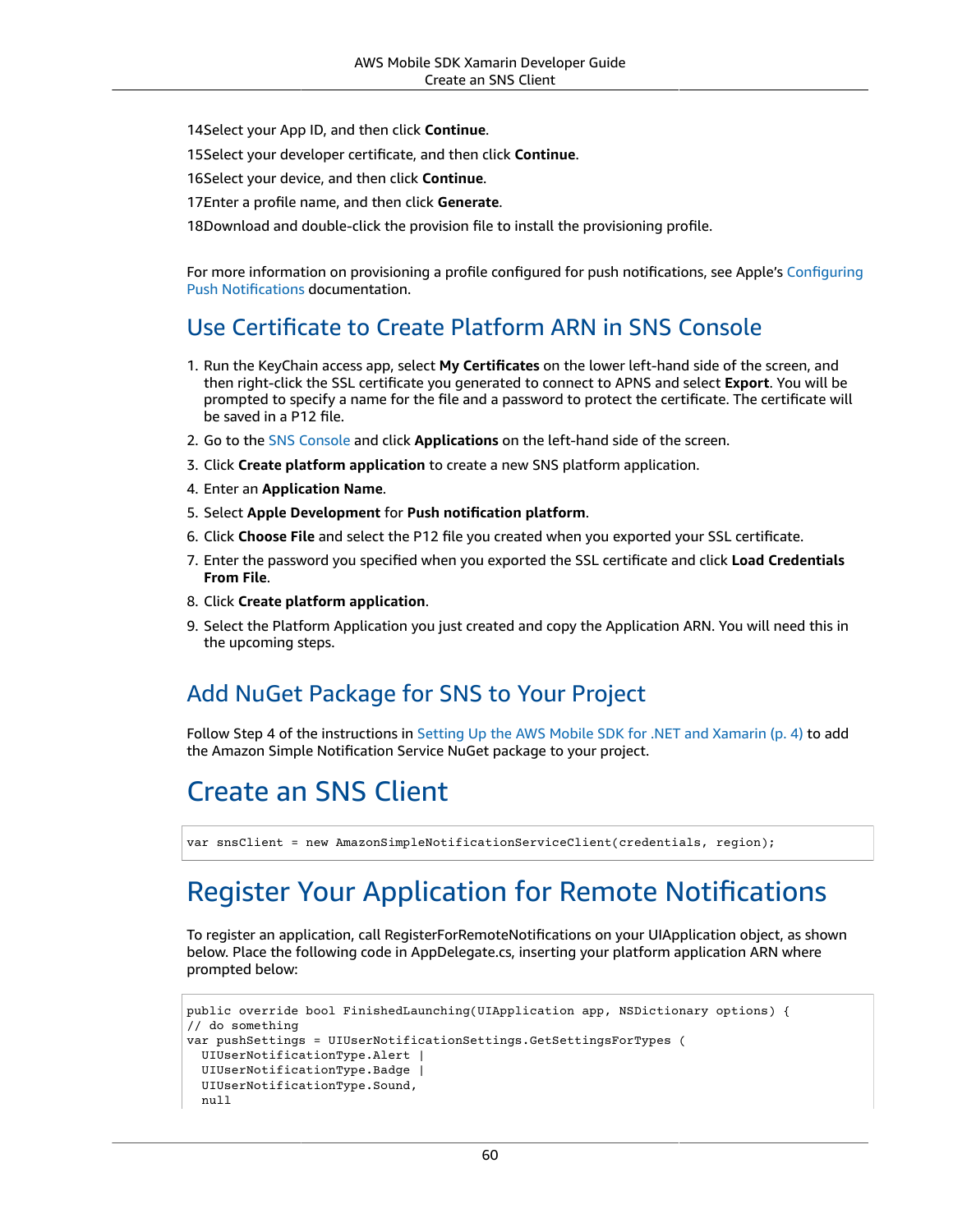14 Select your App ID, and then click **Continue**.

15.Select your developer certificate, and then click **Continue**.

16.Select your device, and then click **Continue**.

17Enter a profile name, and then click Generate.

18Download and double-click the provision file to install the provisioning profile.

For more information on provisioning a profile configured for push notifications, see Apple's [Configuring](https://developer.apple.com/library/mac/documentation/IDEs/Conceptual/AppDistributionGuide/ConfiguringPushNotifications/ConfiguringPushNotifications.html#//apple_ref/doc/uid/TP40012582-CH32-SW1) [Push Notifications](https://developer.apple.com/library/mac/documentation/IDEs/Conceptual/AppDistributionGuide/ConfiguringPushNotifications/ConfiguringPushNotifications.html#//apple_ref/doc/uid/TP40012582-CH32-SW1) documentation.

#### Use Certificate to Create Platform ARN in SNS Console

- 1. Run the KeyChain access app, select **My Certificates** on the lower left-hand side of the screen, and then right-click the SSL certificate you generated to connect to APNS and select **Export**. You will be prompted to specify a name for the file and a password to protect the certificate. The certificate will be saved in a P12 file.
- 2. Go to the [SNS Console](https://console.aws.amazon.com/sns/v2/home) and click **Applications** on the left-hand side of the screen.
- 3. Click **Create platform application** to create a new SNS platform application.
- 4. Enter an **Application Name**.
- 5. Select **Apple Development** for **Push notification platform**.
- 6. Click **Choose File** and select the P12 file you created when you exported your SSL certificate.
- 7. Enter the password you specified when you exported the SSL certificate and click **Load Credentials From File**.
- 8. Click **Create platform application**.
- 9. Select the Platform Application you just created and copy the Application ARN. You will need this in the upcoming steps.

#### Add NuGet Package for SNS to Your Project

Follow Step 4 of the instructions in Setting Up the AWS Mobile SDK for .NET and [Xamarin \(p. 4\)](#page-10-0) to add the Amazon Simple Notification Service NuGet package to your project.

## Create an SNS Client

```
var snsClient = new AmazonSimpleNotificationServiceClient(credentials, region);
```
## Register Your Application for Remote Notifications

To register an application, call RegisterForRemoteNotifications on your UIApplication object, as shown below. Place the following code in AppDelegate.cs, inserting your platform application ARN where prompted below:

```
public override bool FinishedLaunching(UIApplication app, NSDictionary options) {
// do something
var pushSettings = UIUserNotificationSettings.GetSettingsForTypes (
   UIUserNotificationType.Alert |
   UIUserNotificationType.Badge |
   UIUserNotificationType.Sound,
   null
```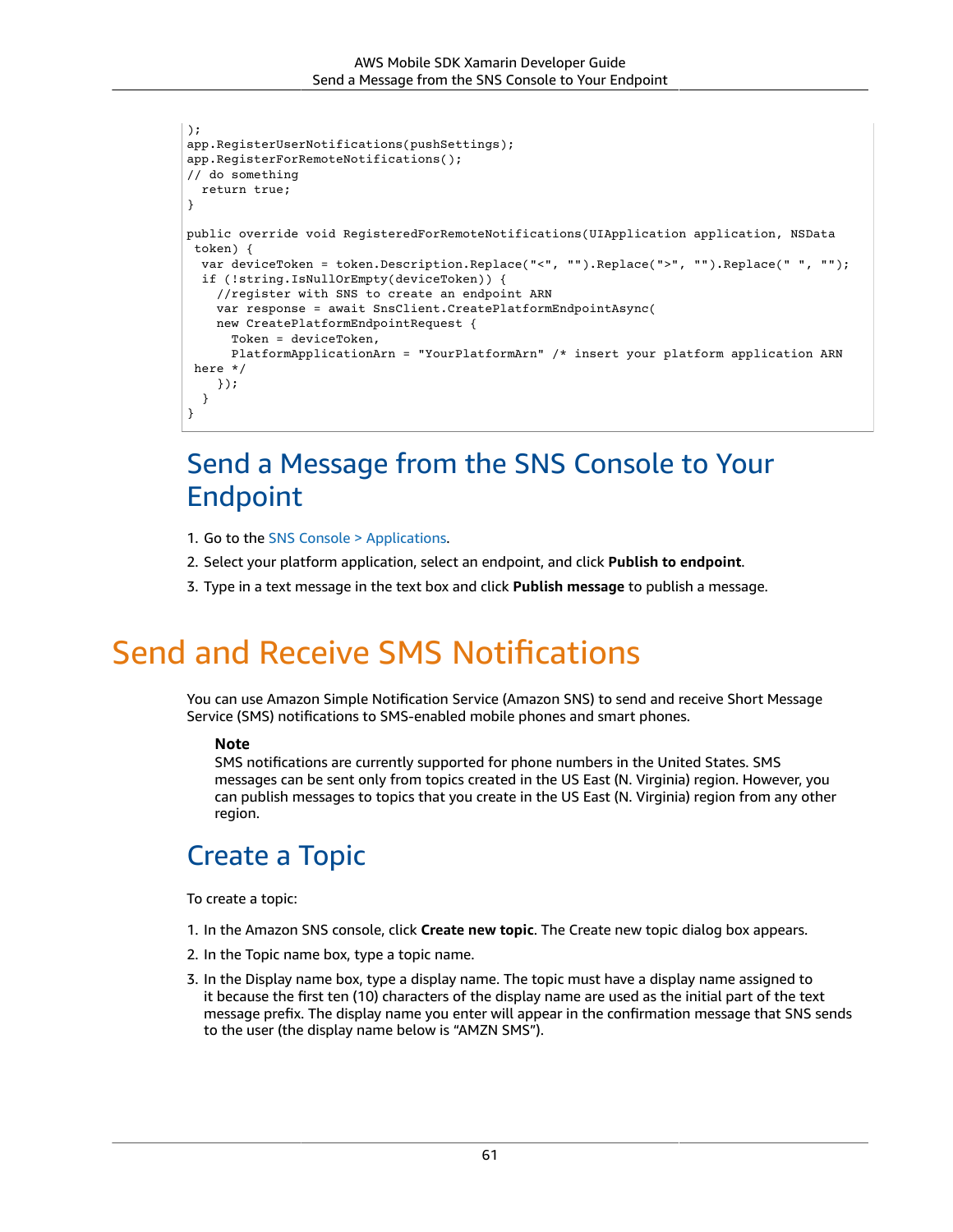```
);
app.RegisterUserNotifications(pushSettings);
app.RegisterForRemoteNotifications();
// do something
   return true;
}
public override void RegisteredForRemoteNotifications(UIApplication application, NSData
  token) {
   var deviceToken = token.Description.Replace("<", "").Replace(">", "").Replace(" ", "");
   if (!string.IsNullOrEmpty(deviceToken)) {
     //register with SNS to create an endpoint ARN
     var response = await SnsClient.CreatePlatformEndpointAsync(
     new CreatePlatformEndpointRequest {
       Token = deviceToken,
       PlatformApplicationArn = "YourPlatformArn" /* insert your platform application ARN
  here */
     });
   }
}
```
## Send a Message from the SNS Console to Your Endpoint

- 1. Go to the [SNS Console > Applications.](https://console.aws.amazon.com/sns/v2/home)
- 2. Select your platform application, select an endpoint, and click **Publish to endpoint**.
- 3. Type in a text message in the text box and click **Publish message** to publish a message.

## Send and Receive SMS Notifications

You can use Amazon Simple Notification Service (Amazon SNS) to send and receive Short Message Service (SMS) notifications to SMS-enabled mobile phones and smart phones.

#### **Note**

SMS notifications are currently supported for phone numbers in the United States. SMS messages can be sent only from topics created in the US East (N. Virginia) region. However, you can publish messages to topics that you create in the US East (N. Virginia) region from any other region.

## Create a Topic

To create a topic:

- 1. In the Amazon SNS console, click **Create new topic**. The Create new topic dialog box appears.
- 2. In the Topic name box, type a topic name.
- 3. In the Display name box, type a display name. The topic must have a display name assigned to it because the first ten (10) characters of the display name are used as the initial part of the text message prefix. The display name you enter will appear in the confirmation message that SNS sends to the user (the display name below is "AMZN SMS").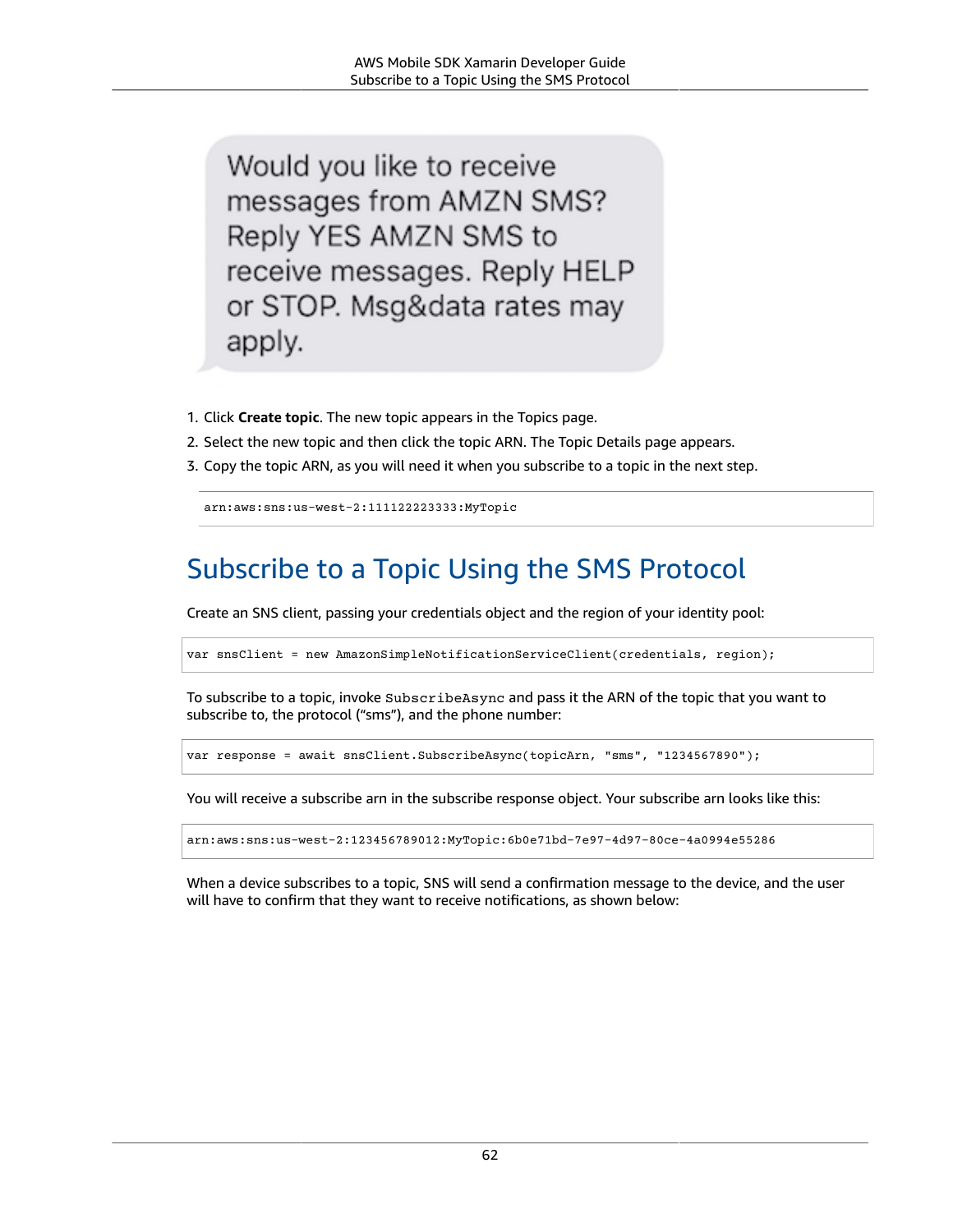Would you like to receive messages from AMZN SMS? Reply YES AMZN SMS to receive messages. Reply HELP or STOP. Msg&data rates may apply.

- 1. Click **Create topic**. The new topic appears in the Topics page.
- 2. Select the new topic and then click the topic ARN. The Topic Details page appears.
- 3. Copy the topic ARN, as you will need it when you subscribe to a topic in the next step.

arn:aws:sns:us-west-2:111122223333:MyTopic

## Subscribe to a Topic Using the SMS Protocol

Create an SNS client, passing your credentials object and the region of your identity pool:

var snsClient = new AmazonSimpleNotificationServiceClient(credentials, region);

To subscribe to a topic, invoke SubscribeAsync and pass it the ARN of the topic that you want to subscribe to, the protocol ("sms"), and the phone number:

var response = await snsClient.SubscribeAsync(topicArn, "sms", "1234567890");

You will receive a subscribe arn in the subscribe response object. Your subscribe arn looks like this:

arn:aws:sns:us-west-2:123456789012:MyTopic:6b0e71bd-7e97-4d97-80ce-4a0994e55286

When a device subscribes to a topic, SNS will send a confirmation message to the device, and the user will have to confirm that they want to receive notifications, as shown below: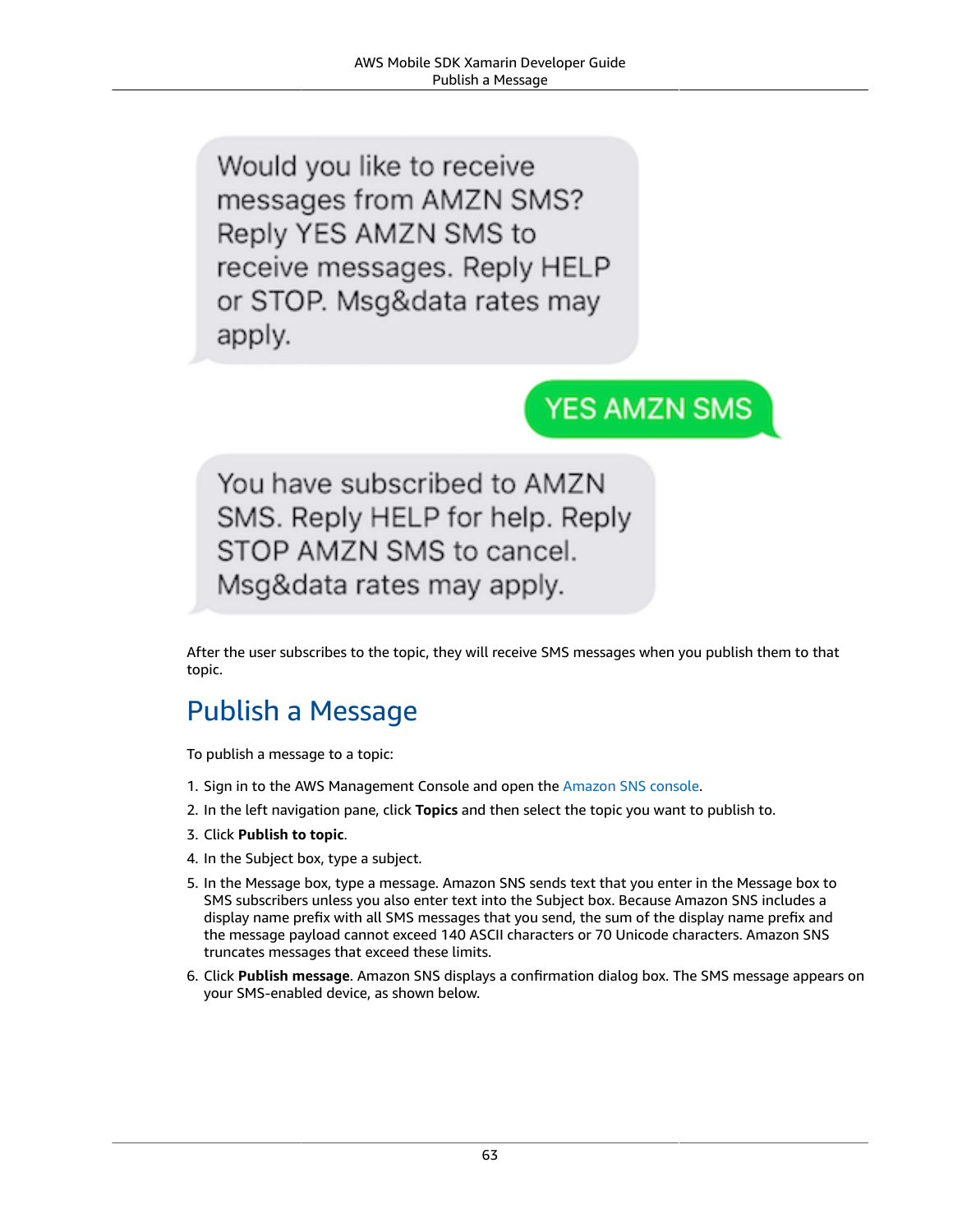Would you like to receive messages from AMZN SMS? Reply YES AMZN SMS to receive messages. Reply HELP or STOP. Msg&data rates may apply.

## **YES AMZN SMS**

You have subscribed to AMZN SMS. Reply HELP for help. Reply STOP AMZN SMS to cancel. Msg&data rates may apply.

After the user subscribes to the topic, they will receive SMS messages when you publish them to that topic.

## Publish a Message

To publish a message to a topic:

- 1. Sign in to the AWS Management Console and open the [Amazon](https://console.aws.amazon.com/sns/v3/home) SNS console.
- 2. In the left navigation pane, click **Topics** and then select the topic you want to publish to.
- 3. Click **Publish to topic**.
- 4. In the Subject box, type a subject.
- 5. In the Message box, type a message. Amazon SNS sends text that you enter in the Message box to SMS subscribers unless you also enter text into the Subject box. Because Amazon SNS includes a display name prefix with all SMS messages that you send, the sum of the display name prefix and the message payload cannot exceed 140 ASCII characters or 70 Unicode characters. Amazon SNS truncates messages that exceed these limits.
- 6. Click **Publish message**. Amazon SNS displays a confirmation dialog box. The SMS message appears on your SMS-enabled device, as shown below.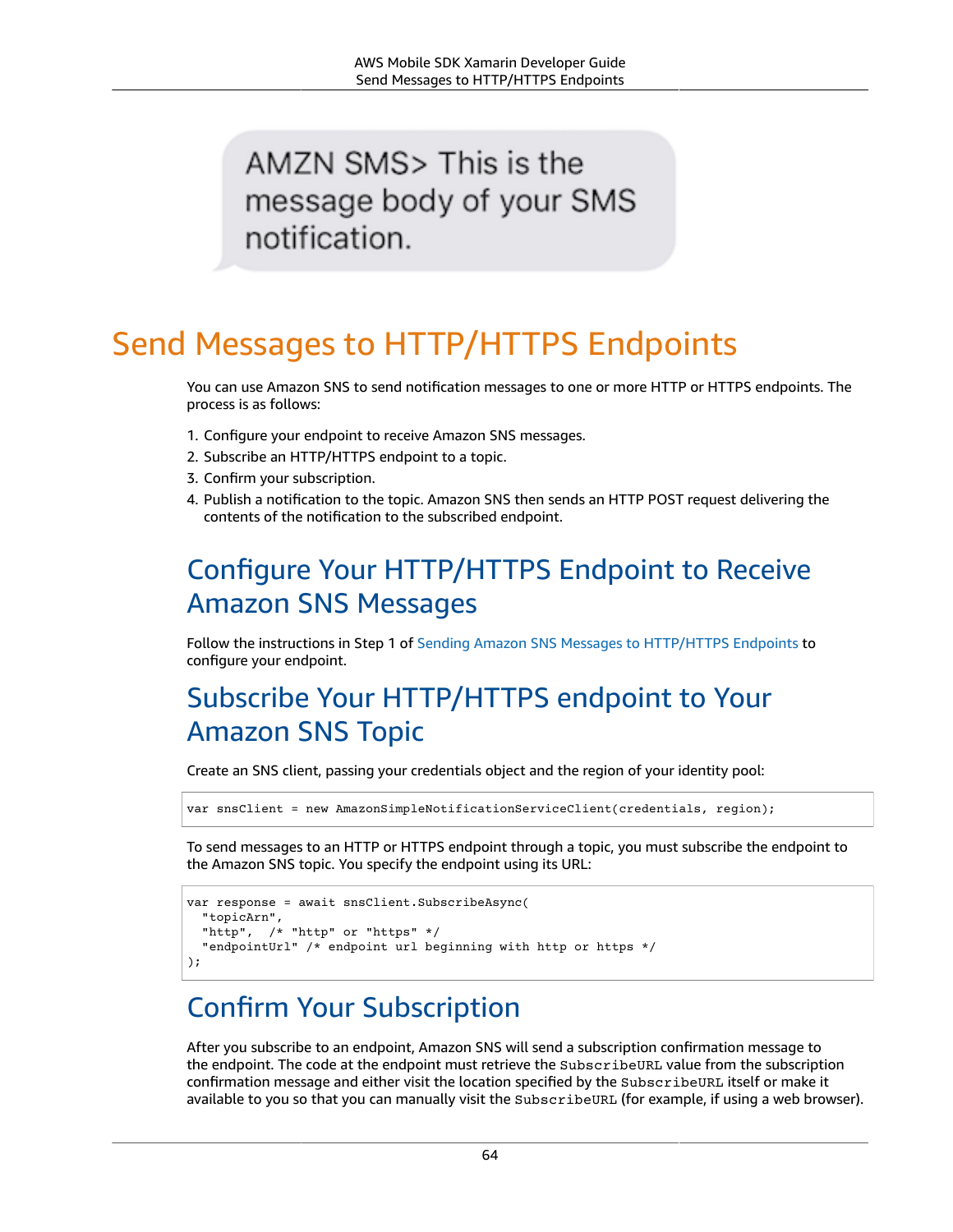## AMZN SMS> This is the message body of your SMS notification.

## Send Messages to HTTP/HTTPS Endpoints

You can use Amazon SNS to send notification messages to one or more HTTP or HTTPS endpoints. The process is as follows:

- 1. Configure your endpoint to receive Amazon SNS messages.
- 2. Subscribe an HTTP/HTTPS endpoint to a topic.
- 3. Confirm your subscription.
- 4. Publish a notification to the topic. Amazon SNS then sends an HTTP POST request delivering the contents of the notification to the subscribed endpoint.

## Configure Your HTTP/HTTPS Endpoint to Receive Amazon SNS Messages

Follow the instructions in Step 1 of Sending Amazon SNS Messages to [HTTP/HTTPS](https://docs.aws.amazon.com/sns/latest/dg/SendMessageToHttp.html#SendMessageToHttp.prepare) Endpoints to configure your endpoint.

## Subscribe Your HTTP/HTTPS endpoint to Your Amazon SNS Topic

Create an SNS client, passing your credentials object and the region of your identity pool:

var snsClient = new AmazonSimpleNotificationServiceClient(credentials, region);

To send messages to an HTTP or HTTPS endpoint through a topic, you must subscribe the endpoint to the Amazon SNS topic. You specify the endpoint using its URL:

```
var response = await snsClient.SubscribeAsync(
  "topicArn",
 "http", /* "http" or "https" */
  "endpointUrl" /* endpoint url beginning with http or https */
);
```
## Confirm Your Subscription

After you subscribe to an endpoint, Amazon SNS will send a subscription confirmation message to the endpoint. The code at the endpoint must retrieve the SubscribeURL value from the subscription confirmation message and either visit the location specified by the SubscribeURL itself or make it available to you so that you can manually visit the SubscribeURL (for example, if using a web browser).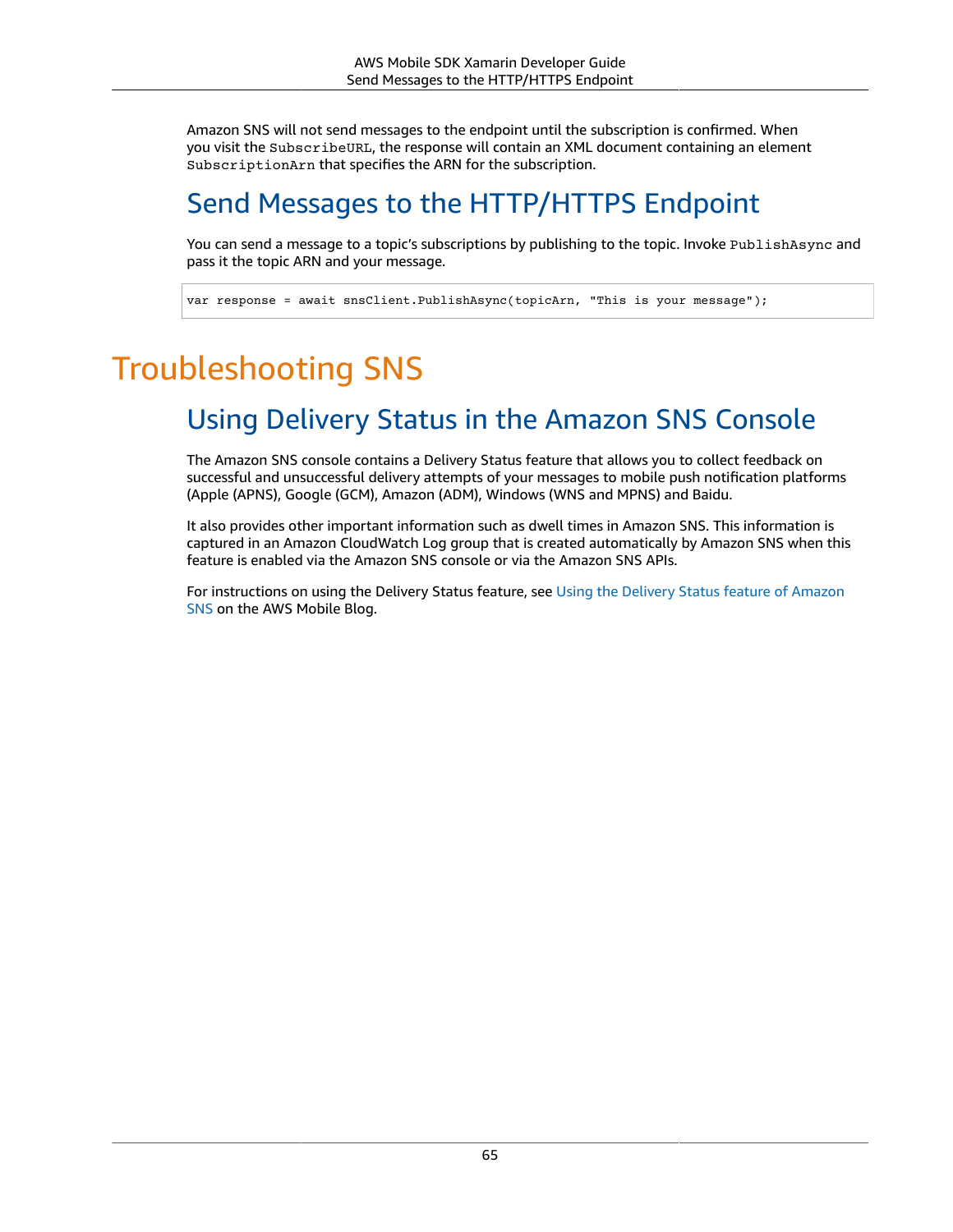Amazon SNS will not send messages to the endpoint until the subscription is confirmed. When you visit the SubscribeURL, the response will contain an XML document containing an element SubscriptionArn that specifies the ARN for the subscription.

## Send Messages to the HTTP/HTTPS Endpoint

You can send a message to a topic's subscriptions by publishing to the topic. Invoke PublishAsync and pass it the topic ARN and your message.

var response = await snsClient.PublishAsync(topicArn, "This is your message");

## Troubleshooting SNS

## Using Delivery Status in the Amazon SNS Console

The Amazon SNS console contains a Delivery Status feature that allows you to collect feedback on successful and unsuccessful delivery attempts of your messages to mobile push notification platforms (Apple (APNS), Google (GCM), Amazon (ADM), Windows (WNS and MPNS) and Baidu.

It also provides other important information such as dwell times in Amazon SNS. This information is captured in an Amazon CloudWatch Log group that is created automatically by Amazon SNS when this feature is enabled via the Amazon SNS console or via the Amazon SNS APIs.

For instructions on using the Delivery Status feature, see Using the [Delivery](https://mobile.awsblog.com/post/TxHTXGC8711JNF/Using-the-Delivery-Status-feature-of-Amazon-SNS) Status feature of Amazon [SNS](https://mobile.awsblog.com/post/TxHTXGC8711JNF/Using-the-Delivery-Status-feature-of-Amazon-SNS) on the AWS Mobile Blog.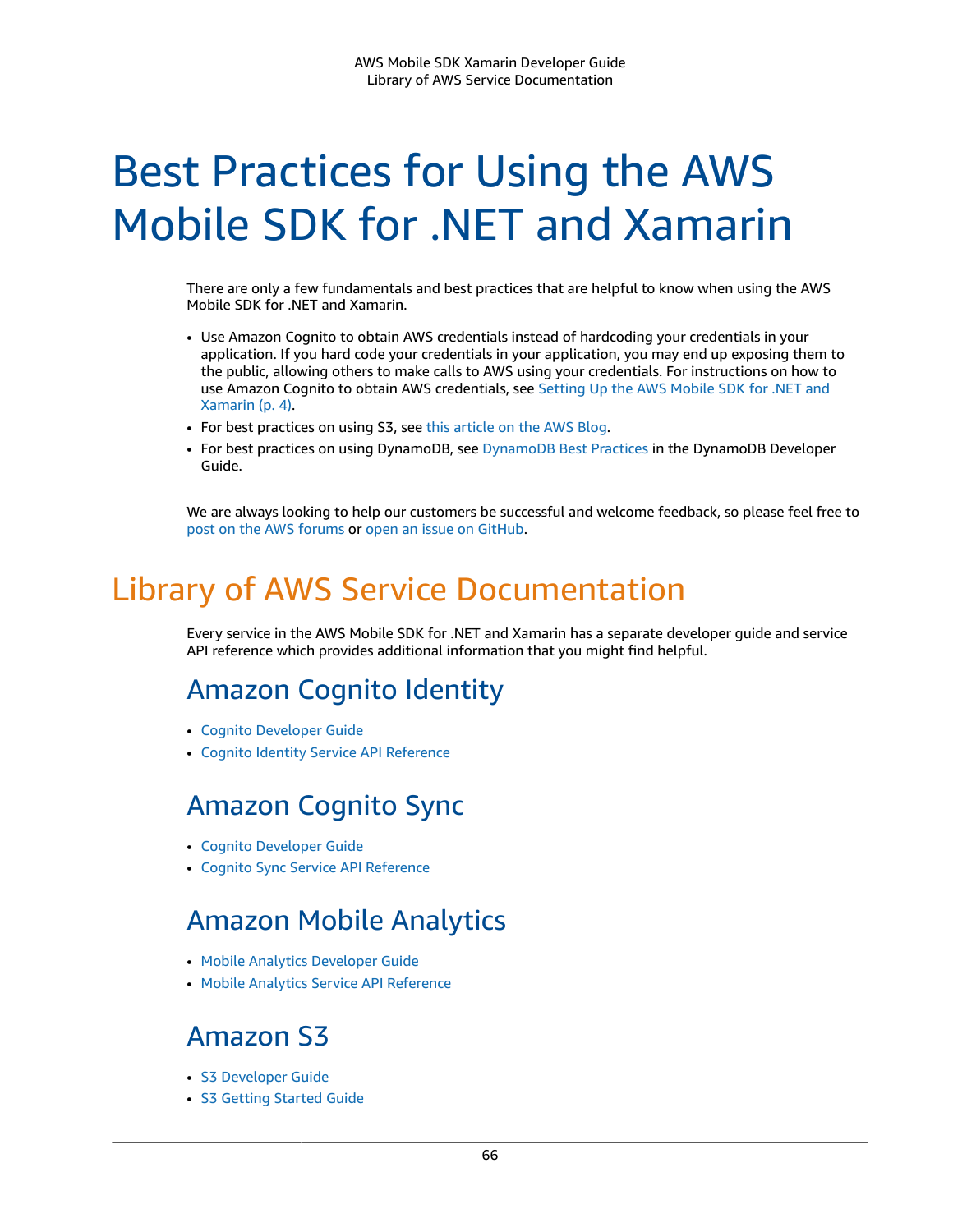# Best Practices for Using the AWS Mobile SDK for .NET and Xamarin

There are only a few fundamentals and best practices that are helpful to know when using the AWS Mobile SDK for .NET and Xamarin.

- Use Amazon Cognito to obtain AWS credentials instead of hardcoding your credentials in your application. If you hard code your credentials in your application, you may end up exposing them to the public, allowing others to make calls to AWS using your credentials. For instructions on how to use Amazon Cognito to obtain AWS credentials, see [Setting](#page-10-0) Up the AWS Mobile SDK for .NET and [Xamarin \(p. 4\).](#page-10-0)
- For best practices on using S3, see this [article](https://aws.amazon.com/articles/1904) on the AWS Blog.
- For best practices on using DynamoDB, see [DynamoDB](https://docs.aws.amazon.com/amazondynamodb/latest/developerguide/BestPractices.html) Best Practices in the DynamoDB Developer Guide.

We are always looking to help our customers be successful and welcome feedback, so please feel free to post on the AWS [forums](https://forums.aws.amazon.com/forum.jspa?forumID=88) or [open an issue on GitHub.](https://github.com/awslabs/aws-sdk-xamarin/issues)

### Library of AWS Service Documentation

Every service in the AWS Mobile SDK for .NET and Xamarin has a separate developer guide and service API reference which provides additional information that you might find helpful.

#### Amazon Cognito Identity

- Cognito [Developer](https://docs.aws.amazon.com/cognito/latest/developerguide/cognito-user-identity-pools.html) Guide
- Cognito Identity Service API [Reference](https://docs.aws.amazon.com/cognitoidentity/latest/APIReference/Welcome.html)

#### Amazon Cognito Sync

- Cognito [Developer](https://docs.aws.amazon.com/cognito/latest/developerguide/cognito-user-identity-pools.html) Guide
- Cognito Sync Service API [Reference](https://docs.aws.amazon.com/cognitosync/latest/APIReference/Welcome.html)

### Amazon Mobile Analytics

- Mobile Analytics [Developer](https://docs.aws.amazon.com/mobileanalytics/latest/ug/set-up.html) Guide
- Mobile Analytics Service API [Reference](https://docs.aws.amazon.com/mobileanalytics/latest/ug/server-reference.html)

#### Amazon S3

- S3 [Developer](https://docs.aws.amazon.com/AmazonS3/latest/dev/Welcome.html) Guide
- S3 [Getting](https://docs.aws.amazon.com/AmazonS3/latest/gsg/GetStartedWithS3.html) Started Guide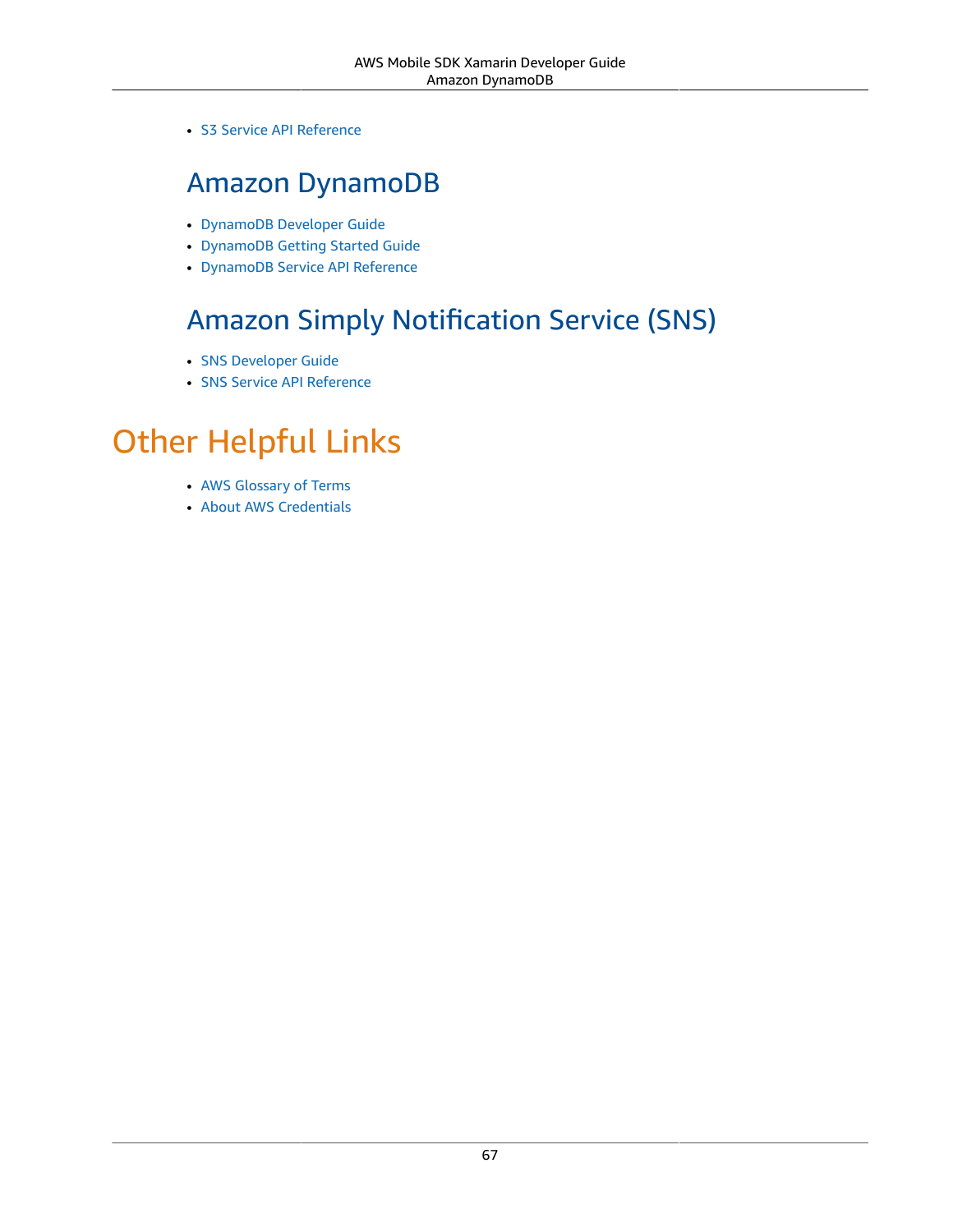• S3 Service API [Reference](https://docs.aws.amazon.com/AmazonS3/latest/API/Welcome.html)

#### Amazon DynamoDB

- [DynamoDB](https://docs.aws.amazon.com/amazondynamodb/latest/developerguide/Introduction.html) Developer Guide
- [DynamoDB](https://docs.aws.amazon.com/amazondynamodb/latest/gettingstartedguide/Welcome.html) Getting Started Guide
- [DynamoDB](https://docs.aws.amazon.com/amazondynamodb/latest/APIReference/Welcome.html) Service API Reference

### Amazon Simply Notification Service (SNS)

- SNS [Developer](https://docs.aws.amazon.com/sns/latest/dg/welcome.html) Guide
- SNS Service API [Reference](https://docs.aws.amazon.com/sns/latest/api/Welcome.html)

## Other Helpful Links

- AWS [Glossary](https://docs.aws.amazon.com/general/latest/gr/glos-chap.html) of Terms
- About AWS [Credentials](https://docs.aws.amazon.com/general/latest/gr/aws-security-credentials.html)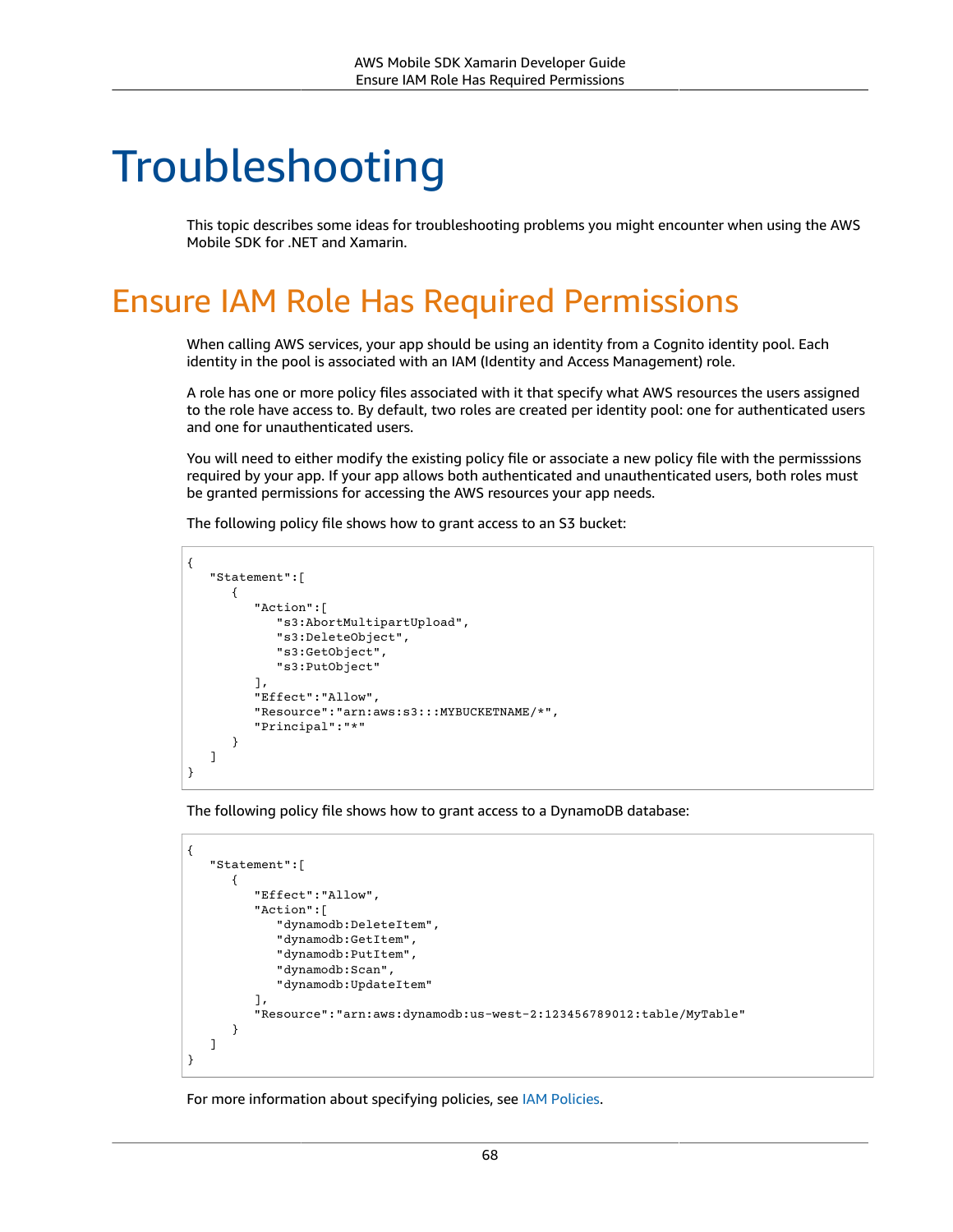## Troubleshooting

This topic describes some ideas for troubleshooting problems you might encounter when using the AWS Mobile SDK for .NET and Xamarin.

## Ensure IAM Role Has Required Permissions

When calling AWS services, your app should be using an identity from a Cognito identity pool. Each identity in the pool is associated with an IAM (Identity and Access Management) role.

A role has one or more policy files associated with it that specify what AWS resources the users assigned to the role have access to. By default, two roles are created per identity pool: one for authenticated users and one for unauthenticated users.

You will need to either modify the existing policy file or associate a new policy file with the permisssions required by your app. If your app allows both authenticated and unauthenticated users, both roles must be granted permissions for accessing the AWS resources your app needs.

The following policy file shows how to grant access to an S3 bucket:

```
{
    "Statement":[
       {
           "Action":[
              "s3:AbortMultipartUpload",
              "s3:DeleteObject",
              "s3:GetObject",
              "s3:PutObject"
           ],
           "Effect":"Allow",
           "Resource":"arn:aws:s3:::MYBUCKETNAME/*",
           "Principal":"*"
       }
    ]
}
```
The following policy file shows how to grant access to a DynamoDB database:

```
{
    "Statement":[
       {
           "Effect":"Allow",
           "Action":[
              "dynamodb:DeleteItem",
              "dynamodb:GetItem",
              "dynamodb:PutItem",
              "dynamodb:Scan",
              "dynamodb:UpdateItem"
           ],
           "Resource":"arn:aws:dynamodb:us-west-2:123456789012:table/MyTable"
       }
    ]
}
```
For more information about specifying policies, see IAM [Policies](https://docs.aws.amazon.com/IAM/latest/UserGuide/PoliciesOverview.html).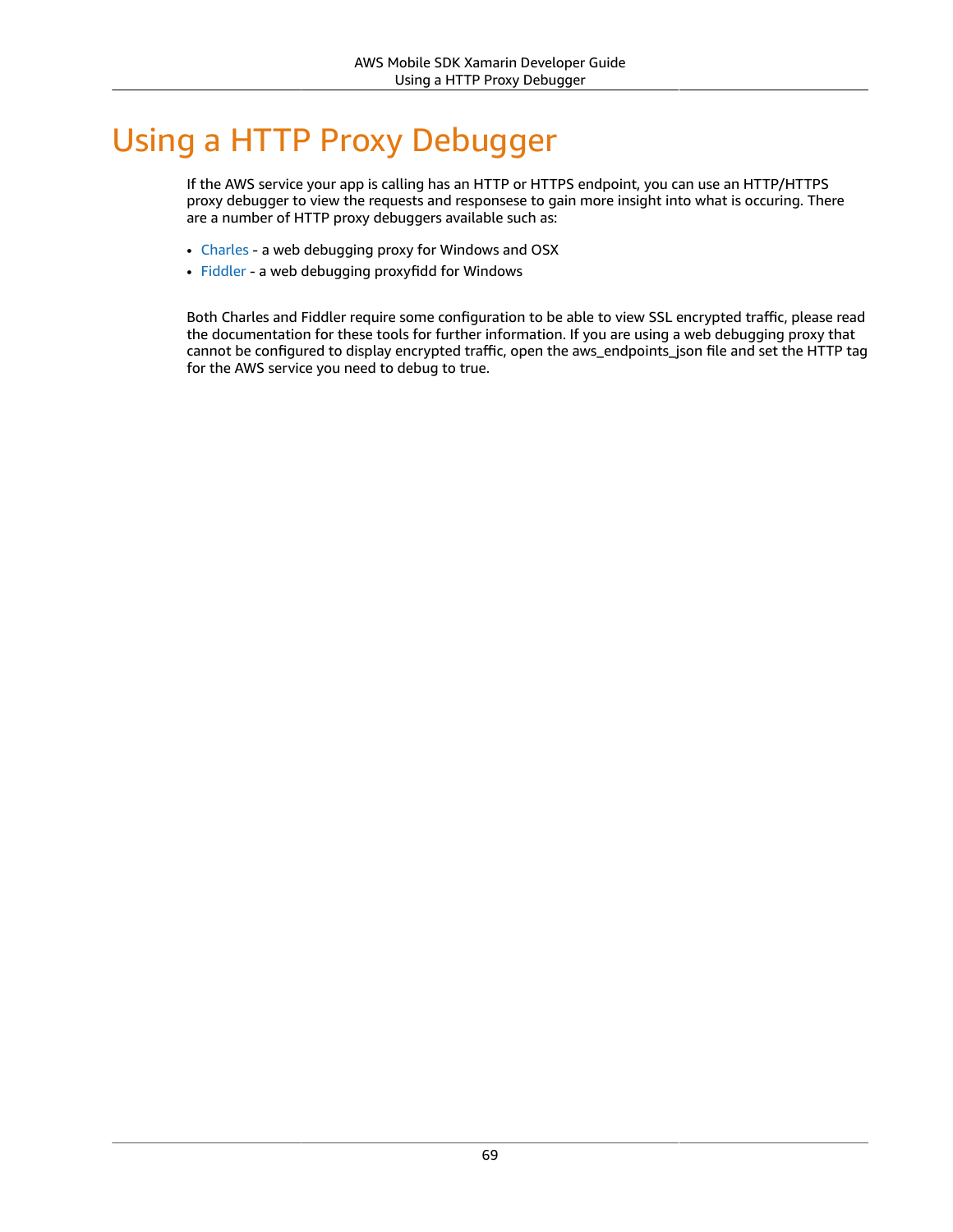## Using a HTTP Proxy Debugger

If the AWS service your app is calling has an HTTP or HTTPS endpoint, you can use an HTTP/HTTPS proxy debugger to view the requests and responsese to gain more insight into what is occuring. There are a number of HTTP proxy debuggers available such as:

- [Charles](http://www.charlesproxy.com/) a web debugging proxy for Windows and OSX
- [Fiddler](http://www.telerik.com/fiddler) a web debugging proxyfidd for Windows

Both Charles and Fiddler require some configuration to be able to view SSL encrypted traffic, please read the documentation for these tools for further information. If you are using a web debugging proxy that cannot be configured to display encrypted traffic, open the aws\_endpoints\_json file and set the HTTP tag for the AWS service you need to debug to true.